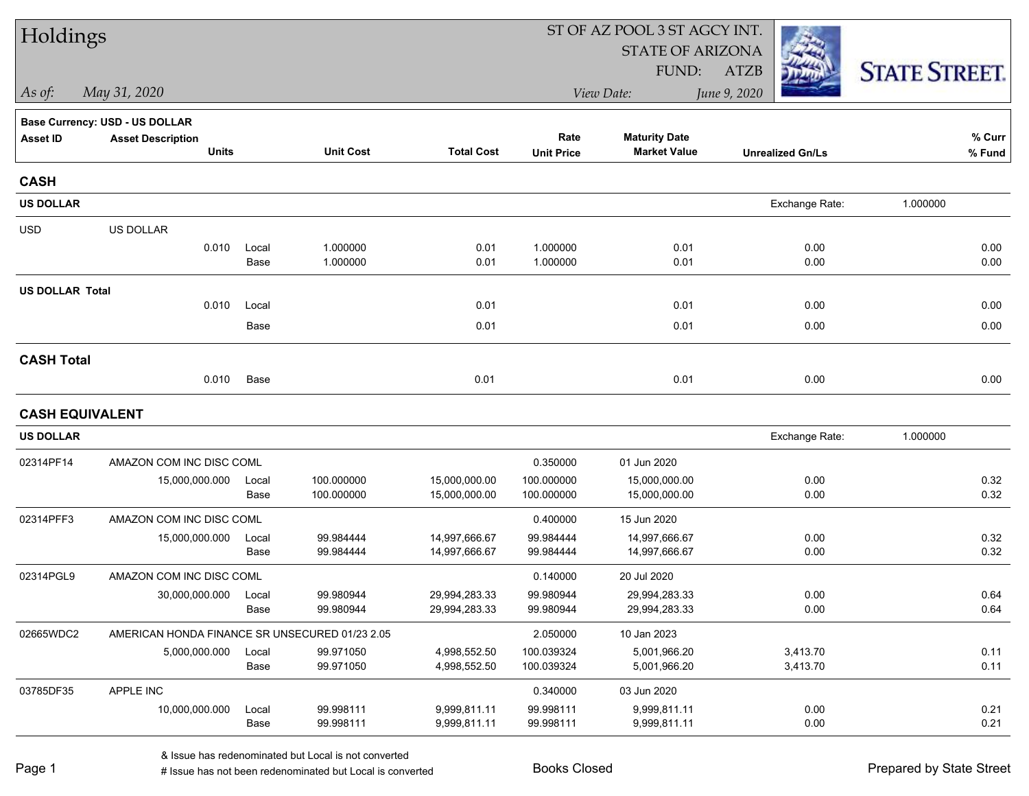| Holdings               |                                                |               |                          |                                |                           | ST OF AZ POOL 3 ST AGCY INT.                |                         |                      |  |
|------------------------|------------------------------------------------|---------------|--------------------------|--------------------------------|---------------------------|---------------------------------------------|-------------------------|----------------------|--|
|                        |                                                |               |                          |                                |                           | <b>STATE OF ARIZONA</b>                     |                         |                      |  |
|                        |                                                |               |                          |                                |                           | FUND:                                       | ATZB                    | <b>STATE STREET.</b> |  |
| As of:                 | May 31, 2020                                   |               |                          |                                |                           | View Date:                                  | June 9, 2020            |                      |  |
|                        | Base Currency: USD - US DOLLAR                 |               |                          |                                |                           |                                             |                         |                      |  |
| <b>Asset ID</b>        | <b>Asset Description</b><br><b>Units</b>       |               | <b>Unit Cost</b>         | <b>Total Cost</b>              | Rate<br><b>Unit Price</b> | <b>Maturity Date</b><br><b>Market Value</b> | <b>Unrealized Gn/Ls</b> | % Curr<br>% Fund     |  |
| <b>CASH</b>            |                                                |               |                          |                                |                           |                                             |                         |                      |  |
| <b>US DOLLAR</b>       |                                                |               |                          |                                |                           |                                             | Exchange Rate:          | 1.000000             |  |
| <b>USD</b>             | US DOLLAR                                      |               |                          |                                |                           |                                             |                         |                      |  |
|                        | 0.010                                          | Local<br>Base | 1.000000<br>1.000000     | 0.01<br>0.01                   | 1.000000<br>1.000000      | 0.01<br>0.01                                | 0.00<br>0.00            | 0.00<br>0.00         |  |
| <b>US DOLLAR Total</b> |                                                |               |                          |                                |                           |                                             |                         |                      |  |
|                        | 0.010                                          | Local         |                          | 0.01                           |                           | 0.01                                        | 0.00                    | 0.00                 |  |
|                        |                                                | Base          |                          | 0.01                           |                           | 0.01                                        | 0.00                    | 0.00                 |  |
| <b>CASH Total</b>      |                                                |               |                          |                                |                           |                                             |                         |                      |  |
|                        | 0.010                                          | Base          |                          | 0.01                           |                           | 0.01                                        | 0.00                    | 0.00                 |  |
| <b>CASH EQUIVALENT</b> |                                                |               |                          |                                |                           |                                             |                         |                      |  |
| <b>US DOLLAR</b>       |                                                |               |                          |                                |                           |                                             | Exchange Rate:          | 1.000000             |  |
| 02314PF14              | AMAZON COM INC DISC COML                       |               |                          |                                | 0.350000                  | 01 Jun 2020                                 |                         |                      |  |
|                        | 15,000,000.000                                 | Local<br>Base | 100.000000<br>100.000000 | 15,000,000.00<br>15,000,000.00 | 100.000000<br>100.000000  | 15,000,000.00<br>15,000,000.00              | 0.00<br>0.00            | 0.32<br>0.32         |  |
| 02314PFF3              | AMAZON COM INC DISC COML                       |               |                          |                                | 0.400000                  | 15 Jun 2020                                 |                         |                      |  |
|                        | 15,000,000.000                                 | Local<br>Base | 99.984444<br>99.984444   | 14,997,666.67<br>14,997,666.67 | 99.984444<br>99.984444    | 14,997,666.67<br>14,997,666.67              | 0.00<br>0.00            | 0.32<br>0.32         |  |
| 02314PGL9              | AMAZON COM INC DISC COML                       |               |                          |                                | 0.140000                  | 20 Jul 2020                                 |                         |                      |  |
|                        | 30,000,000.000                                 | Local<br>Base | 99.980944<br>99.980944   | 29,994,283.33<br>29,994,283.33 | 99.980944<br>99.980944    | 29,994,283.33<br>29,994,283.33              | 0.00<br>0.00            | 0.64<br>0.64         |  |
| 02665WDC2              | AMERICAN HONDA FINANCE SR UNSECURED 01/23 2.05 |               |                          |                                | 2.050000                  | 10 Jan 2023                                 |                         |                      |  |
|                        | 5,000,000.000                                  | Local<br>Base | 99.971050<br>99.971050   | 4,998,552.50<br>4,998,552.50   | 100.039324<br>100.039324  | 5,001,966.20<br>5,001,966.20                | 3,413.70<br>3,413.70    | 0.11<br>0.11         |  |
| 03785DF35              | APPLE INC                                      |               |                          |                                | 0.340000                  | 03 Jun 2020                                 |                         |                      |  |
|                        | 10,000,000.000                                 | Local<br>Base | 99.998111<br>99.998111   | 9,999,811.11<br>9,999,811.11   | 99.998111<br>99.998111    | 9,999,811.11<br>9,999,811.11                | 0.00<br>0.00            | 0.21<br>0.21         |  |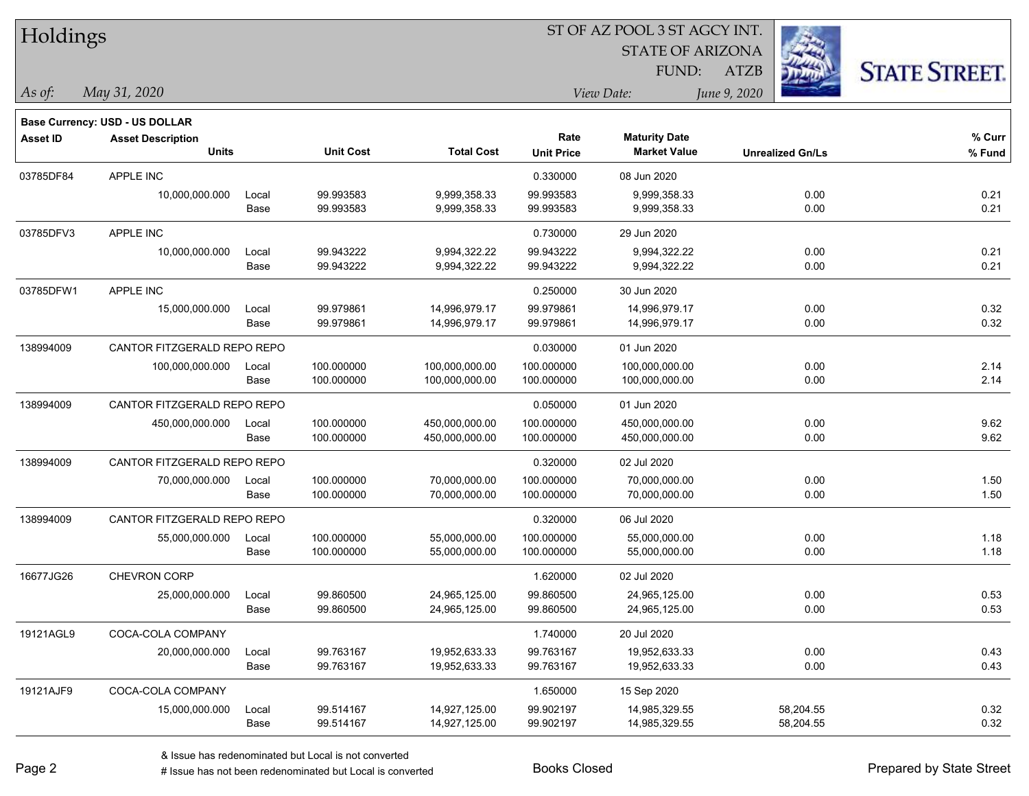| Holdings        |                                |       |                  |                   |                   | ST OF AZ POOL 3 ST AGCY INT. |                         |                      |
|-----------------|--------------------------------|-------|------------------|-------------------|-------------------|------------------------------|-------------------------|----------------------|
|                 |                                |       |                  |                   |                   | <b>STATE OF ARIZONA</b>      |                         |                      |
|                 |                                |       |                  |                   |                   | FUND:                        | <b>ATZB</b>             | <b>STATE STREET.</b> |
| As of:          | May 31, 2020                   |       |                  |                   |                   | View Date:                   | June 9, 2020            |                      |
|                 | Base Currency: USD - US DOLLAR |       |                  |                   |                   |                              |                         |                      |
| <b>Asset ID</b> | <b>Asset Description</b>       |       |                  |                   | Rate              | <b>Maturity Date</b>         |                         | % Curr               |
|                 | <b>Units</b>                   |       | <b>Unit Cost</b> | <b>Total Cost</b> | <b>Unit Price</b> | <b>Market Value</b>          | <b>Unrealized Gn/Ls</b> | % Fund               |
| 03785DF84       | APPLE INC                      |       |                  |                   | 0.330000          | 08 Jun 2020                  |                         |                      |
|                 | 10,000,000.000                 | Local | 99.993583        | 9,999,358.33      | 99.993583         | 9,999,358.33                 | 0.00                    | 0.21                 |
|                 |                                | Base  | 99.993583        | 9,999,358.33      | 99.993583         | 9,999,358.33                 | 0.00                    | 0.21                 |
| 03785DFV3       | APPLE INC                      |       |                  |                   | 0.730000          | 29 Jun 2020                  |                         |                      |
|                 | 10,000,000.000                 | Local | 99.943222        | 9,994,322.22      | 99.943222         | 9,994,322.22                 | 0.00                    | 0.21                 |
|                 |                                | Base  | 99.943222        | 9,994,322.22      | 99.943222         | 9,994,322.22                 | 0.00                    | 0.21                 |
| 03785DFW1       | APPLE INC                      |       |                  |                   | 0.250000          | 30 Jun 2020                  |                         |                      |
|                 | 15,000,000.000                 | Local | 99.979861        | 14,996,979.17     | 99.979861         | 14,996,979.17                | 0.00                    | 0.32                 |
|                 |                                | Base  | 99.979861        | 14,996,979.17     | 99.979861         | 14,996,979.17                | 0.00                    | 0.32                 |
| 138994009       | CANTOR FITZGERALD REPO REPO    |       |                  |                   | 0.030000          | 01 Jun 2020                  |                         |                      |
|                 | 100,000,000.000                | Local | 100.000000       | 100,000,000.00    | 100.000000        | 100,000,000.00               | 0.00                    | 2.14                 |
|                 |                                | Base  | 100.000000       | 100,000,000.00    | 100.000000        | 100,000,000.00               | 0.00                    | 2.14                 |
| 138994009       | CANTOR FITZGERALD REPO REPO    |       |                  |                   | 0.050000          | 01 Jun 2020                  |                         |                      |
|                 | 450,000,000.000                | Local | 100.000000       | 450,000,000.00    | 100.000000        | 450,000,000.00               | 0.00                    | 9.62                 |
|                 |                                | Base  | 100.000000       | 450,000,000.00    | 100.000000        | 450,000,000.00               | 0.00                    | 9.62                 |
| 138994009       | CANTOR FITZGERALD REPO REPO    |       |                  |                   | 0.320000          | 02 Jul 2020                  |                         |                      |
|                 | 70,000,000.000                 | Local | 100.000000       | 70,000,000.00     | 100.000000        | 70,000,000.00                | 0.00                    | 1.50                 |
|                 |                                | Base  | 100.000000       | 70,000,000.00     | 100.000000        | 70,000,000.00                | 0.00                    | 1.50                 |
| 138994009       | CANTOR FITZGERALD REPO REPO    |       |                  |                   | 0.320000          | 06 Jul 2020                  |                         |                      |
|                 | 55,000,000.000                 | Local | 100.000000       | 55,000,000.00     | 100.000000        | 55,000,000.00                | 0.00                    | 1.18                 |
|                 |                                | Base  | 100.000000       | 55,000,000.00     | 100.000000        | 55,000,000.00                | 0.00                    | 1.18                 |
| 16677JG26       | <b>CHEVRON CORP</b>            |       |                  |                   | 1.620000          | 02 Jul 2020                  |                         |                      |
|                 | 25,000,000.000                 | Local | 99.860500        | 24,965,125.00     | 99.860500         | 24,965,125.00                | 0.00                    | 0.53                 |
|                 |                                | Base  | 99.860500        | 24,965,125.00     | 99.860500         | 24,965,125.00                | 0.00                    | 0.53                 |
| 19121AGL9       | COCA-COLA COMPANY              |       |                  |                   | 1.740000          | 20 Jul 2020                  |                         |                      |
|                 | 20,000,000.000                 | Local | 99.763167        | 19,952,633.33     | 99.763167         | 19,952,633.33                | 0.00                    | 0.43                 |
|                 |                                | Base  | 99.763167        | 19,952,633.33     | 99.763167         | 19,952,633.33                | 0.00                    | 0.43                 |
| 19121AJF9       | COCA-COLA COMPANY              |       |                  |                   | 1.650000          | 15 Sep 2020                  |                         |                      |
|                 | 15,000,000.000                 | Local | 99.514167        | 14,927,125.00     | 99.902197         | 14,985,329.55                | 58,204.55               | 0.32                 |
|                 |                                | Base  | 99.514167        | 14,927,125.00     | 99.902197         | 14,985,329.55                | 58,204.55               | 0.32                 |

 $\overline{\phantom{0}}$ 

 $\overline{\phantom{0}}$ 

 $\overline{\phantom{0}}$ 

 $\overline{\phantom{0}}$ 

 $\overline{\phantom{0}}$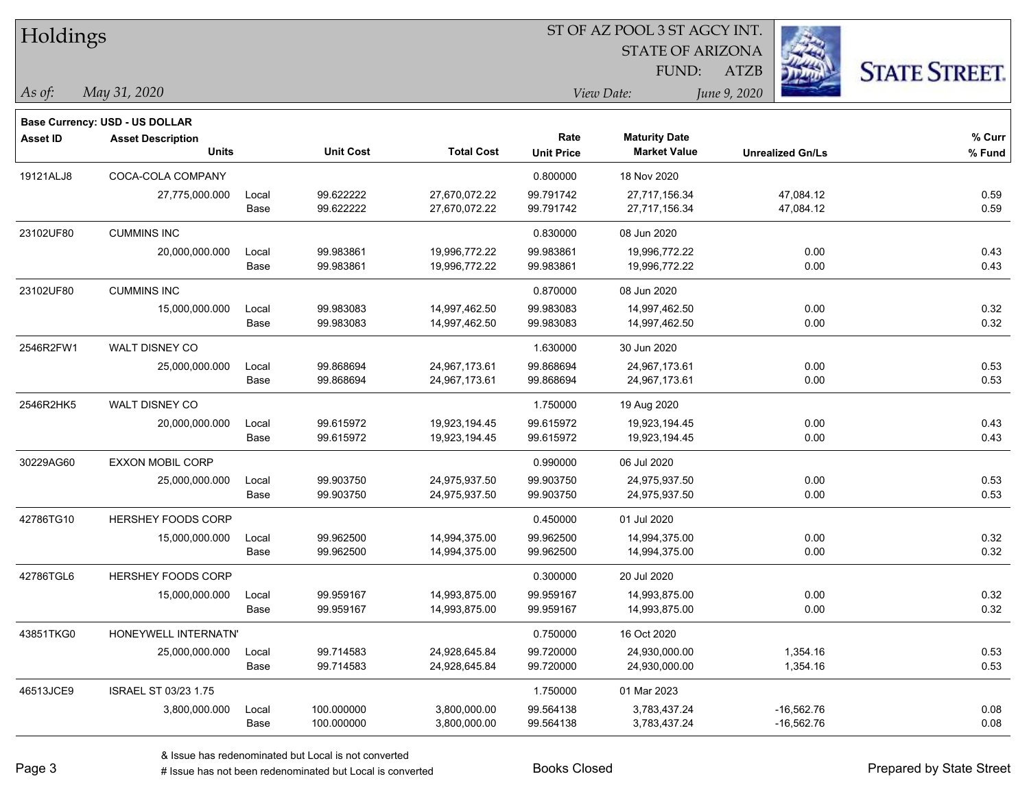| Holdings        |                                                            |       |                  | ST OF AZ POOL 3 ST AGCY INT. |                   |                         |                         |                      |  |  |  |
|-----------------|------------------------------------------------------------|-------|------------------|------------------------------|-------------------|-------------------------|-------------------------|----------------------|--|--|--|
|                 |                                                            |       |                  |                              |                   | <b>STATE OF ARIZONA</b> |                         |                      |  |  |  |
|                 |                                                            |       |                  |                              |                   | FUND:                   | <b>ATZB</b>             | <b>STATE STREET.</b> |  |  |  |
| $\vert$ As of:  | May 31, 2020                                               |       |                  |                              | View Date:        |                         | June 9, 2020            |                      |  |  |  |
|                 |                                                            |       |                  |                              |                   |                         |                         |                      |  |  |  |
| <b>Asset ID</b> | Base Currency: USD - US DOLLAR<br><b>Asset Description</b> |       |                  |                              | Rate              | <b>Maturity Date</b>    |                         | % Curr               |  |  |  |
|                 | <b>Units</b>                                               |       | <b>Unit Cost</b> | <b>Total Cost</b>            | <b>Unit Price</b> | <b>Market Value</b>     | <b>Unrealized Gn/Ls</b> | % Fund               |  |  |  |
| 19121ALJ8       | COCA-COLA COMPANY                                          |       |                  |                              | 0.800000          | 18 Nov 2020             |                         |                      |  |  |  |
|                 | 27,775,000.000                                             | Local | 99.622222        | 27,670,072.22                | 99.791742         | 27,717,156.34           | 47,084.12               | 0.59                 |  |  |  |
|                 |                                                            | Base  | 99.622222        | 27,670,072.22                | 99.791742         | 27,717,156.34           | 47,084.12               | 0.59                 |  |  |  |
| 23102UF80       | <b>CUMMINS INC</b>                                         |       |                  |                              | 0.830000          | 08 Jun 2020             |                         |                      |  |  |  |
|                 | 20,000,000.000                                             | Local | 99.983861        | 19,996,772.22                | 99.983861         | 19,996,772.22           | 0.00                    | 0.43                 |  |  |  |
|                 |                                                            | Base  | 99.983861        | 19,996,772.22                | 99.983861         | 19,996,772.22           | 0.00                    | 0.43                 |  |  |  |
| 23102UF80       | <b>CUMMINS INC</b>                                         |       |                  |                              | 0.870000          | 08 Jun 2020             |                         |                      |  |  |  |
|                 | 15,000,000.000                                             | Local | 99.983083        | 14,997,462.50                | 99.983083         | 14,997,462.50           | 0.00                    | 0.32                 |  |  |  |
|                 |                                                            | Base  | 99.983083        | 14,997,462.50                | 99.983083         | 14,997,462.50           | 0.00                    | 0.32                 |  |  |  |
| 2546R2FW1       | WALT DISNEY CO                                             |       |                  |                              | 1.630000          | 30 Jun 2020             |                         |                      |  |  |  |
|                 | 25,000,000.000                                             | Local | 99.868694        | 24,967,173.61                | 99.868694         | 24,967,173.61           | 0.00                    | 0.53                 |  |  |  |
|                 |                                                            | Base  | 99.868694        | 24,967,173.61                | 99.868694         | 24,967,173.61           | 0.00                    | 0.53                 |  |  |  |
| 2546R2HK5       | WALT DISNEY CO                                             |       |                  |                              | 1.750000          | 19 Aug 2020             |                         |                      |  |  |  |
|                 | 20,000,000.000                                             | Local | 99.615972        | 19,923,194.45                | 99.615972         | 19,923,194.45           | 0.00                    | 0.43                 |  |  |  |
|                 |                                                            | Base  | 99.615972        | 19,923,194.45                | 99.615972         | 19,923,194.45           | 0.00                    | 0.43                 |  |  |  |
| 30229AG60       | <b>EXXON MOBIL CORP</b>                                    |       |                  |                              | 0.990000          | 06 Jul 2020             |                         |                      |  |  |  |
|                 | 25,000,000.000                                             | Local | 99.903750        | 24,975,937.50                | 99.903750         | 24,975,937.50           | 0.00                    | 0.53                 |  |  |  |
|                 |                                                            | Base  | 99.903750        | 24,975,937.50                | 99.903750         | 24,975,937.50           | 0.00                    | 0.53                 |  |  |  |
| 42786TG10       | HERSHEY FOODS CORP                                         |       |                  |                              | 0.450000          | 01 Jul 2020             |                         |                      |  |  |  |
|                 | 15,000,000.000                                             | Local | 99.962500        | 14,994,375.00                | 99.962500         | 14,994,375.00           | 0.00                    | 0.32                 |  |  |  |
|                 |                                                            | Base  | 99.962500        | 14,994,375.00                | 99.962500         | 14,994,375.00           | 0.00                    | 0.32                 |  |  |  |
| 42786TGL6       | HERSHEY FOODS CORP                                         |       |                  |                              | 0.300000          | 20 Jul 2020             |                         |                      |  |  |  |
|                 | 15,000,000.000                                             | Local | 99.959167        | 14,993,875.00                | 99.959167         | 14,993,875.00           | 0.00                    | 0.32                 |  |  |  |
|                 |                                                            | Base  | 99.959167        | 14,993,875.00                | 99.959167         | 14,993,875.00           | 0.00                    | 0.32                 |  |  |  |
| 43851TKG0       | HONEYWELL INTERNATN'                                       |       |                  |                              | 0.750000          | 16 Oct 2020             |                         |                      |  |  |  |
|                 | 25,000,000.000                                             | Local | 99.714583        | 24,928,645.84                | 99.720000         | 24,930,000.00           | 1,354.16                | 0.53                 |  |  |  |
|                 |                                                            | Base  | 99.714583        | 24,928,645.84                | 99.720000         | 24,930,000.00           | 1,354.16                | 0.53                 |  |  |  |
| 46513JCE9       | ISRAEL ST 03/23 1.75                                       |       |                  |                              | 1.750000          | 01 Mar 2023             |                         |                      |  |  |  |
|                 | 3,800,000.000                                              | Local | 100.000000       | 3,800,000.00                 | 99.564138         | 3,783,437.24            | $-16,562.76$            | 0.08                 |  |  |  |
|                 |                                                            | Base  | 100.000000       | 3,800,000.00                 | 99.564138         | 3,783,437.24            | $-16,562.76$            | 0.08                 |  |  |  |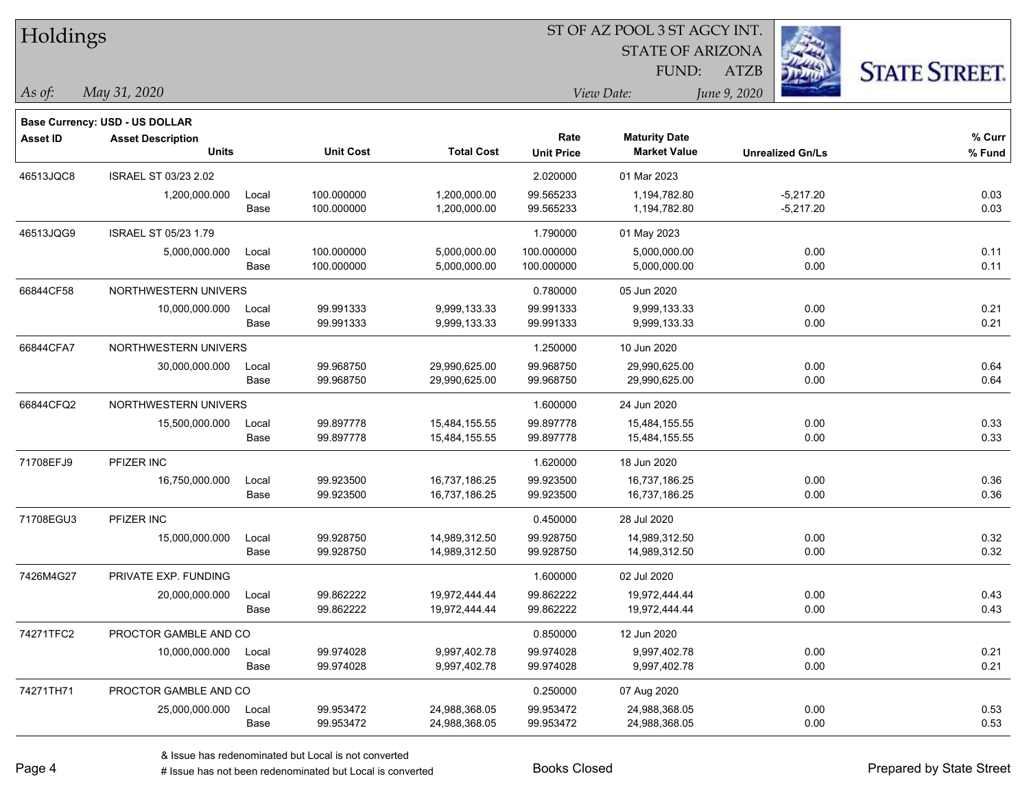| Holdings        |                                       |       |                  | ST OF AZ POOL 3 ST AGCY INT. |                   |                         |                         |                      |  |  |  |
|-----------------|---------------------------------------|-------|------------------|------------------------------|-------------------|-------------------------|-------------------------|----------------------|--|--|--|
|                 |                                       |       |                  |                              |                   | <b>STATE OF ARIZONA</b> |                         |                      |  |  |  |
|                 |                                       |       |                  |                              | FUND:             |                         | <b>ATZB</b>             | <b>STATE STREET.</b> |  |  |  |
| As of:          | May 31, 2020                          |       |                  |                              |                   | View Date:              | June 9, 2020            |                      |  |  |  |
|                 | <b>Base Currency: USD - US DOLLAR</b> |       |                  |                              |                   |                         |                         |                      |  |  |  |
| <b>Asset ID</b> | <b>Asset Description</b>              |       |                  |                              | Rate              | <b>Maturity Date</b>    |                         | % Curr               |  |  |  |
|                 | <b>Units</b>                          |       | <b>Unit Cost</b> | <b>Total Cost</b>            | <b>Unit Price</b> | <b>Market Value</b>     | <b>Unrealized Gn/Ls</b> | % Fund               |  |  |  |
| 46513JQC8       | <b>ISRAEL ST 03/23 2.02</b>           |       |                  |                              | 2.020000          | 01 Mar 2023             |                         |                      |  |  |  |
|                 | 1,200,000.000                         | Local | 100.000000       | 1,200,000.00                 | 99.565233         | 1,194,782.80            | $-5,217.20$             | 0.03                 |  |  |  |
|                 |                                       | Base  | 100.000000       | 1,200,000.00                 | 99.565233         | 1,194,782.80            | $-5,217.20$             | 0.03                 |  |  |  |
| 46513JQG9       | ISRAEL ST 05/23 1.79                  |       |                  |                              | 1.790000          | 01 May 2023             |                         |                      |  |  |  |
|                 | 5,000,000.000                         | Local | 100.000000       | 5,000,000.00                 | 100.000000        | 5,000,000.00            | 0.00                    | 0.11                 |  |  |  |
|                 |                                       | Base  | 100.000000       | 5,000,000.00                 | 100.000000        | 5,000,000.00            | 0.00                    | 0.11                 |  |  |  |
| 66844CF58       | NORTHWESTERN UNIVERS                  |       |                  |                              | 0.780000          | 05 Jun 2020             |                         |                      |  |  |  |
|                 | 10,000,000.000                        | Local | 99.991333        | 9,999,133.33                 | 99.991333         | 9,999,133.33            | 0.00                    | 0.21                 |  |  |  |
|                 |                                       | Base  | 99.991333        | 9,999,133.33                 | 99.991333         | 9,999,133.33            | 0.00                    | 0.21                 |  |  |  |
| 66844CFA7       | NORTHWESTERN UNIVERS                  |       |                  |                              | 1.250000          | 10 Jun 2020             |                         |                      |  |  |  |
|                 | 30,000,000.000                        | Local | 99.968750        | 29,990,625.00                | 99.968750         | 29,990,625.00           | 0.00                    | 0.64                 |  |  |  |
|                 |                                       | Base  | 99.968750        | 29,990,625.00                | 99.968750         | 29,990,625.00           | 0.00                    | 0.64                 |  |  |  |
| 66844CFQ2       | NORTHWESTERN UNIVERS                  |       |                  |                              | 1.600000          | 24 Jun 2020             |                         |                      |  |  |  |
|                 | 15,500,000.000                        | Local | 99.897778        | 15,484,155.55                | 99.897778         | 15,484,155.55           | 0.00                    | 0.33                 |  |  |  |
|                 |                                       | Base  | 99.897778        | 15,484,155.55                | 99.897778         | 15,484,155.55           | 0.00                    | 0.33                 |  |  |  |
| 71708EFJ9       | PFIZER INC                            |       |                  |                              | 1.620000          | 18 Jun 2020             |                         |                      |  |  |  |
|                 | 16,750,000.000                        | Local | 99.923500        | 16,737,186.25                | 99.923500         | 16,737,186.25           | 0.00                    | 0.36                 |  |  |  |
|                 |                                       | Base  | 99.923500        | 16,737,186.25                | 99.923500         | 16,737,186.25           | 0.00                    | 0.36                 |  |  |  |
| 71708EGU3       | PFIZER INC                            |       |                  |                              | 0.450000          | 28 Jul 2020             |                         |                      |  |  |  |
|                 | 15,000,000.000                        | Local | 99.928750        | 14,989,312.50                | 99.928750         | 14,989,312.50           | 0.00                    | 0.32                 |  |  |  |
|                 |                                       | Base  | 99.928750        | 14,989,312.50                | 99.928750         | 14,989,312.50           | 0.00                    | 0.32                 |  |  |  |
| 7426M4G27       | PRIVATE EXP. FUNDING                  |       |                  |                              | 1.600000          | 02 Jul 2020             |                         |                      |  |  |  |
|                 | 20,000,000.000                        | Local | 99.862222        | 19,972,444.44                | 99.862222         | 19,972,444.44           | 0.00                    | 0.43                 |  |  |  |
|                 |                                       | Base  | 99.862222        | 19,972,444.44                | 99.862222         | 19,972,444.44           | 0.00                    | 0.43                 |  |  |  |
| 74271TFC2       | PROCTOR GAMBLE AND CO                 |       |                  |                              | 0.850000          | 12 Jun 2020             |                         |                      |  |  |  |
|                 | 10,000,000.000                        | Local | 99.974028        | 9,997,402.78                 | 99.974028         | 9,997,402.78            | 0.00                    | 0.21                 |  |  |  |
|                 |                                       | Base  | 99.974028        | 9,997,402.78                 | 99.974028         | 9,997,402.78            | 0.00                    | 0.21                 |  |  |  |
| 74271TH71       | PROCTOR GAMBLE AND CO                 |       |                  |                              | 0.250000          | 07 Aug 2020             |                         |                      |  |  |  |
|                 | 25,000,000.000                        | Local | 99.953472        | 24,988,368.05                | 99.953472         | 24,988,368.05           | 0.00                    | 0.53                 |  |  |  |
|                 |                                       | Base  | 99.953472        | 24,988,368.05                | 99.953472         | 24,988,368.05           | 0.00                    | 0.53                 |  |  |  |

 $\overline{\phantom{0}}$ 

 $\overline{\phantom{a}}$ 

 $\overline{\phantom{0}}$ 

 $\overline{\phantom{a}}$ 

 $\overline{\phantom{0}}$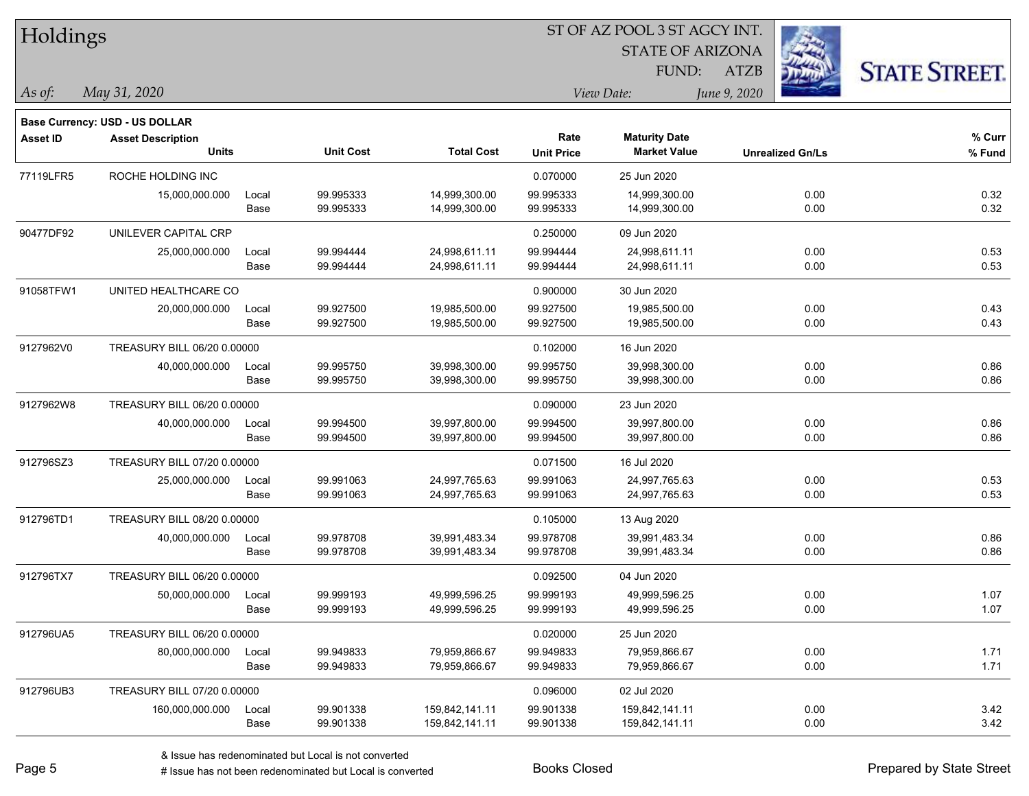| Holdings        |                                          |       |                  |                   | ST OF AZ POOL 3 ST AGCY INT.<br><b>STATE OF ARIZONA</b> |                                             |                         |                      |  |  |  |
|-----------------|------------------------------------------|-------|------------------|-------------------|---------------------------------------------------------|---------------------------------------------|-------------------------|----------------------|--|--|--|
|                 |                                          |       |                  |                   |                                                         |                                             |                         |                      |  |  |  |
|                 |                                          |       |                  |                   |                                                         | FUND:                                       | <b>ATZB</b>             | <b>STATE STREET.</b> |  |  |  |
| As of:          | May 31, 2020                             |       |                  |                   |                                                         | View Date:                                  | June 9, 2020            |                      |  |  |  |
|                 | Base Currency: USD - US DOLLAR           |       |                  |                   |                                                         |                                             |                         |                      |  |  |  |
| <b>Asset ID</b> | <b>Asset Description</b><br><b>Units</b> |       | <b>Unit Cost</b> | <b>Total Cost</b> | Rate<br><b>Unit Price</b>                               | <b>Maturity Date</b><br><b>Market Value</b> | <b>Unrealized Gn/Ls</b> | % Curr<br>% Fund     |  |  |  |
| 77119LFR5       | ROCHE HOLDING INC                        |       |                  |                   | 0.070000                                                | 25 Jun 2020                                 |                         |                      |  |  |  |
|                 | 15,000,000.000                           | Local | 99.995333        | 14,999,300.00     | 99.995333                                               | 14,999,300.00                               | 0.00                    | 0.32                 |  |  |  |
|                 |                                          | Base  | 99.995333        | 14,999,300.00     | 99.995333                                               | 14,999,300.00                               | 0.00                    | 0.32                 |  |  |  |
| 90477DF92       | UNILEVER CAPITAL CRP                     |       |                  |                   | 0.250000                                                | 09 Jun 2020                                 |                         |                      |  |  |  |
|                 | 25,000,000.000                           | Local | 99.994444        | 24,998,611.11     | 99.994444                                               | 24,998,611.11                               | 0.00                    | 0.53                 |  |  |  |
|                 |                                          | Base  | 99.994444        | 24,998,611.11     | 99.994444                                               | 24,998,611.11                               | 0.00                    | 0.53                 |  |  |  |
| 91058TFW1       | UNITED HEALTHCARE CO                     |       |                  |                   | 0.900000                                                | 30 Jun 2020                                 |                         |                      |  |  |  |
|                 | 20,000,000.000                           | Local | 99.927500        | 19,985,500.00     | 99.927500                                               | 19,985,500.00                               | 0.00                    | 0.43                 |  |  |  |
|                 |                                          | Base  | 99.927500        | 19,985,500.00     | 99.927500                                               | 19,985,500.00                               | 0.00                    | 0.43                 |  |  |  |
| 9127962V0       | TREASURY BILL 06/20 0.00000              |       |                  |                   | 0.102000                                                | 16 Jun 2020                                 |                         |                      |  |  |  |
|                 | 40,000,000.000                           | Local | 99.995750        | 39,998,300.00     | 99.995750                                               | 39,998,300.00                               | 0.00                    | 0.86                 |  |  |  |
|                 |                                          | Base  | 99.995750        | 39,998,300.00     | 99.995750                                               | 39,998,300.00                               | 0.00                    | 0.86                 |  |  |  |
| 9127962W8       | TREASURY BILL 06/20 0.00000              |       |                  |                   | 0.090000                                                | 23 Jun 2020                                 |                         |                      |  |  |  |
|                 | 40,000,000.000                           | Local | 99.994500        | 39,997,800.00     | 99.994500                                               | 39,997,800.00                               | 0.00                    | 0.86                 |  |  |  |
|                 |                                          | Base  | 99.994500        | 39,997,800.00     | 99.994500                                               | 39,997,800.00                               | 0.00                    | 0.86                 |  |  |  |
| 912796SZ3       | TREASURY BILL 07/20 0.00000              |       |                  |                   | 0.071500                                                | 16 Jul 2020                                 |                         |                      |  |  |  |
|                 | 25,000,000.000                           | Local | 99.991063        | 24,997,765.63     | 99.991063                                               | 24,997,765.63                               | 0.00                    | 0.53                 |  |  |  |
|                 |                                          | Base  | 99.991063        | 24,997,765.63     | 99.991063                                               | 24,997,765.63                               | 0.00                    | 0.53                 |  |  |  |
| 912796TD1       | TREASURY BILL 08/20 0.00000              |       |                  |                   | 0.105000                                                | 13 Aug 2020                                 |                         |                      |  |  |  |
|                 | 40,000,000.000                           | Local | 99.978708        | 39,991,483.34     | 99.978708                                               | 39,991,483.34                               | 0.00                    | 0.86                 |  |  |  |
|                 |                                          | Base  | 99.978708        | 39,991,483.34     | 99.978708                                               | 39,991,483.34                               | 0.00                    | 0.86                 |  |  |  |
| 912796TX7       | TREASURY BILL 06/20 0.00000              |       |                  |                   | 0.092500                                                | 04 Jun 2020                                 |                         |                      |  |  |  |
|                 | 50,000,000.000                           | Local | 99.999193        | 49,999,596.25     | 99.999193                                               | 49,999,596.25                               | 0.00                    | 1.07                 |  |  |  |
|                 |                                          | Base  | 99.999193        | 49,999,596.25     | 99.999193                                               | 49,999,596.25                               | 0.00                    | 1.07                 |  |  |  |
| 912796UA5       | TREASURY BILL 06/20 0.00000              |       |                  |                   | 0.020000                                                | 25 Jun 2020                                 |                         |                      |  |  |  |
|                 | 80,000,000.000                           | Local | 99.949833        | 79,959,866.67     | 99.949833                                               | 79,959,866.67                               | 0.00                    | 1.71                 |  |  |  |
|                 |                                          | Base  | 99.949833        | 79,959,866.67     | 99.949833                                               | 79,959,866.67                               | 0.00                    | 1.71                 |  |  |  |
| 912796UB3       | TREASURY BILL 07/20 0.00000              |       |                  |                   | 0.096000                                                | 02 Jul 2020                                 |                         |                      |  |  |  |
|                 | 160,000,000.000                          | Local | 99.901338        | 159,842,141.11    | 99.901338                                               | 159,842,141.11                              | 0.00                    | 3.42                 |  |  |  |
|                 |                                          | Base  | 99.901338        | 159,842,141.11    | 99.901338                                               | 159,842,141.11                              | 0.00                    | 3.42                 |  |  |  |

 $\overline{\phantom{a}}$ 

 $\overline{\phantom{a}}$ 

 $\overline{\phantom{0}}$ 

 $\overline{\phantom{a}}$ 

 $\overline{\phantom{0}}$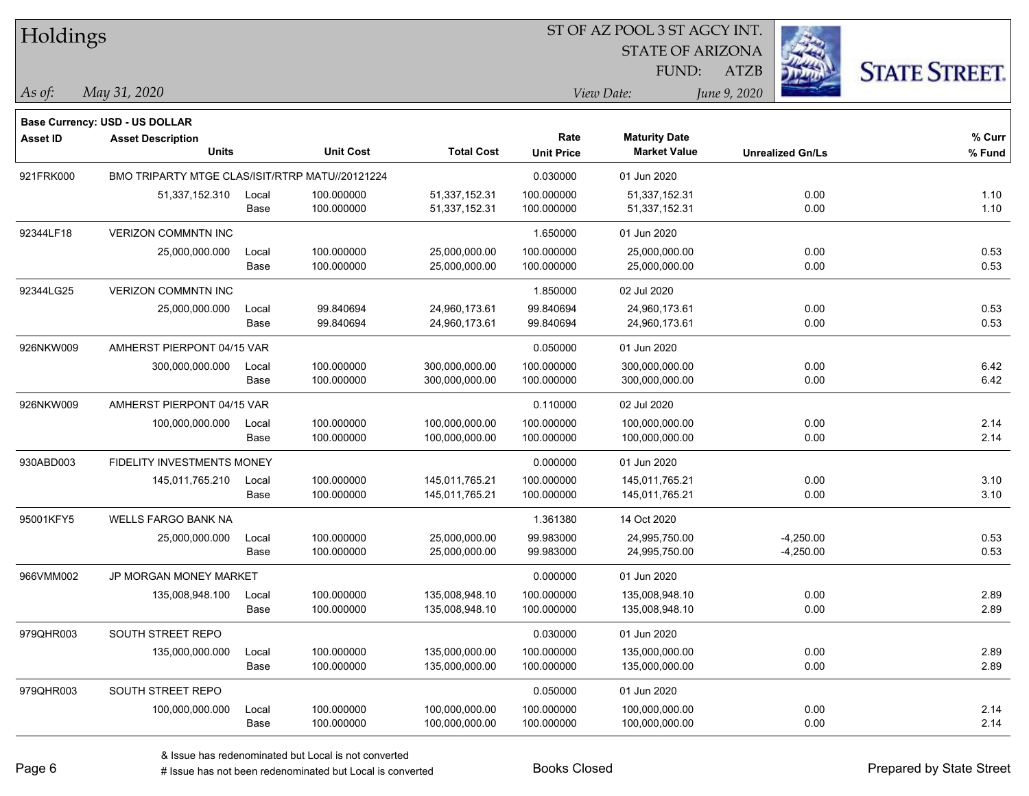Holdings STATE OF ARIZONA **STATE STREET** FUND: ATZB *May 31, 2020 As of: View Date: June 9, 2020* **Base Currency: USD - US DOLLAR Asset ID Asset Description Rate Maturity Date % Curr Units Unit Cost Total Cost Unit Price Market Value Unrealized Gn/Ls % Fund** 921FRK000 BMO TRIPARTY MTGE CLAS/ISIT/RTRP MATU//20121224 0.0000 00000 01 Jun 2020 51,337,152.310 Local 100.000000 51,337,152.31 100.000000 51,337,152.31 0.00 1.10 Base 100.000000 51,337,152.31 100.000000 51,337,152.31 0.00 1.10 92344LF18 VERIZON COMMNTN INC 1.650000 01 Jun 2020 25,000,000.000 Local 100.000000 25,000,000.00 100.000000 25,000,000.00 0.00 0.53 Base 100.000000 25,000,000.00 100.000000 25,000,000.00 0.00 0.53 92344LG25 VERIZON COMMNTN INC 1.850000 02 Jul 2020 25,000,000.000 Local 99.840694 24,960,173.61 99.840694 24,960,173.61 0.00 0.53 Base 99.840694 24,960,173.61 99.840694 24,960,173.61 0.00 0.53 926NKW009 AMHERST PIERPONT 04/15 VAR 0.05000 01 Jun 2020 300,000,000.000 Local 100.000000 300,000,000.00 100.000000 300,000,000.00 0.00 6.42 Base 100.000000 300,000,000.00 100.000000 300,000,000.00 0.00 6.42 926NKW009 AMHERST PIERPONT 04/15 VAR 0.110000 02 Jul 2020 100,000,000.000 Local 100.000000 100,000,000.00 100.000000 100,000,000.00 0.00 2.14 Base 100.000000 100,000,000.00 100.000000 100,000,000.00 0.00 2.14 930ABD003 FIDELITY INVESTMENTS MONEY 0.000000 01 Jun 2020 145,011,765.210 Local 100.000000 145,011,765.21 100.000000 145,011,765.21 0.00 3.10 Base 100.000000 145,011,765.21 100.000000 145,011,765.21 0.00 3.10 95001KFY5 WELLS FARGO BANK NA 1.361380 14 Oct 2020 25,000,000.000 Local 100.000000 25,000,000.00 99.983000 24,995,750.00 -4,250.00 0.53 Base 100.000000 25,000,000.00 99.983000 24,995,750.00 4,250.00 0.53 966VMM002 JP MORGAN MONEY MARKET 0.000000 01 Jun 2020 135,008,948.100 Local 100.000000 135,008,948.10 100.000000 135,008,948.10 0.00 2.89 Base 100.000000 135,008,948.10 100.000000 135,008,948.10 0.00 2.89 979QHR003 SOUTH STREET REPO 600000 01 Jun 2020 135,000,000.000 Local 100.000000 135,000,000.00 100.000000 135,000,000.00 0.00 2.89 Base 100.000000 135,000,000.00 100.000000 135,000,000.00 0.00 2.89 979QHR003 SOUTH STREET REPO 600000 SOUTH STREET REPO 100,000,000.000 Local 100.000000 100,000,000.00 100.000000 100,000,000.00 0.00 2.14 Base 100.000000 100,000,000.00 100.000000 100,000,000.00 0.00 2.14

ST OF AZ POOL 3 ST AGCY INT.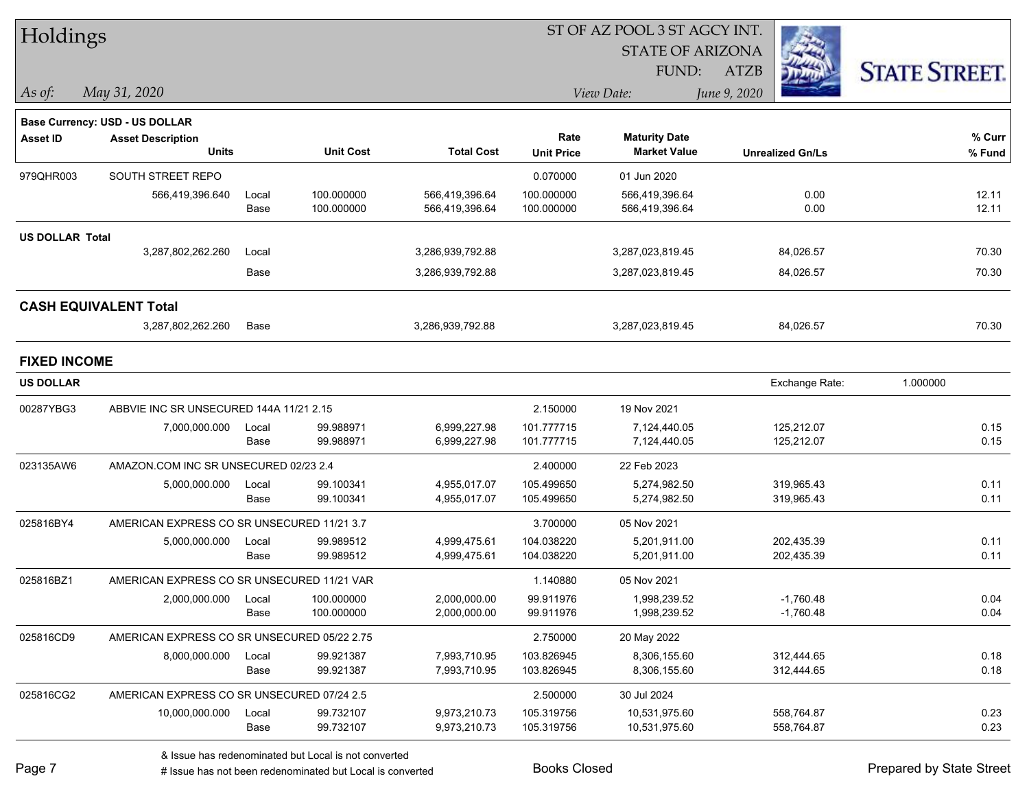| Holdings               |                                             |       |                  |                   |                   | ST OF AZ POOL 3 ST AGCY INT. |                         |                |                      |
|------------------------|---------------------------------------------|-------|------------------|-------------------|-------------------|------------------------------|-------------------------|----------------|----------------------|
|                        |                                             |       |                  |                   |                   | <b>STATE OF ARIZONA</b>      |                         |                |                      |
|                        |                                             |       |                  |                   |                   | FUND:                        | <b>ATZB</b>             |                | <b>STATE STREET.</b> |
| As of:                 | May 31, 2020                                |       |                  |                   |                   | View Date:                   | June 9, 2020            |                |                      |
|                        | Base Currency: USD - US DOLLAR              |       |                  |                   |                   |                              |                         |                |                      |
| <b>Asset ID</b>        | <b>Asset Description</b>                    |       |                  |                   | Rate              | <b>Maturity Date</b>         |                         |                | % Curr               |
|                        | <b>Units</b>                                |       | <b>Unit Cost</b> | <b>Total Cost</b> | <b>Unit Price</b> | <b>Market Value</b>          | <b>Unrealized Gn/Ls</b> |                | % Fund               |
| 979QHR003              | SOUTH STREET REPO                           |       |                  |                   | 0.070000          | 01 Jun 2020                  |                         |                |                      |
|                        | 566,419,396.640                             | Local | 100.000000       | 566,419,396.64    | 100.000000        | 566,419,396.64               |                         | 0.00           | 12.11                |
|                        |                                             | Base  | 100.000000       | 566,419,396.64    | 100.000000        | 566,419,396.64               |                         | 0.00           | 12.11                |
| <b>US DOLLAR Total</b> |                                             |       |                  |                   |                   |                              |                         |                |                      |
|                        | 3,287,802,262.260                           | Local |                  | 3,286,939,792.88  |                   | 3,287,023,819.45             |                         | 84,026.57      | 70.30                |
|                        |                                             | Base  |                  | 3,286,939,792.88  |                   | 3,287,023,819.45             |                         | 84,026.57      | 70.30                |
|                        | <b>CASH EQUIVALENT Total</b>                |       |                  |                   |                   |                              |                         |                |                      |
|                        | 3,287,802,262.260                           | Base  |                  | 3,286,939,792.88  |                   | 3,287,023,819.45             |                         | 84,026.57      | 70.30                |
| <b>FIXED INCOME</b>    |                                             |       |                  |                   |                   |                              |                         |                |                      |
| <b>US DOLLAR</b>       |                                             |       |                  |                   |                   |                              |                         | Exchange Rate: | 1.000000             |
| 00287YBG3              | ABBVIE INC SR UNSECURED 144A 11/21 2.15     |       |                  |                   | 2.150000          | 19 Nov 2021                  |                         |                |                      |
|                        | 7,000,000.000                               | Local | 99.988971        | 6,999,227.98      | 101.777715        | 7,124,440.05                 |                         | 125,212.07     | 0.15                 |
|                        |                                             | Base  | 99.988971        | 6,999,227.98      | 101.777715        | 7,124,440.05                 |                         | 125,212.07     | 0.15                 |
| 023135AW6              | AMAZON.COM INC SR UNSECURED 02/23 2.4       |       |                  |                   | 2.400000          | 22 Feb 2023                  |                         |                |                      |
|                        | 5,000,000.000                               | Local | 99.100341        | 4,955,017.07      | 105.499650        | 5,274,982.50                 |                         | 319,965.43     | 0.11                 |
|                        |                                             | Base  | 99.100341        | 4,955,017.07      | 105.499650        | 5,274,982.50                 |                         | 319,965.43     | 0.11                 |
| 025816BY4              | AMERICAN EXPRESS CO SR UNSECURED 11/21 3.7  |       |                  |                   | 3.700000          | 05 Nov 2021                  |                         |                |                      |
|                        | 5,000,000.000                               | Local | 99.989512        | 4,999,475.61      | 104.038220        | 5,201,911.00                 |                         | 202,435.39     | 0.11                 |
|                        |                                             | Base  | 99.989512        | 4,999,475.61      | 104.038220        | 5,201,911.00                 |                         | 202,435.39     | 0.11                 |
| 025816BZ1              | AMERICAN EXPRESS CO SR UNSECURED 11/21 VAR  |       |                  |                   | 1.140880          | 05 Nov 2021                  |                         |                |                      |
|                        | 2,000,000.000                               | Local | 100.000000       | 2,000,000.00      | 99.911976         | 1,998,239.52                 |                         | $-1,760.48$    | 0.04                 |
|                        |                                             | Base  | 100.000000       | 2,000,000.00      | 99.911976         | 1,998,239.52                 |                         | $-1,760.48$    | 0.04                 |
| 025816CD9              | AMERICAN EXPRESS CO SR UNSECURED 05/22 2.75 |       |                  |                   | 2.750000          | 20 May 2022                  |                         |                |                      |
|                        | 8,000,000.000                               | Local | 99.921387        | 7,993,710.95      | 103.826945        | 8,306,155.60                 |                         | 312,444.65     | 0.18                 |
|                        |                                             | Base  | 99.921387        | 7,993,710.95      | 103.826945        | 8,306,155.60                 |                         | 312,444.65     | 0.18                 |
| 025816CG2              | AMERICAN EXPRESS CO SR UNSECURED 07/24 2.5  |       |                  |                   | 2.500000          | 30 Jul 2024                  |                         |                |                      |
|                        | 10,000,000.000                              | Local | 99.732107        | 9,973,210.73      | 105.319756        | 10,531,975.60                |                         | 558,764.87     | 0.23                 |
|                        |                                             | Base  | 99.732107        | 9,973,210.73      | 105.319756        | 10,531,975.60                |                         | 558,764.87     | 0.23                 |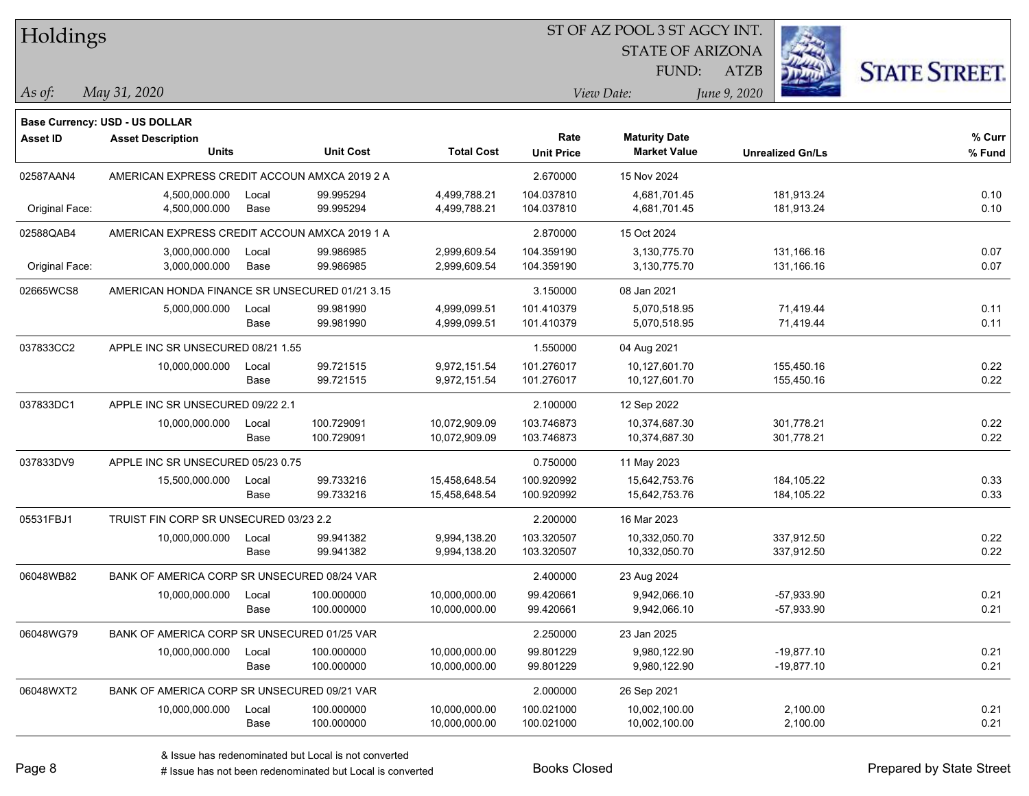| Holdings |
|----------|
|----------|

STATE OF ARIZONA FUND:



*May 31, 2020 As of: View Date: June 9, 2020*

**Base Currency: USD - US DOLLAR**

ATZB

| Asset ID       | <b>Asset Description</b><br><b>Units</b>       |                      | <b>Unit Cost</b>         | <b>Total Cost</b>              | Rate<br><b>Unit Price</b> | <b>Maturity Date</b><br><b>Market Value</b> | <b>Unrealized Gn/Ls</b>      | % Curr<br>% Fund |
|----------------|------------------------------------------------|----------------------|--------------------------|--------------------------------|---------------------------|---------------------------------------------|------------------------------|------------------|
| 02587AAN4      | AMERICAN EXPRESS CREDIT ACCOUN AMXCA 2019 2 A  |                      |                          |                                | 2.670000                  | 15 Nov 2024                                 |                              |                  |
| Original Face: | 4,500,000.000<br>4,500,000.000                 | Local<br>Base        | 99.995294<br>99.995294   | 4,499,788.21<br>4,499,788.21   | 104.037810<br>104.037810  | 4,681,701.45<br>4,681,701.45                | 181,913.24<br>181,913.24     | 0.10<br>0.10     |
| 02588QAB4      | AMERICAN EXPRESS CREDIT ACCOUN AMXCA 2019 1 A  |                      |                          |                                | 2.870000                  | 15 Oct 2024                                 |                              |                  |
| Original Face: | 3,000,000.000<br>3,000,000.000                 | Local<br><b>Base</b> | 99.986985<br>99.986985   | 2,999,609.54<br>2,999,609.54   | 104.359190<br>104.359190  | 3,130,775.70<br>3,130,775.70                | 131,166.16<br>131,166.16     | 0.07<br>0.07     |
| 02665WCS8      | AMERICAN HONDA FINANCE SR UNSECURED 01/21 3.15 |                      |                          |                                | 3.150000                  | 08 Jan 2021                                 |                              |                  |
|                | 5,000,000.000                                  | Local<br>Base        | 99.981990<br>99.981990   | 4,999,099.51<br>4,999,099.51   | 101.410379<br>101.410379  | 5,070,518.95<br>5,070,518.95                | 71,419.44<br>71,419.44       | 0.11<br>0.11     |
| 037833CC2      | APPLE INC SR UNSECURED 08/21 1.55              |                      |                          |                                | 1.550000                  | 04 Aug 2021                                 |                              |                  |
|                | 10,000,000.000                                 | Local<br>Base        | 99.721515<br>99.721515   | 9,972,151.54<br>9,972,151.54   | 101.276017<br>101.276017  | 10,127,601.70<br>10,127,601.70              | 155,450.16<br>155,450.16     | 0.22<br>0.22     |
| 037833DC1      | APPLE INC SR UNSECURED 09/22 2.1               |                      |                          |                                | 2.100000                  | 12 Sep 2022                                 |                              |                  |
|                | 10,000,000.000                                 | Local<br>Base        | 100.729091<br>100.729091 | 10,072,909.09<br>10,072,909.09 | 103.746873<br>103.746873  | 10,374,687.30<br>10,374,687.30              | 301,778.21<br>301,778.21     | 0.22<br>0.22     |
| 037833DV9      | APPLE INC SR UNSECURED 05/23 0.75              |                      |                          |                                | 0.750000                  | 11 May 2023                                 |                              |                  |
|                | 15,500,000.000                                 | Local<br>Base        | 99.733216<br>99.733216   | 15,458,648.54<br>15,458,648.54 | 100.920992<br>100.920992  | 15,642,753.76<br>15,642,753.76              | 184, 105.22<br>184, 105.22   | 0.33<br>0.33     |
| 05531FBJ1      | TRUIST FIN CORP SR UNSECURED 03/23 2.2         |                      |                          |                                | 2.200000                  | 16 Mar 2023                                 |                              |                  |
|                | 10,000,000.000                                 | Local<br>Base        | 99.941382<br>99.941382   | 9,994,138.20<br>9,994,138.20   | 103.320507<br>103.320507  | 10,332,050.70<br>10,332,050.70              | 337,912.50<br>337,912.50     | 0.22<br>0.22     |
| 06048WB82      | BANK OF AMERICA CORP SR UNSECURED 08/24 VAR    |                      |                          |                                | 2.400000                  | 23 Aug 2024                                 |                              |                  |
|                | 10,000,000.000                                 | Local<br>Base        | 100.000000<br>100.000000 | 10,000,000.00<br>10,000,000.00 | 99.420661<br>99.420661    | 9,942,066.10<br>9,942,066.10                | $-57,933.90$<br>-57,933.90   | 0.21<br>0.21     |
| 06048WG79      | BANK OF AMERICA CORP SR UNSECURED 01/25 VAR    |                      |                          |                                | 2.250000                  | 23 Jan 2025                                 |                              |                  |
|                | 10,000,000.000                                 | Local<br>Base        | 100.000000<br>100.000000 | 10,000,000.00<br>10,000,000.00 | 99.801229<br>99.801229    | 9,980,122.90<br>9,980,122.90                | $-19,877.10$<br>$-19,877.10$ | 0.21<br>0.21     |
| 06048WXT2      | BANK OF AMERICA CORP SR UNSECURED 09/21 VAR    |                      |                          |                                | 2.000000                  | 26 Sep 2021                                 |                              |                  |
|                | 10,000,000.000                                 | Local<br>Base        | 100.000000<br>100.000000 | 10,000,000.00<br>10,000,000.00 | 100.021000<br>100.021000  | 10,002,100.00<br>10,002,100.00              | 2,100.00<br>2,100.00         | 0.21<br>0.21     |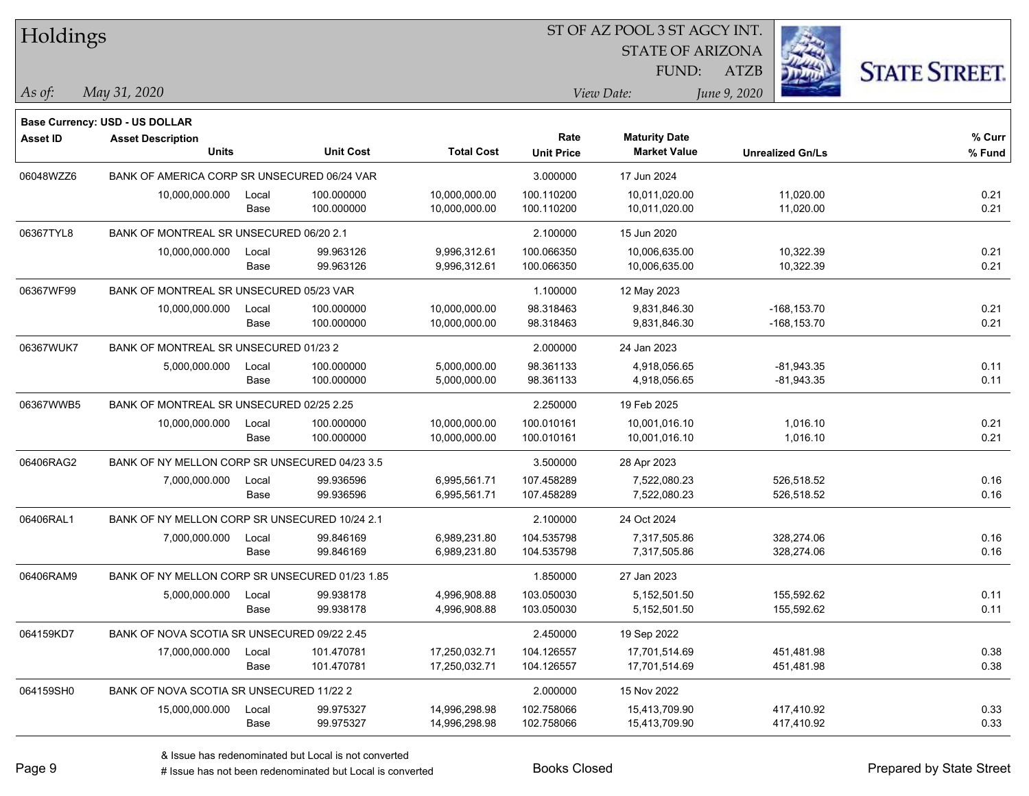| Holdings        |                                                            |       |                  |                   | ST OF AZ POOL 3 ST AGCY INT. |                         |                         |                      |  |  |  |
|-----------------|------------------------------------------------------------|-------|------------------|-------------------|------------------------------|-------------------------|-------------------------|----------------------|--|--|--|
|                 |                                                            |       |                  |                   |                              | <b>STATE OF ARIZONA</b> |                         |                      |  |  |  |
|                 |                                                            |       |                  |                   |                              | FUND:                   | <b>ATZB</b>             | <b>STATE STREET.</b> |  |  |  |
| As of:          | May 31, 2020                                               |       |                  |                   |                              | View Date:              | June 9, 2020            |                      |  |  |  |
|                 |                                                            |       |                  |                   |                              |                         |                         |                      |  |  |  |
| <b>Asset ID</b> | Base Currency: USD - US DOLLAR<br><b>Asset Description</b> |       |                  |                   | Rate                         | <b>Maturity Date</b>    |                         | % Curr               |  |  |  |
|                 | <b>Units</b>                                               |       | <b>Unit Cost</b> | <b>Total Cost</b> | <b>Unit Price</b>            | <b>Market Value</b>     | <b>Unrealized Gn/Ls</b> | % Fund               |  |  |  |
| 06048WZZ6       | BANK OF AMERICA CORP SR UNSECURED 06/24 VAR                |       |                  |                   | 3.000000                     | 17 Jun 2024             |                         |                      |  |  |  |
|                 | 10,000,000.000                                             | Local | 100.000000       | 10,000,000.00     | 100.110200                   | 10,011,020.00           | 11,020.00               | 0.21                 |  |  |  |
|                 |                                                            | Base  | 100.000000       | 10,000,000.00     | 100.110200                   | 10,011,020.00           | 11,020.00               | 0.21                 |  |  |  |
| 06367TYL8       | BANK OF MONTREAL SR UNSECURED 06/20 2.1                    |       |                  |                   | 2.100000                     | 15 Jun 2020             |                         |                      |  |  |  |
|                 | 10,000,000.000                                             | Local | 99.963126        | 9,996,312.61      | 100.066350                   | 10,006,635.00           | 10,322.39               | 0.21                 |  |  |  |
|                 |                                                            | Base  | 99.963126        | 9,996,312.61      | 100.066350                   | 10,006,635.00           | 10,322.39               | 0.21                 |  |  |  |
| 06367WF99       | BANK OF MONTREAL SR UNSECURED 05/23 VAR                    |       |                  |                   | 1.100000                     | 12 May 2023             |                         |                      |  |  |  |
|                 | 10,000,000.000                                             | Local | 100.000000       | 10,000,000.00     | 98.318463                    | 9,831,846.30            | $-168, 153.70$          | 0.21                 |  |  |  |
|                 |                                                            | Base  | 100.000000       | 10,000,000.00     | 98.318463                    | 9,831,846.30            | $-168, 153.70$          | 0.21                 |  |  |  |
| 06367WUK7       | BANK OF MONTREAL SR UNSECURED 01/23 2                      |       |                  |                   | 2.000000                     | 24 Jan 2023             |                         |                      |  |  |  |
|                 | 5,000,000.000                                              | Local | 100.000000       | 5,000,000.00      | 98.361133                    | 4,918,056.65            | $-81,943.35$            | 0.11                 |  |  |  |
|                 |                                                            | Base  | 100.000000       | 5,000,000.00      | 98.361133                    | 4,918,056.65            | $-81,943.35$            | 0.11                 |  |  |  |
| 06367WWB5       | BANK OF MONTREAL SR UNSECURED 02/25 2.25                   |       |                  |                   | 2.250000                     | 19 Feb 2025             |                         |                      |  |  |  |
|                 | 10,000,000.000                                             | Local | 100.000000       | 10,000,000.00     | 100.010161                   | 10,001,016.10           | 1,016.10                | 0.21                 |  |  |  |
|                 |                                                            | Base  | 100.000000       | 10,000,000.00     | 100.010161                   | 10,001,016.10           | 1,016.10                | 0.21                 |  |  |  |
| 06406RAG2       | BANK OF NY MELLON CORP SR UNSECURED 04/23 3.5              |       |                  |                   | 3.500000                     | 28 Apr 2023             |                         |                      |  |  |  |
|                 | 7,000,000.000                                              | Local | 99.936596        | 6,995,561.71      | 107.458289                   | 7,522,080.23            | 526,518.52              | 0.16                 |  |  |  |
|                 |                                                            | Base  | 99.936596        | 6,995,561.71      | 107.458289                   | 7,522,080.23            | 526,518.52              | 0.16                 |  |  |  |
| 06406RAL1       | BANK OF NY MELLON CORP SR UNSECURED 10/24 2.1              |       |                  |                   | 2.100000                     | 24 Oct 2024             |                         |                      |  |  |  |
|                 | 7,000,000.000                                              | Local | 99.846169        | 6,989,231.80      | 104.535798                   | 7,317,505.86            | 328,274.06              | 0.16                 |  |  |  |
|                 |                                                            | Base  | 99.846169        | 6,989,231.80      | 104.535798                   | 7,317,505.86            | 328,274.06              | 0.16                 |  |  |  |
| 06406RAM9       | BANK OF NY MELLON CORP SR UNSECURED 01/23 1.85             |       |                  |                   | 1.850000                     | 27 Jan 2023             |                         |                      |  |  |  |
|                 | 5,000,000.000                                              | Local | 99.938178        | 4,996,908.88      | 103.050030                   | 5,152,501.50            | 155,592.62              | 0.11                 |  |  |  |
|                 |                                                            | Base  | 99.938178        | 4,996,908.88      | 103.050030                   | 5,152,501.50            | 155,592.62              | 0.11                 |  |  |  |
| 064159KD7       | BANK OF NOVA SCOTIA SR UNSECURED 09/22 2.45                |       |                  |                   | 2.450000                     | 19 Sep 2022             |                         |                      |  |  |  |
|                 | 17,000,000.000                                             | Local | 101.470781       | 17,250,032.71     | 104.126557                   | 17,701,514.69           | 451,481.98              | 0.38                 |  |  |  |
|                 |                                                            | Base  | 101.470781       | 17,250,032.71     | 104.126557                   | 17,701,514.69           | 451,481.98              | 0.38                 |  |  |  |
| 064159SH0       | BANK OF NOVA SCOTIA SR UNSECURED 11/22 2                   |       |                  |                   | 2.000000                     | 15 Nov 2022             |                         |                      |  |  |  |
|                 | 15,000,000.000                                             | Local | 99.975327        | 14,996,298.98     | 102.758066                   | 15,413,709.90           | 417,410.92              | 0.33                 |  |  |  |
|                 |                                                            | Base  | 99.975327        | 14,996,298.98     | 102.758066                   | 15,413,709.90           | 417,410.92              | 0.33                 |  |  |  |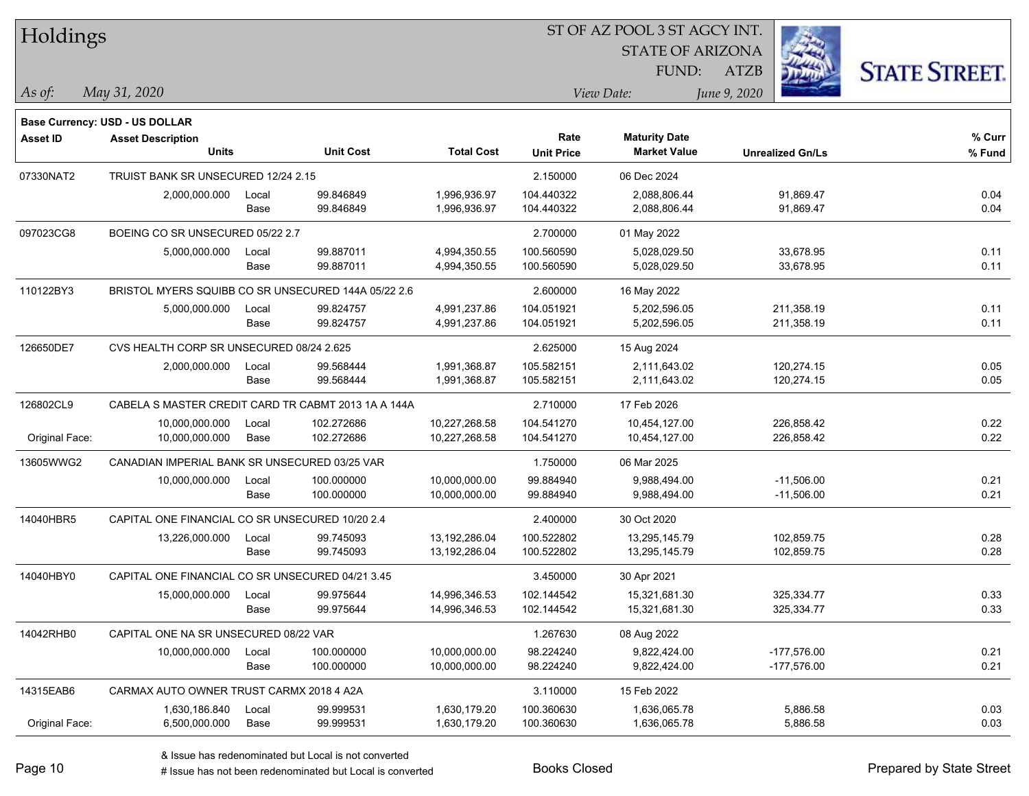| Holdings        |                                                     |               |                          |                                |                           | <b>STATE OF ARIZONA</b><br>FUND:            | <b>ATZB</b>                    | <b>STATE STREET.</b> |
|-----------------|-----------------------------------------------------|---------------|--------------------------|--------------------------------|---------------------------|---------------------------------------------|--------------------------------|----------------------|
| $\vert$ As of:  | May 31, 2020                                        |               |                          |                                |                           | View Date:                                  | June 9, 2020                   |                      |
|                 | <b>Base Currency: USD - US DOLLAR</b>               |               |                          |                                |                           |                                             |                                |                      |
| <b>Asset ID</b> | <b>Asset Description</b><br>Units                   |               | <b>Unit Cost</b>         | <b>Total Cost</b>              | Rate<br><b>Unit Price</b> | <b>Maturity Date</b><br><b>Market Value</b> | <b>Unrealized Gn/Ls</b>        | $%$ Curr<br>% Fund   |
| 07330NAT2       | TRUIST BANK SR UNSECURED 12/24 2.15                 |               |                          |                                | 2.150000                  | 06 Dec 2024                                 |                                |                      |
|                 | 2,000,000.000                                       | Local<br>Base | 99.846849<br>99.846849   | 1,996,936.97<br>1,996,936.97   | 104.440322<br>104.440322  | 2,088,806.44<br>2,088,806.44                | 91,869.47<br>91,869.47         | 0.04<br>0.04         |
| 097023CG8       | BOEING CO SR UNSECURED 05/22 2.7                    |               |                          |                                | 2.700000                  | 01 May 2022                                 |                                |                      |
|                 | 5,000,000.000                                       | Local<br>Base | 99.887011<br>99.887011   | 4,994,350.55<br>4,994,350.55   | 100.560590<br>100.560590  | 5,028,029.50<br>5,028,029.50                | 33,678.95<br>33,678.95         | 0.11<br>0.11         |
| 110122BY3       | BRISTOL MYERS SQUIBB CO SR UNSECURED 144A 05/22 2.6 |               |                          |                                | 2.600000                  | 16 May 2022                                 |                                |                      |
|                 | 5,000,000.000                                       | Local<br>Base | 99.824757<br>99.824757   | 4,991,237.86<br>4,991,237.86   | 104.051921<br>104.051921  | 5,202,596.05<br>5,202,596.05                | 211,358.19<br>211,358.19       | 0.11<br>0.11         |
| 126650DE7       | CVS HEALTH CORP SR UNSECURED 08/24 2.625            |               |                          |                                | 2.625000                  | 15 Aug 2024                                 |                                |                      |
|                 | 2,000,000.000                                       | Local<br>Base | 99.568444<br>99.568444   | 1,991,368.87<br>1,991,368.87   | 105.582151<br>105.582151  | 2.111.643.02<br>2,111,643.02                | 120,274.15<br>120,274.15       | 0.05<br>0.05         |
| 126802CL9       | CABELA S MASTER CREDIT CARD TR CABMT 2013 1A A 144A |               |                          |                                | 2.710000                  | 17 Feb 2026                                 |                                |                      |
| Original Face:  | 10,000,000.000<br>10,000,000.000                    | Local<br>Base | 102.272686<br>102.272686 | 10,227,268.58<br>10,227,268.58 | 104.541270<br>104.541270  | 10,454,127.00<br>10,454,127.00              | 226,858.42<br>226,858.42       | 0.22<br>0.22         |
| 13605WWG2       | CANADIAN IMPERIAL BANK SR UNSECURED 03/25 VAR       |               |                          |                                | 1.750000                  | 06 Mar 2025                                 |                                |                      |
|                 | 10,000,000.000                                      | Local<br>Base | 100.000000<br>100.000000 | 10,000,000.00<br>10,000,000.00 | 99.884940<br>99.884940    | 9,988,494.00<br>9,988,494.00                | $-11,506.00$<br>$-11,506.00$   | 0.21<br>0.21         |
| 14040HBR5       | CAPITAL ONE FINANCIAL CO SR UNSECURED 10/20 2.4     |               |                          |                                | 2.400000                  | 30 Oct 2020                                 |                                |                      |
|                 | 13,226,000.000                                      | Local<br>Base | 99.745093<br>99.745093   | 13,192,286.04<br>13,192,286.04 | 100.522802<br>100.522802  | 13,295,145.79<br>13,295,145.79              | 102,859.75<br>102,859.75       | 0.28<br>0.28         |
| 14040HBY0       | CAPITAL ONE FINANCIAL CO SR UNSECURED 04/21 3.45    |               |                          |                                | 3.450000                  | 30 Apr 2021                                 |                                |                      |
|                 | 15,000,000.000                                      | Local<br>Base | 99.975644<br>99.975644   | 14,996,346.53<br>14,996,346.53 | 102.144542<br>102.144542  | 15,321,681.30<br>15,321,681.30              | 325,334.77<br>325,334.77       | 0.33<br>0.33         |
| 14042RHB0       | CAPITAL ONE NA SR UNSECURED 08/22 VAR               |               |                          |                                | 1.267630                  | 08 Aug 2022                                 |                                |                      |
|                 | 10,000,000.000                                      | Local<br>Base | 100.000000<br>100.000000 | 10,000,000.00<br>10,000,000.00 | 98.224240<br>98.224240    | 9,822,424.00<br>9,822,424.00                | $-177,576.00$<br>$-177,576.00$ | 0.21<br>0.21         |
| 14315EAB6       | CARMAX AUTO OWNER TRUST CARMX 2018 4 A2A            |               |                          |                                | 3.110000                  | 15 Feb 2022                                 |                                |                      |
| Original Face:  | 1,630,186.840<br>6,500,000.000                      | Local<br>Base | 99.999531<br>99.999531   | 1,630,179.20<br>1,630,179.20   | 100.360630<br>100.360630  | 1,636,065.78<br>1,636,065.78                | 5,886.58<br>5,886.58           | 0.03<br>0.03         |

**CONSTRUCTION** 

 $TT.1.1:$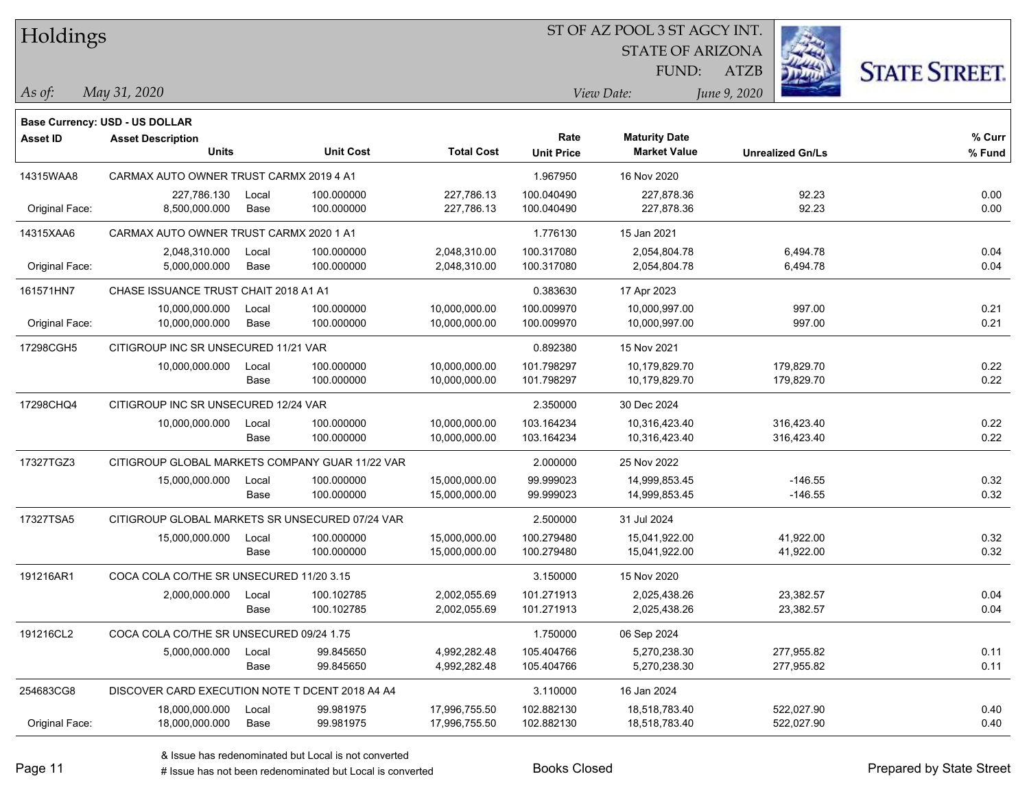| Holdings        |                                                 |       |                  |                   | ST OF AZ POOL 3 ST AGCY INT. |                                             |                         |                      |
|-----------------|-------------------------------------------------|-------|------------------|-------------------|------------------------------|---------------------------------------------|-------------------------|----------------------|
|                 |                                                 |       |                  |                   |                              | <b>STATE OF ARIZONA</b>                     |                         |                      |
|                 |                                                 |       |                  |                   |                              | FUND:                                       | <b>ATZB</b>             | <b>STATE STREET.</b> |
| As of:          | May 31, 2020                                    |       |                  |                   |                              | View Date:                                  | June 9, 2020            |                      |
|                 | <b>Base Currency: USD - US DOLLAR</b>           |       |                  |                   |                              |                                             |                         |                      |
| <b>Asset ID</b> | <b>Asset Description</b><br><b>Units</b>        |       | <b>Unit Cost</b> | <b>Total Cost</b> | Rate<br><b>Unit Price</b>    | <b>Maturity Date</b><br><b>Market Value</b> | <b>Unrealized Gn/Ls</b> | % Curr<br>% Fund     |
| 14315WAA8       | CARMAX AUTO OWNER TRUST CARMX 2019 4 A1         |       |                  |                   | 1.967950                     | 16 Nov 2020                                 |                         |                      |
|                 | 227,786.130                                     | Local | 100.000000       | 227.786.13        | 100.040490                   | 227,878.36                                  | 92.23                   | 0.00                 |
| Original Face:  | 8,500,000.000                                   | Base  | 100.000000       | 227,786.13        | 100.040490                   | 227,878.36                                  | 92.23                   | 0.00                 |
| 14315XAA6       | CARMAX AUTO OWNER TRUST CARMX 2020 1 A1         |       |                  |                   | 1.776130                     | 15 Jan 2021                                 |                         |                      |
|                 | 2,048,310.000                                   | Local | 100.000000       | 2,048,310.00      | 100.317080                   | 2,054,804.78                                | 6,494.78                | 0.04                 |
| Original Face:  | 5,000,000.000                                   | Base  | 100.000000       | 2,048,310.00      | 100.317080                   | 2,054,804.78                                | 6,494.78                | 0.04                 |
| 161571HN7       | CHASE ISSUANCE TRUST CHAIT 2018 A1 A1           |       |                  |                   | 0.383630                     | 17 Apr 2023                                 |                         |                      |
|                 | 10,000,000.000                                  | Local | 100.000000       | 10,000,000.00     | 100.009970                   | 10,000,997.00                               | 997.00                  | 0.21                 |
| Original Face:  | 10,000,000.000                                  | Base  | 100.000000       | 10,000,000.00     | 100.009970                   | 10,000,997.00                               | 997.00                  | 0.21                 |
| 17298CGH5       | CITIGROUP INC SR UNSECURED 11/21 VAR            |       |                  |                   | 0.892380                     | 15 Nov 2021                                 |                         |                      |
|                 | 10,000,000.000                                  | Local | 100.000000       | 10,000,000.00     | 101.798297                   | 10,179,829.70                               | 179,829.70              | 0.22                 |
|                 |                                                 | Base  | 100.000000       | 10,000,000.00     | 101.798297                   | 10,179,829.70                               | 179,829.70              | 0.22                 |
| 17298CHQ4       | CITIGROUP INC SR UNSECURED 12/24 VAR            |       |                  |                   | 2.350000                     | 30 Dec 2024                                 |                         |                      |
|                 | 10,000,000.000                                  | Local | 100.000000       | 10,000,000.00     | 103.164234                   | 10,316,423.40                               | 316,423.40              | 0.22                 |
|                 |                                                 | Base  | 100.000000       | 10,000,000.00     | 103.164234                   | 10,316,423.40                               | 316,423.40              | 0.22                 |
| 17327TGZ3       | CITIGROUP GLOBAL MARKETS COMPANY GUAR 11/22 VAR |       |                  |                   | 2.000000                     | 25 Nov 2022                                 |                         |                      |
|                 | 15,000,000.000                                  | Local | 100.000000       | 15,000,000.00     | 99.999023                    | 14,999,853.45                               | $-146.55$               | 0.32                 |
|                 |                                                 | Base  | 100.000000       | 15,000,000.00     | 99.999023                    | 14,999,853.45                               | $-146.55$               | 0.32                 |
| 17327TSA5       | CITIGROUP GLOBAL MARKETS SR UNSECURED 07/24 VAR |       |                  |                   | 2.500000                     | 31 Jul 2024                                 |                         |                      |
|                 | 15,000,000.000                                  | Local | 100.000000       | 15,000,000.00     | 100.279480                   | 15,041,922.00                               | 41,922.00               | 0.32                 |
|                 |                                                 | Base  | 100.000000       | 15,000,000.00     | 100.279480                   | 15,041,922.00                               | 41,922.00               | 0.32                 |
| 191216AR1       | COCA COLA CO/THE SR UNSECURED 11/20 3.15        |       |                  |                   | 3.150000                     | 15 Nov 2020                                 |                         |                      |
|                 | 2,000,000.000                                   | Local | 100.102785       | 2,002,055.69      | 101.271913                   | 2,025,438.26                                | 23,382.57               | 0.04                 |
|                 |                                                 | Base  | 100.102785       | 2,002,055.69      | 101.271913                   | 2,025,438.26                                | 23,382.57               | 0.04                 |
| 191216CL2       | COCA COLA CO/THE SR UNSECURED 09/24 1.75        |       |                  |                   | 1.750000                     | 06 Sep 2024                                 |                         |                      |
|                 | 5,000,000.000                                   | Local | 99.845650        | 4,992,282.48      | 105.404766                   | 5,270,238.30                                | 277,955.82              | 0.11                 |
|                 |                                                 | Base  | 99.845650        | 4,992,282.48      | 105.404766                   | 5,270,238.30                                | 277,955.82              | 0.11                 |
| 254683CG8       | DISCOVER CARD EXECUTION NOTE T DCENT 2018 A4 A4 |       |                  |                   | 3.110000                     | 16 Jan 2024                                 |                         |                      |
|                 | 18,000,000.000                                  | Local | 99.981975        | 17,996,755.50     | 102.882130                   | 18,518,783.40                               | 522,027.90              | 0.40                 |
| Original Face:  | 18,000,000.000                                  | Base  | 99.981975        | 17,996,755.50     | 102.882130                   | 18,518,783.40                               | 522,027.90              | 0.40                 |

 $\overline{\phantom{0}}$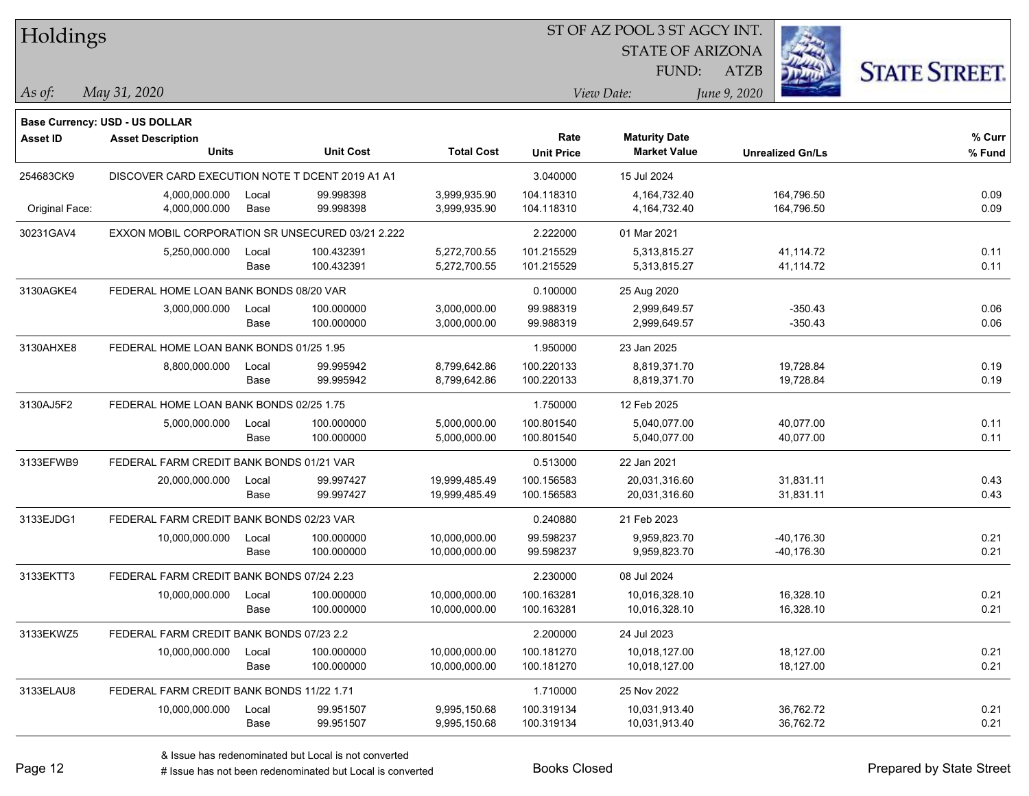| Holdings        |                                                  |       |                  |                   | ST OF AZ POOL 3 ST AGCY INT. |                         |                         |                      |
|-----------------|--------------------------------------------------|-------|------------------|-------------------|------------------------------|-------------------------|-------------------------|----------------------|
|                 |                                                  |       |                  |                   |                              | <b>STATE OF ARIZONA</b> |                         |                      |
|                 |                                                  |       |                  |                   |                              | <b>FUND:</b>            | <b>ATZB</b>             | <b>STATE STREET.</b> |
| $\vert$ As of:  | May 31, 2020                                     |       |                  |                   |                              | View Date:              | June 9, 2020            |                      |
|                 |                                                  |       |                  |                   |                              |                         |                         |                      |
|                 | <b>Base Currency: USD - US DOLLAR</b>            |       |                  |                   | Rate                         | <b>Maturity Date</b>    |                         | % Curr               |
| <b>Asset ID</b> | <b>Asset Description</b><br><b>Units</b>         |       | <b>Unit Cost</b> | <b>Total Cost</b> | <b>Unit Price</b>            | <b>Market Value</b>     | <b>Unrealized Gn/Ls</b> | % Fund               |
| 254683CK9       | DISCOVER CARD EXECUTION NOTE T DCENT 2019 A1 A1  |       |                  |                   | 3.040000                     | 15 Jul 2024             |                         |                      |
|                 | 4,000,000.000                                    | Local | 99.998398        | 3,999,935.90      | 104.118310                   | 4,164,732.40            | 164,796.50              | 0.09                 |
| Original Face:  | 4,000,000.000                                    | Base  | 99.998398        | 3,999,935.90      | 104.118310                   | 4, 164, 732. 40         | 164,796.50              | 0.09                 |
| 30231GAV4       | EXXON MOBIL CORPORATION SR UNSECURED 03/21 2.222 |       |                  |                   | 2.222000                     | 01 Mar 2021             |                         |                      |
|                 | 5,250,000.000                                    | Local | 100.432391       | 5,272,700.55      | 101.215529                   | 5,313,815.27            | 41,114.72               | 0.11                 |
|                 |                                                  | Base  | 100.432391       | 5,272,700.55      | 101.215529                   | 5,313,815.27            | 41,114.72               | 0.11                 |
| 3130AGKE4       | FEDERAL HOME LOAN BANK BONDS 08/20 VAR           |       |                  |                   | 0.100000                     | 25 Aug 2020             |                         |                      |
|                 | 3,000,000.000                                    | Local | 100.000000       | 3,000,000.00      | 99.988319                    | 2,999,649.57            | $-350.43$               | 0.06                 |
|                 |                                                  | Base  | 100.000000       | 3,000,000.00      | 99.988319                    | 2,999,649.57            | $-350.43$               | 0.06                 |
| 3130AHXE8       | FEDERAL HOME LOAN BANK BONDS 01/25 1.95          |       |                  |                   | 1.950000                     | 23 Jan 2025             |                         |                      |
|                 | 8,800,000.000                                    | Local | 99.995942        | 8,799,642.86      | 100.220133                   | 8,819,371.70            | 19,728.84               | 0.19                 |
|                 |                                                  | Base  | 99.995942        | 8,799,642.86      | 100.220133                   | 8,819,371.70            | 19,728.84               | 0.19                 |
| 3130AJ5F2       | FEDERAL HOME LOAN BANK BONDS 02/25 1.75          |       |                  |                   | 1.750000                     | 12 Feb 2025             |                         |                      |
|                 | 5,000,000.000                                    | Local | 100.000000       | 5,000,000.00      | 100.801540                   | 5,040,077.00            | 40,077.00               | 0.11                 |
|                 |                                                  | Base  | 100.000000       | 5,000,000.00      | 100.801540                   | 5,040,077.00            | 40,077.00               | 0.11                 |
| 3133EFWB9       | FEDERAL FARM CREDIT BANK BONDS 01/21 VAR         |       |                  |                   | 0.513000                     | 22 Jan 2021             |                         |                      |
|                 | 20,000,000.000                                   | Local | 99.997427        | 19,999,485.49     | 100.156583                   | 20,031,316.60           | 31,831.11               | 0.43                 |
|                 |                                                  | Base  | 99.997427        | 19,999,485.49     | 100.156583                   | 20,031,316.60           | 31,831.11               | 0.43                 |
| 3133EJDG1       | FEDERAL FARM CREDIT BANK BONDS 02/23 VAR         |       |                  |                   | 0.240880                     | 21 Feb 2023             |                         |                      |
|                 | 10,000,000.000                                   | Local | 100.000000       | 10,000,000.00     | 99.598237                    | 9,959,823.70            | $-40,176.30$            | 0.21                 |
|                 |                                                  | Base  | 100.000000       | 10,000,000.00     | 99.598237                    | 9,959,823.70            | -40,176.30              | 0.21                 |
| 3133EKTT3       | FEDERAL FARM CREDIT BANK BONDS 07/24 2.23        |       |                  |                   | 2.230000                     | 08 Jul 2024             |                         |                      |
|                 | 10,000,000.000                                   | Local | 100.000000       | 10,000,000.00     | 100.163281                   | 10,016,328.10           | 16,328.10               | 0.21                 |
|                 |                                                  | Base  | 100.000000       | 10,000,000.00     | 100.163281                   | 10,016,328.10           | 16,328.10               | 0.21                 |
| 3133EKWZ5       | FEDERAL FARM CREDIT BANK BONDS 07/23 2.2         |       |                  |                   | 2.200000                     | 24 Jul 2023             |                         |                      |
|                 | 10,000,000.000                                   | Local | 100.000000       | 10,000,000.00     | 100.181270                   | 10,018,127.00           | 18,127.00               | 0.21                 |
|                 |                                                  | Base  | 100.000000       | 10,000,000.00     | 100.181270                   | 10,018,127.00           | 18,127.00               | 0.21                 |
| 3133ELAU8       | FEDERAL FARM CREDIT BANK BONDS 11/22 1.71        |       |                  |                   | 1.710000                     | 25 Nov 2022             |                         |                      |
|                 | 10,000,000.000                                   | Local | 99.951507        | 9,995,150.68      | 100.319134                   | 10,031,913.40           | 36,762.72               | 0.21                 |
|                 |                                                  | Base  | 99.951507        | 9,995,150.68      | 100.319134                   | 10,031,913.40           | 36,762.72               | 0.21                 |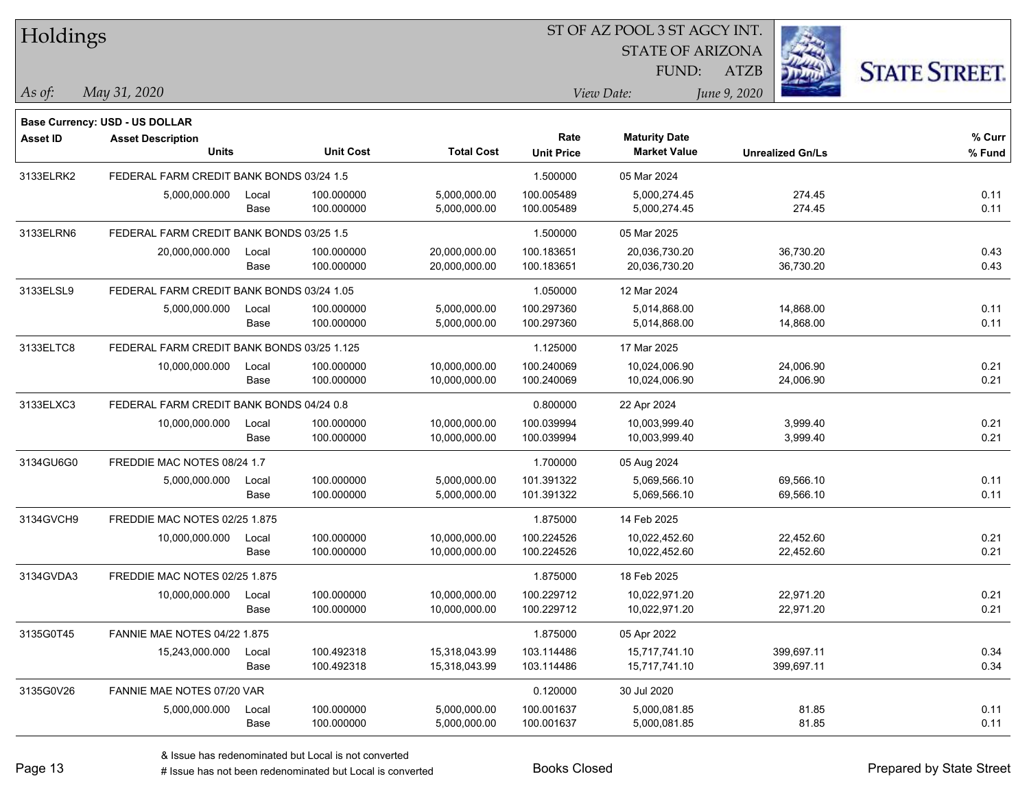| Holdings        |                                            |       |                  |                   | 51 OF AZ POOL 3 51 AGCY INT. |                         |                         |                      |
|-----------------|--------------------------------------------|-------|------------------|-------------------|------------------------------|-------------------------|-------------------------|----------------------|
|                 |                                            |       |                  |                   |                              | <b>STATE OF ARIZONA</b> | Ż.                      |                      |
|                 |                                            |       |                  |                   |                              | FUND:                   | ATZB                    | <b>STATE STREET.</b> |
| As of:          | May 31, 2020                               |       |                  |                   |                              | View Date:              | June 9, 2020            |                      |
|                 |                                            |       |                  |                   |                              |                         |                         |                      |
|                 | <b>Base Currency: USD - US DOLLAR</b>      |       |                  |                   |                              |                         |                         |                      |
| <b>Asset ID</b> | <b>Asset Description</b>                   |       |                  |                   | Rate                         | <b>Maturity Date</b>    |                         | % Curr               |
|                 | <b>Units</b>                               |       | <b>Unit Cost</b> | <b>Total Cost</b> | <b>Unit Price</b>            | <b>Market Value</b>     | <b>Unrealized Gn/Ls</b> | % Fund               |
| 3133ELRK2       | FEDERAL FARM CREDIT BANK BONDS 03/24 1.5   |       |                  |                   | 1.500000                     | 05 Mar 2024             |                         |                      |
|                 | 5,000,000.000                              | Local | 100.000000       | 5,000,000.00      | 100.005489                   | 5,000,274.45            | 274.45                  | 0.11                 |
|                 |                                            | Base  | 100.000000       | 5,000,000.00      | 100.005489                   | 5,000,274.45            | 274.45                  | 0.11                 |
| 3133ELRN6       | FEDERAL FARM CREDIT BANK BONDS 03/25 1.5   |       |                  |                   | 1.500000                     | 05 Mar 2025             |                         |                      |
|                 | 20,000,000.000                             | Local | 100.000000       | 20,000,000.00     | 100.183651                   | 20,036,730.20           | 36,730.20               | 0.43                 |
|                 |                                            | Base  | 100.000000       | 20,000,000.00     | 100.183651                   | 20,036,730.20           | 36,730.20               | 0.43                 |
| 3133ELSL9       | FEDERAL FARM CREDIT BANK BONDS 03/24 1.05  |       |                  |                   | 1.050000                     | 12 Mar 2024             |                         |                      |
|                 | 5,000,000.000                              | Local | 100.000000       | 5,000,000.00      | 100.297360                   | 5,014,868.00            | 14,868.00               | 0.11                 |
|                 |                                            | Base  | 100.000000       | 5,000,000.00      | 100.297360                   | 5,014,868.00            | 14,868.00               | 0.11                 |
| 3133ELTC8       | FEDERAL FARM CREDIT BANK BONDS 03/25 1.125 |       |                  |                   | 1.125000                     | 17 Mar 2025             |                         |                      |
|                 | 10,000,000.000                             | Local | 100.000000       | 10,000,000.00     | 100.240069                   | 10,024,006.90           | 24,006.90               | 0.21                 |
|                 |                                            | Base  | 100.000000       | 10,000,000.00     | 100.240069                   | 10,024,006.90           | 24,006.90               | 0.21                 |
| 3133ELXC3       | FEDERAL FARM CREDIT BANK BONDS 04/24 0.8   |       |                  |                   | 0.800000                     | 22 Apr 2024             |                         |                      |
|                 | 10,000,000.000                             | Local | 100.000000       | 10,000,000.00     | 100.039994                   | 10,003,999.40           | 3,999.40                | 0.21                 |
|                 |                                            | Base  | 100.000000       | 10,000,000.00     | 100.039994                   | 10,003,999.40           | 3,999.40                | 0.21                 |
| 3134GU6G0       | FREDDIE MAC NOTES 08/24 1.7                |       |                  |                   | 1.700000                     | 05 Aug 2024             |                         |                      |
|                 | 5,000,000.000                              | Local | 100.000000       | 5,000,000.00      | 101.391322                   | 5,069,566.10            | 69,566.10               | 0.11                 |
|                 |                                            | Base  | 100.000000       | 5,000,000.00      | 101.391322                   | 5,069,566.10            | 69,566.10               | 0.11                 |
| 3134GVCH9       | FREDDIE MAC NOTES 02/25 1.875              |       |                  |                   | 1.875000                     | 14 Feb 2025             |                         |                      |
|                 | 10,000,000.000                             | Local | 100.000000       | 10,000,000.00     | 100.224526                   | 10,022,452.60           | 22,452.60               | 0.21                 |
|                 |                                            | Base  | 100.000000       | 10,000,000.00     | 100.224526                   | 10,022,452.60           | 22,452.60               | 0.21                 |
| 3134GVDA3       | FREDDIE MAC NOTES 02/25 1.875              |       |                  |                   | 1.875000                     | 18 Feb 2025             |                         |                      |
|                 | 10,000,000.000                             | Local | 100.000000       | 10,000,000.00     | 100.229712                   | 10,022,971.20           | 22,971.20               | 0.21                 |
|                 |                                            | Base  | 100.000000       | 10,000,000.00     | 100.229712                   | 10,022,971.20           | 22,971.20               | 0.21                 |
| 3135G0T45       | FANNIE MAE NOTES 04/22 1.875               |       |                  |                   | 1.875000                     | 05 Apr 2022             |                         |                      |
|                 | 15,243,000.000                             | Local | 100.492318       | 15,318,043.99     | 103.114486                   | 15,717,741.10           | 399,697.11              | 0.34                 |
|                 |                                            | Base  | 100.492318       | 15,318,043.99     | 103.114486                   | 15,717,741.10           | 399,697.11              | 0.34                 |
| 3135G0V26       | FANNIE MAE NOTES 07/20 VAR                 |       |                  |                   | 0.120000                     | 30 Jul 2020             |                         |                      |
|                 | 5,000,000.000                              | Local | 100.000000       | 5,000,000.00      | 100.001637                   | 5,000,081.85            | 81.85                   | 0.11                 |
|                 |                                            | Base  | 100.000000       | 5,000,000.00      | 100.001637                   | 5,000,081.85            | 81.85                   | 0.11                 |
|                 |                                            |       |                  |                   |                              |                         |                         |                      |

ST OF A Z POOL 3 ST ACCV INT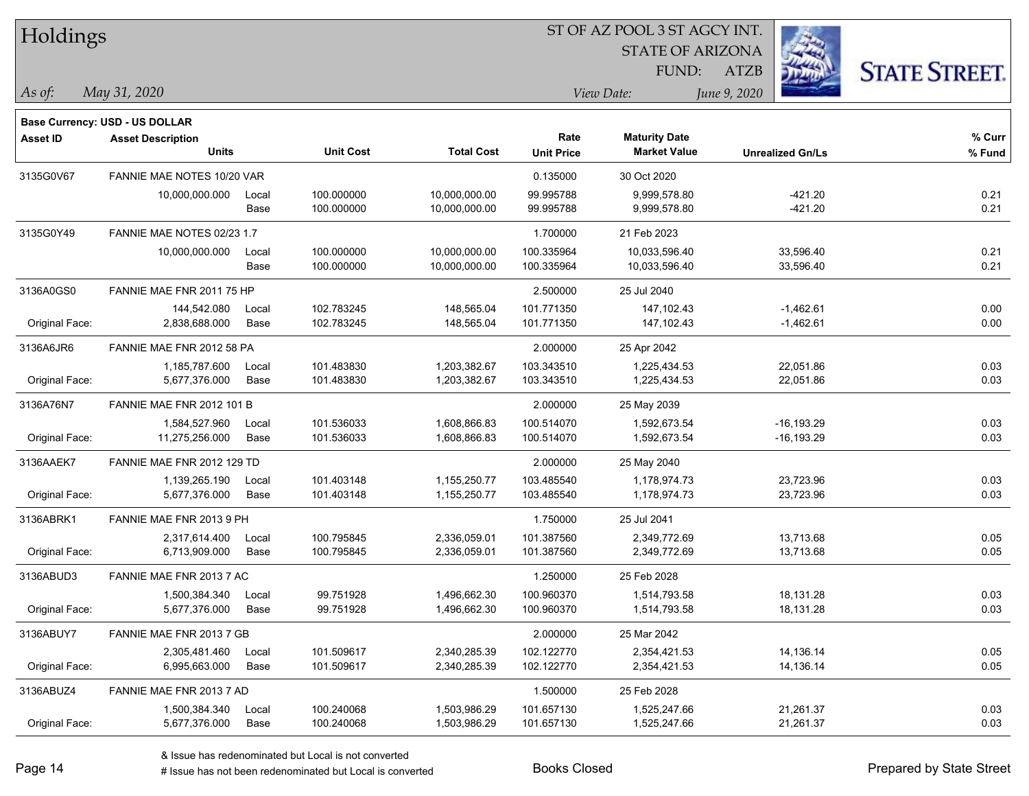| Holdings        |                                       |       |                  |                   |                   |                         | ST OF AZ POOL 3 ST AGCY INT. |                      |  |  |  |  |  |  |
|-----------------|---------------------------------------|-------|------------------|-------------------|-------------------|-------------------------|------------------------------|----------------------|--|--|--|--|--|--|
|                 |                                       |       |                  |                   |                   | <b>STATE OF ARIZONA</b> |                              |                      |  |  |  |  |  |  |
|                 |                                       |       |                  |                   |                   | FUND:                   | <b>ATZB</b>                  | <b>STATE STREET.</b> |  |  |  |  |  |  |
| $ $ As of:      | May 31, 2020                          |       |                  |                   |                   | View Date:              | June 9, 2020                 |                      |  |  |  |  |  |  |
|                 | <b>Base Currency: USD - US DOLLAR</b> |       |                  |                   |                   |                         |                              |                      |  |  |  |  |  |  |
| <b>Asset ID</b> | <b>Asset Description</b>              |       |                  |                   | Rate              | <b>Maturity Date</b>    |                              | % Curr               |  |  |  |  |  |  |
|                 | <b>Units</b>                          |       | <b>Unit Cost</b> | <b>Total Cost</b> | <b>Unit Price</b> | <b>Market Value</b>     | <b>Unrealized Gn/Ls</b>      | % Fund               |  |  |  |  |  |  |
| 3135G0V67       | FANNIE MAE NOTES 10/20 VAR            |       |                  |                   | 0.135000          | 30 Oct 2020             |                              |                      |  |  |  |  |  |  |
|                 | 10,000,000.000                        | Local | 100.000000       | 10,000,000.00     | 99.995788         | 9,999,578.80            | $-421.20$                    | 0.21                 |  |  |  |  |  |  |
|                 |                                       | Base  | 100.000000       | 10,000,000.00     | 99.995788         | 9,999,578.80            | $-421.20$                    | 0.21                 |  |  |  |  |  |  |
| 3135G0Y49       | FANNIE MAE NOTES 02/23 1.7            |       |                  |                   | 1.700000          | 21 Feb 2023             |                              |                      |  |  |  |  |  |  |
|                 | 10,000,000.000                        | Local | 100.000000       | 10,000,000.00     | 100.335964        | 10,033,596.40           | 33,596.40                    | 0.21                 |  |  |  |  |  |  |
|                 |                                       | Base  | 100.000000       | 10,000,000.00     | 100.335964        | 10,033,596.40           | 33,596.40                    | 0.21                 |  |  |  |  |  |  |
| 3136A0GS0       | FANNIE MAE FNR 2011 75 HP             |       |                  |                   | 2.500000          | 25 Jul 2040             |                              |                      |  |  |  |  |  |  |
|                 | 144.542.080                           | Local | 102.783245       | 148,565.04        | 101.771350        | 147.102.43              | $-1,462.61$                  | 0.00                 |  |  |  |  |  |  |
| Original Face:  | 2,838,688.000                         | Base  | 102.783245       | 148,565.04        | 101.771350        | 147, 102.43             | $-1,462.61$                  | 0.00                 |  |  |  |  |  |  |
| 3136A6JR6       | FANNIE MAE FNR 2012 58 PA             |       |                  |                   | 2.000000          | 25 Apr 2042             |                              |                      |  |  |  |  |  |  |
|                 | 1,185,787.600                         | Local | 101.483830       | 1,203,382.67      | 103.343510        | 1,225,434.53            | 22,051.86                    | 0.03                 |  |  |  |  |  |  |
| Original Face:  | 5,677,376.000                         | Base  | 101.483830       | 1,203,382.67      | 103.343510        | 1,225,434.53            | 22,051.86                    | 0.03                 |  |  |  |  |  |  |
| 3136A76N7       | <b>FANNIE MAE FNR 2012 101 B</b>      |       |                  |                   | 2.000000          | 25 May 2039             |                              |                      |  |  |  |  |  |  |
|                 | 1,584,527.960                         | Local | 101.536033       | 1,608,866.83      | 100.514070        | 1,592,673.54            | $-16, 193.29$                | 0.03                 |  |  |  |  |  |  |
| Original Face:  | 11,275,256.000                        | Base  | 101.536033       | 1,608,866.83      | 100.514070        | 1,592,673.54            | $-16, 193.29$                | 0.03                 |  |  |  |  |  |  |
| 3136AAEK7       | FANNIE MAE FNR 2012 129 TD            |       |                  |                   | 2.000000          | 25 May 2040             |                              |                      |  |  |  |  |  |  |
|                 | 1,139,265.190                         | Local | 101.403148       | 1,155,250.77      | 103.485540        | 1,178,974.73            | 23,723.96                    | 0.03                 |  |  |  |  |  |  |
| Original Face:  | 5,677,376.000                         | Base  | 101.403148       | 1,155,250.77      | 103.485540        | 1,178,974.73            | 23,723.96                    | 0.03                 |  |  |  |  |  |  |
| 3136ABRK1       | FANNIE MAE FNR 2013 9 PH              |       |                  |                   | 1.750000          | 25 Jul 2041             |                              |                      |  |  |  |  |  |  |
|                 | 2,317,614.400                         | Local | 100.795845       | 2,336,059.01      | 101.387560        | 2,349,772.69            | 13,713.68                    | 0.05                 |  |  |  |  |  |  |
| Original Face:  | 6,713,909.000                         | Base  | 100.795845       | 2,336,059.01      | 101.387560        | 2,349,772.69            | 13,713.68                    | 0.05                 |  |  |  |  |  |  |
| 3136ABUD3       | FANNIE MAE FNR 2013 7 AC              |       |                  |                   | 1.250000          | 25 Feb 2028             |                              |                      |  |  |  |  |  |  |
|                 | 1,500,384.340                         | Local | 99.751928        | 1,496,662.30      | 100.960370        | 1,514,793.58            | 18,131.28                    | 0.03                 |  |  |  |  |  |  |
| Original Face:  | 5,677,376.000                         | Base  | 99.751928        | 1,496,662.30      | 100.960370        | 1,514,793.58            | 18,131.28                    | 0.03                 |  |  |  |  |  |  |
| 3136ABUY7       | FANNIE MAE FNR 2013 7 GB              |       |                  |                   | 2.000000          | 25 Mar 2042             |                              |                      |  |  |  |  |  |  |
|                 | 2,305,481.460                         | Local | 101.509617       | 2,340,285.39      | 102.122770        | 2,354,421.53            | 14,136.14                    | 0.05                 |  |  |  |  |  |  |
| Original Face:  | 6,995,663.000                         | Base  | 101.509617       | 2,340,285.39      | 102.122770        | 2,354,421.53            | 14,136.14                    | 0.05                 |  |  |  |  |  |  |
| 3136ABUZ4       | FANNIE MAE FNR 2013 7 AD              |       |                  |                   | 1.500000          | 25 Feb 2028             |                              |                      |  |  |  |  |  |  |
|                 | 1,500,384.340                         | Local | 100.240068       | 1,503,986.29      | 101.657130        | 1,525,247.66            | 21,261.37                    | 0.03                 |  |  |  |  |  |  |
| Original Face:  | 5,677,376.000                         | Base  | 100.240068       | 1,503,986.29      | 101.657130        | 1,525,247.66            | 21,261.37                    | 0.03                 |  |  |  |  |  |  |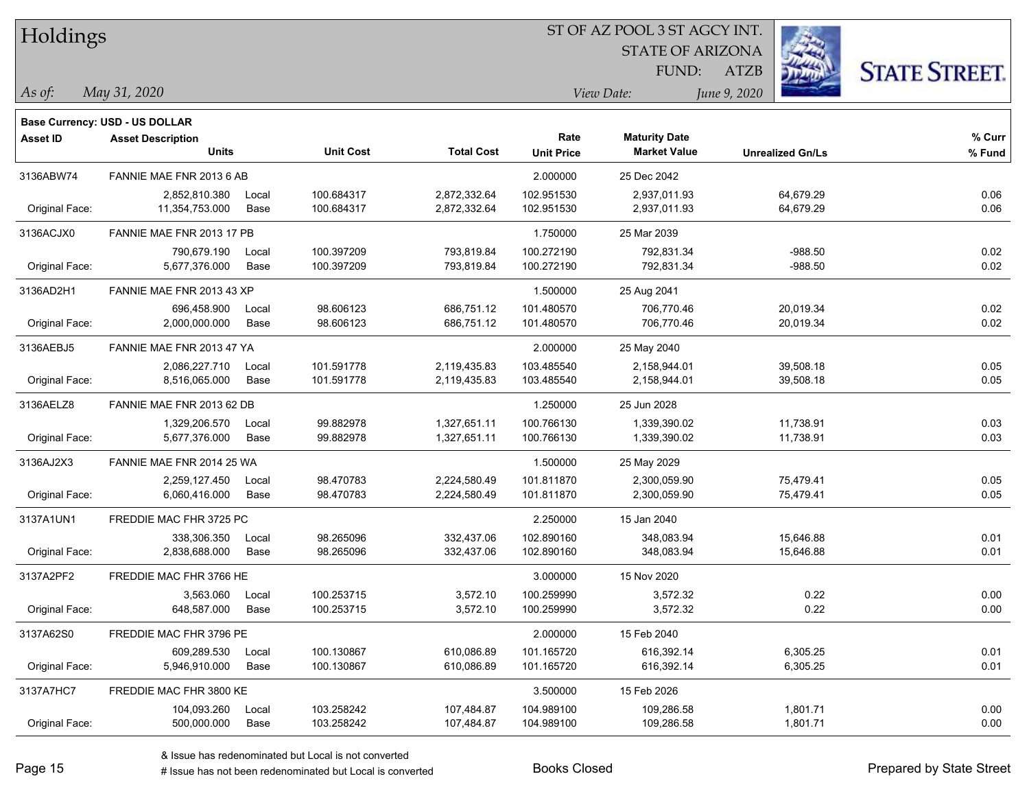| Holdings        |                                          |               |                          | ST OF AZ POOL 3 ST AGCY INT. |                           |                                             |                         |                      |  |  |
|-----------------|------------------------------------------|---------------|--------------------------|------------------------------|---------------------------|---------------------------------------------|-------------------------|----------------------|--|--|
|                 |                                          |               |                          |                              |                           | <b>STATE OF ARIZONA</b>                     |                         |                      |  |  |
|                 |                                          |               |                          |                              |                           | FUND:                                       | <b>ATZB</b>             | <b>STATE STREET.</b> |  |  |
| As of:          | May 31, 2020                             |               |                          |                              |                           | View Date:                                  | June 9, 2020            |                      |  |  |
|                 | Base Currency: USD - US DOLLAR           |               |                          |                              |                           |                                             |                         |                      |  |  |
| <b>Asset ID</b> | <b>Asset Description</b><br><b>Units</b> |               | <b>Unit Cost</b>         | <b>Total Cost</b>            | Rate<br><b>Unit Price</b> | <b>Maturity Date</b><br><b>Market Value</b> | <b>Unrealized Gn/Ls</b> | $%$ Curr<br>% Fund   |  |  |
| 3136ABW74       | FANNIE MAE FNR 2013 6 AB                 |               |                          |                              | 2.000000                  | 25 Dec 2042                                 |                         |                      |  |  |
| Original Face:  | 2,852,810.380<br>11,354,753.000          | Local<br>Base | 100.684317<br>100.684317 | 2,872,332.64<br>2,872,332.64 | 102.951530<br>102.951530  | 2,937,011.93<br>2,937,011.93                | 64,679.29<br>64,679.29  | 0.06<br>0.06         |  |  |
| 3136ACJX0       | FANNIE MAE FNR 2013 17 PB                |               |                          |                              | 1.750000                  | 25 Mar 2039                                 |                         |                      |  |  |
| Original Face:  | 790,679.190<br>5,677,376.000             | Local<br>Base | 100.397209<br>100.397209 | 793,819.84<br>793,819.84     | 100.272190<br>100.272190  | 792,831.34<br>792,831.34                    | $-988.50$<br>$-988.50$  | 0.02<br>0.02         |  |  |
| 3136AD2H1       | FANNIE MAE FNR 2013 43 XP                |               |                          |                              | 1.500000                  | 25 Aug 2041                                 |                         |                      |  |  |
| Original Face:  | 696,458.900<br>2,000,000.000             | Local<br>Base | 98.606123<br>98.606123   | 686,751.12<br>686,751.12     | 101.480570<br>101.480570  | 706,770.46<br>706,770.46                    | 20,019.34<br>20,019.34  | 0.02<br>0.02         |  |  |
| 3136AEBJ5       | FANNIE MAE FNR 2013 47 YA                |               |                          |                              | 2.000000                  | 25 May 2040                                 |                         |                      |  |  |
| Original Face:  | 2,086,227.710<br>8,516,065.000           | Local<br>Base | 101.591778<br>101.591778 | 2,119,435.83<br>2,119,435.83 | 103.485540<br>103.485540  | 2,158,944.01<br>2,158,944.01                | 39,508.18<br>39,508.18  | 0.05<br>0.05         |  |  |
| 3136AELZ8       | FANNIE MAE FNR 2013 62 DB                |               |                          |                              | 1.250000                  | 25 Jun 2028                                 |                         |                      |  |  |
| Original Face:  | 1,329,206.570<br>5,677,376.000           | Local<br>Base | 99.882978<br>99.882978   | 1,327,651.11<br>1,327,651.11 | 100.766130<br>100.766130  | 1,339,390.02<br>1,339,390.02                | 11,738.91<br>11,738.91  | 0.03<br>0.03         |  |  |
| 3136AJ2X3       | FANNIE MAE FNR 2014 25 WA                |               |                          |                              | 1.500000                  | 25 May 2029                                 |                         |                      |  |  |
| Original Face:  | 2,259,127.450<br>6,060,416.000           | Local<br>Base | 98.470783<br>98.470783   | 2,224,580.49<br>2,224,580.49 | 101.811870<br>101.811870  | 2,300,059.90<br>2,300,059.90                | 75,479.41<br>75,479.41  | 0.05<br>0.05         |  |  |
| 3137A1UN1       | FREDDIE MAC FHR 3725 PC                  |               |                          |                              | 2.250000                  | 15 Jan 2040                                 |                         |                      |  |  |
| Original Face:  | 338,306.350<br>2,838,688.000             | Local<br>Base | 98.265096<br>98.265096   | 332,437.06<br>332,437.06     | 102.890160<br>102.890160  | 348,083.94<br>348,083.94                    | 15,646.88<br>15,646.88  | 0.01<br>0.01         |  |  |
| 3137A2PF2       | FREDDIE MAC FHR 3766 HE                  |               |                          |                              | 3.000000                  | 15 Nov 2020                                 |                         |                      |  |  |
| Original Face:  | 3,563.060<br>648,587.000                 | Local<br>Base | 100.253715<br>100.253715 | 3,572.10<br>3,572.10         | 100.259990<br>100.259990  | 3,572.32<br>3,572.32                        | 0.22<br>0.22            | 0.00<br>0.00         |  |  |
| 3137A62S0       | FREDDIE MAC FHR 3796 PE                  |               |                          |                              | 2.000000                  | 15 Feb 2040                                 |                         |                      |  |  |
| Original Face:  | 609,289.530<br>5,946,910.000             | Local<br>Base | 100.130867<br>100.130867 | 610,086.89<br>610,086.89     | 101.165720<br>101.165720  | 616,392.14<br>616,392.14                    | 6,305.25<br>6,305.25    | 0.01<br>0.01         |  |  |
| 3137A7HC7       | FREDDIE MAC FHR 3800 KE                  |               |                          |                              | 3.500000                  | 15 Feb 2026                                 |                         |                      |  |  |
|                 | 104,093.260 Local                        |               | 103.258242               | 107,484.87                   | 104.989100                | 109,286.58                                  | 1,801.71                | 0.00                 |  |  |

Original Face: 500,000.000 Base 103.258242 107,484.87 104.989100 109,286.58 1,801.71 0.00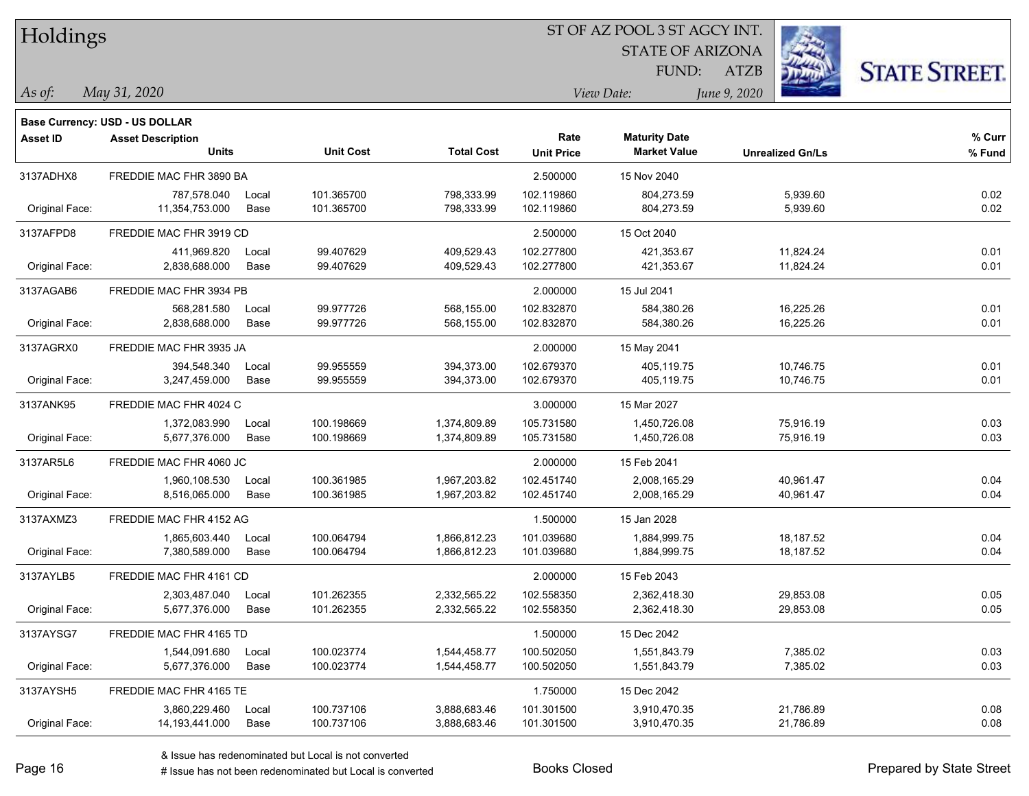STATE OF ARIZONA FUND:



*May 31, 2020 As of: View Date: June 9, 2020*

**Base Currency: USD - US DOLLAR**

ATZB

| <b>Asset ID</b> | <b>Asset Description</b> |       |                  |                   | Rate              | <b>Maturity Date</b> |                         | % Curr |
|-----------------|--------------------------|-------|------------------|-------------------|-------------------|----------------------|-------------------------|--------|
|                 | <b>Units</b>             |       | <b>Unit Cost</b> | <b>Total Cost</b> | <b>Unit Price</b> | <b>Market Value</b>  | <b>Unrealized Gn/Ls</b> | % Fund |
| 3137ADHX8       | FREDDIE MAC FHR 3890 BA  |       |                  |                   | 2.500000          | 15 Nov 2040          |                         |        |
|                 | 787,578.040              | Local | 101.365700       | 798,333.99        | 102.119860        | 804,273.59           | 5,939.60                | 0.02   |
| Original Face:  | 11,354,753.000           | Base  | 101.365700       | 798,333.99        | 102.119860        | 804,273.59           | 5,939.60                | 0.02   |
| 3137AFPD8       | FREDDIE MAC FHR 3919 CD  |       |                  |                   | 2.500000          | 15 Oct 2040          |                         |        |
|                 | 411,969.820              | Local | 99.407629        | 409,529.43        | 102.277800        | 421,353.67           | 11,824.24               | 0.01   |
| Original Face:  | 2,838,688.000            | Base  | 99.407629        | 409,529.43        | 102.277800        | 421,353.67           | 11,824.24               | 0.01   |
| 3137AGAB6       | FREDDIE MAC FHR 3934 PB  |       |                  |                   | 2.000000          | 15 Jul 2041          |                         |        |
|                 | 568,281.580              | Local | 99.977726        | 568,155.00        | 102.832870        | 584,380.26           | 16,225.26               | 0.01   |
| Original Face:  | 2,838,688.000            | Base  | 99.977726        | 568,155.00        | 102.832870        | 584,380.26           | 16,225.26               | 0.01   |
| 3137AGRX0       | FREDDIE MAC FHR 3935 JA  |       |                  |                   | 2.000000          | 15 May 2041          |                         |        |
|                 | 394,548.340              | Local | 99.955559        | 394,373.00        | 102.679370        | 405,119.75           | 10,746.75               | 0.01   |
| Original Face:  | 3,247,459.000            | Base  | 99.955559        | 394,373.00        | 102.679370        | 405,119.75           | 10,746.75               | 0.01   |
| 3137ANK95       | FREDDIE MAC FHR 4024 C   |       |                  |                   | 3.000000          | 15 Mar 2027          |                         |        |
|                 | 1,372,083.990            | Local | 100.198669       | 1,374,809.89      | 105.731580        | 1,450,726.08         | 75,916.19               | 0.03   |
| Original Face:  | 5,677,376.000            | Base  | 100.198669       | 1,374,809.89      | 105.731580        | 1,450,726.08         | 75,916.19               | 0.03   |
| 3137AR5L6       | FREDDIE MAC FHR 4060 JC  |       |                  |                   | 2.000000          | 15 Feb 2041          |                         |        |
|                 | 1,960,108.530            | Local | 100.361985       | 1,967,203.82      | 102.451740        | 2,008,165.29         | 40,961.47               | 0.04   |
| Original Face:  | 8,516,065.000            | Base  | 100.361985       | 1,967,203.82      | 102.451740        | 2,008,165.29         | 40,961.47               | 0.04   |
| 3137AXMZ3       | FREDDIE MAC FHR 4152 AG  |       |                  |                   | 1.500000          | 15 Jan 2028          |                         |        |
|                 | 1,865,603.440            | Local | 100.064794       | 1,866,812.23      | 101.039680        | 1,884,999.75         | 18,187.52               | 0.04   |
| Original Face:  | 7,380,589.000            | Base  | 100.064794       | 1,866,812.23      | 101.039680        | 1,884,999.75         | 18,187.52               | 0.04   |
| 3137AYLB5       | FREDDIE MAC FHR 4161 CD  |       |                  |                   | 2.000000          | 15 Feb 2043          |                         |        |
|                 | 2,303,487.040            | Local | 101.262355       | 2,332,565.22      | 102.558350        | 2,362,418.30         | 29,853.08               | 0.05   |
| Original Face:  | 5,677,376.000            | Base  | 101.262355       | 2,332,565.22      | 102.558350        | 2,362,418.30         | 29,853.08               | 0.05   |
| 3137AYSG7       | FREDDIE MAC FHR 4165 TD  |       |                  |                   | 1.500000          | 15 Dec 2042          |                         |        |
|                 | 1,544,091.680            | Local | 100.023774       | 1,544,458.77      | 100.502050        | 1,551,843.79         | 7,385.02                | 0.03   |
| Original Face:  | 5,677,376.000            | Base  | 100.023774       | 1,544,458.77      | 100.502050        | 1,551,843.79         | 7,385.02                | 0.03   |
| 3137AYSH5       | FREDDIE MAC FHR 4165 TE  |       |                  |                   | 1.750000          | 15 Dec 2042          |                         |        |
|                 | 3,860,229.460            | Local | 100.737106       | 3,888,683.46      | 101.301500        | 3,910,470.35         | 21,786.89               | 0.08   |
| Original Face:  | 14, 193, 441.000         | Base  | 100.737106       | 3,888,683.46      | 101.301500        | 3,910,470.35         | 21,786.89               | 0.08   |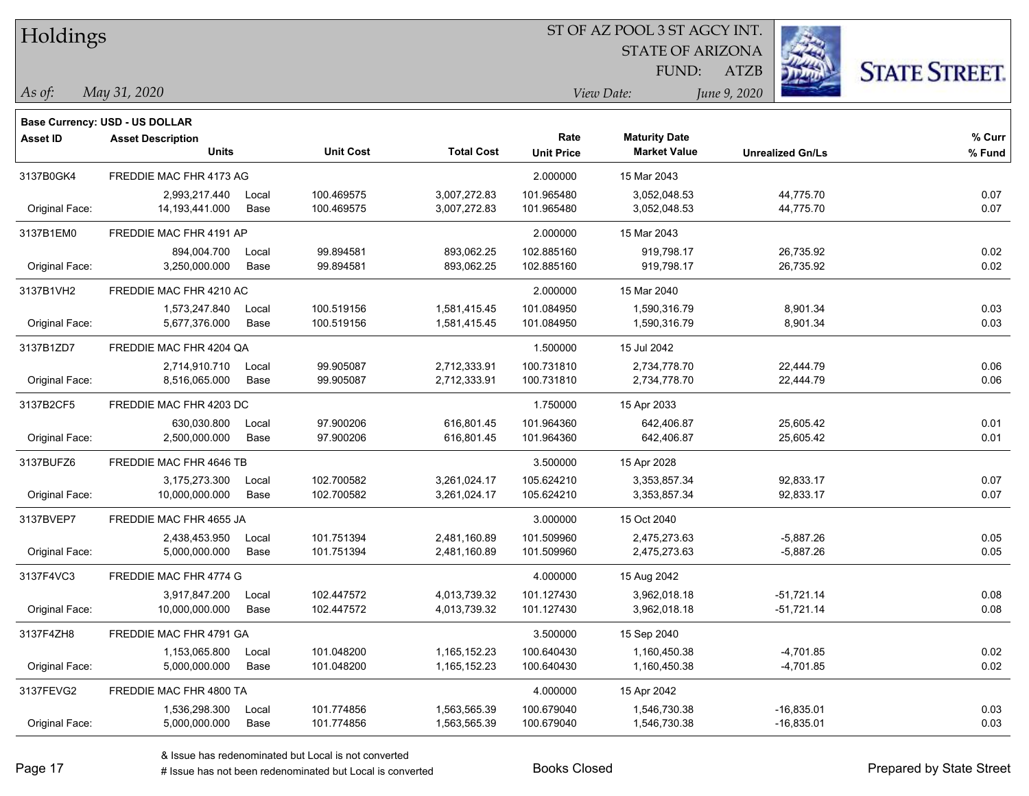| Holdings        |                                       |       |                  |                   | ST OF AZ POOL 3 ST AGCY INT. |                         |                         |                      |  |  |
|-----------------|---------------------------------------|-------|------------------|-------------------|------------------------------|-------------------------|-------------------------|----------------------|--|--|
|                 |                                       |       |                  |                   |                              | <b>STATE OF ARIZONA</b> |                         |                      |  |  |
|                 |                                       |       |                  |                   |                              | FUND:                   | <b>ATZB</b>             | <b>STATE STREET.</b> |  |  |
| $\vert$ As of:  | May 31, 2020                          |       |                  |                   |                              | View Date:              | June 9, 2020            |                      |  |  |
|                 | <b>Base Currency: USD - US DOLLAR</b> |       |                  |                   |                              |                         |                         |                      |  |  |
| <b>Asset ID</b> | <b>Asset Description</b>              |       |                  |                   | Rate                         | <b>Maturity Date</b>    |                         | % Curr               |  |  |
|                 | <b>Units</b>                          |       | <b>Unit Cost</b> | <b>Total Cost</b> | <b>Unit Price</b>            | <b>Market Value</b>     | <b>Unrealized Gn/Ls</b> | % Fund               |  |  |
| 3137B0GK4       | FREDDIE MAC FHR 4173 AG               |       |                  |                   | 2.000000                     | 15 Mar 2043             |                         |                      |  |  |
|                 | 2,993,217.440                         | Local | 100.469575       | 3,007,272.83      | 101.965480                   | 3,052,048.53            | 44,775.70               | 0.07                 |  |  |
| Original Face:  | 14,193,441.000                        | Base  | 100.469575       | 3,007,272.83      | 101.965480                   | 3,052,048.53            | 44,775.70               | 0.07                 |  |  |
| 3137B1EM0       | FREDDIE MAC FHR 4191 AP               |       |                  |                   | 2.000000                     | 15 Mar 2043             |                         |                      |  |  |
|                 | 894,004.700                           | Local | 99.894581        | 893,062.25        | 102.885160                   | 919,798.17              | 26,735.92               | 0.02                 |  |  |
| Original Face:  | 3,250,000.000                         | Base  | 99.894581        | 893,062.25        | 102.885160                   | 919,798.17              | 26,735.92               | 0.02                 |  |  |
| 3137B1VH2       | FREDDIE MAC FHR 4210 AC               |       |                  |                   | 2.000000                     | 15 Mar 2040             |                         |                      |  |  |
|                 | 1,573,247.840                         | Local | 100.519156       | 1,581,415.45      | 101.084950                   | 1,590,316.79            | 8,901.34                | 0.03                 |  |  |
| Original Face:  | 5,677,376.000                         | Base  | 100.519156       | 1,581,415.45      | 101.084950                   | 1,590,316.79            | 8,901.34                | 0.03                 |  |  |
| 3137B1ZD7       | FREDDIE MAC FHR 4204 QA               |       |                  |                   | 1.500000                     | 15 Jul 2042             |                         |                      |  |  |
|                 | 2,714,910.710                         | Local | 99.905087        | 2,712,333.91      | 100.731810                   | 2,734,778.70            | 22,444.79               | 0.06                 |  |  |
| Original Face:  | 8,516,065.000                         | Base  | 99.905087        | 2,712,333.91      | 100.731810                   | 2,734,778.70            | 22,444.79               | 0.06                 |  |  |
| 3137B2CF5       | FREDDIE MAC FHR 4203 DC               |       |                  |                   | 1.750000                     | 15 Apr 2033             |                         |                      |  |  |
|                 | 630,030.800                           | Local | 97.900206        | 616,801.45        | 101.964360                   | 642,406.87              | 25,605.42               | 0.01                 |  |  |
| Original Face:  | 2,500,000.000                         | Base  | 97.900206        | 616,801.45        | 101.964360                   | 642,406.87              | 25,605.42               | 0.01                 |  |  |
| 3137BUFZ6       | FREDDIE MAC FHR 4646 TB               |       |                  |                   | 3.500000                     | 15 Apr 2028             |                         |                      |  |  |
|                 | 3,175,273.300                         | Local | 102.700582       | 3,261,024.17      | 105.624210                   | 3,353,857.34            | 92,833.17               | 0.07                 |  |  |
| Original Face:  | 10,000,000.000                        | Base  | 102.700582       | 3,261,024.17      | 105.624210                   | 3,353,857.34            | 92,833.17               | 0.07                 |  |  |
| 3137BVEP7       | FREDDIE MAC FHR 4655 JA               |       |                  |                   | 3.000000                     | 15 Oct 2040             |                         |                      |  |  |
|                 | 2,438,453.950                         | Local | 101.751394       | 2,481,160.89      | 101.509960                   | 2,475,273.63            | $-5,887.26$             | 0.05                 |  |  |
| Original Face:  | 5,000,000.000                         | Base  | 101.751394       | 2,481,160.89      | 101.509960                   | 2,475,273.63            | $-5,887.26$             | 0.05                 |  |  |
| 3137F4VC3       | FREDDIE MAC FHR 4774 G                |       |                  |                   | 4.000000                     | 15 Aug 2042             |                         |                      |  |  |
|                 | 3,917,847.200                         | Local | 102.447572       | 4,013,739.32      | 101.127430                   | 3,962,018.18            | $-51,721.14$            | 0.08                 |  |  |
| Original Face:  | 10,000,000.000                        | Base  | 102.447572       | 4,013,739.32      | 101.127430                   | 3,962,018.18            | $-51,721.14$            | 0.08                 |  |  |
| 3137F4ZH8       | FREDDIE MAC FHR 4791 GA               |       |                  |                   | 3.500000                     | 15 Sep 2040             |                         |                      |  |  |
|                 | 1,153,065.800                         | Local | 101.048200       | 1,165,152.23      | 100.640430                   | 1,160,450.38            | $-4,701.85$             | 0.02                 |  |  |
| Original Face:  | 5,000,000.000                         | Base  | 101.048200       | 1,165,152.23      | 100.640430                   | 1,160,450.38            | $-4,701.85$             | 0.02                 |  |  |
| 3137FEVG2       | FREDDIE MAC FHR 4800 TA               |       |                  |                   | 4.000000                     | 15 Apr 2042             |                         |                      |  |  |
|                 | 1,536,298.300                         | Local | 101.774856       | 1,563,565.39      | 100.679040                   | 1,546,730.38            | $-16,835.01$            | 0.03                 |  |  |
| Original Face:  | 5,000,000.000                         | Base  | 101.774856       | 1,563,565.39      | 100.679040                   | 1,546,730.38            | $-16,835.01$            | 0.03                 |  |  |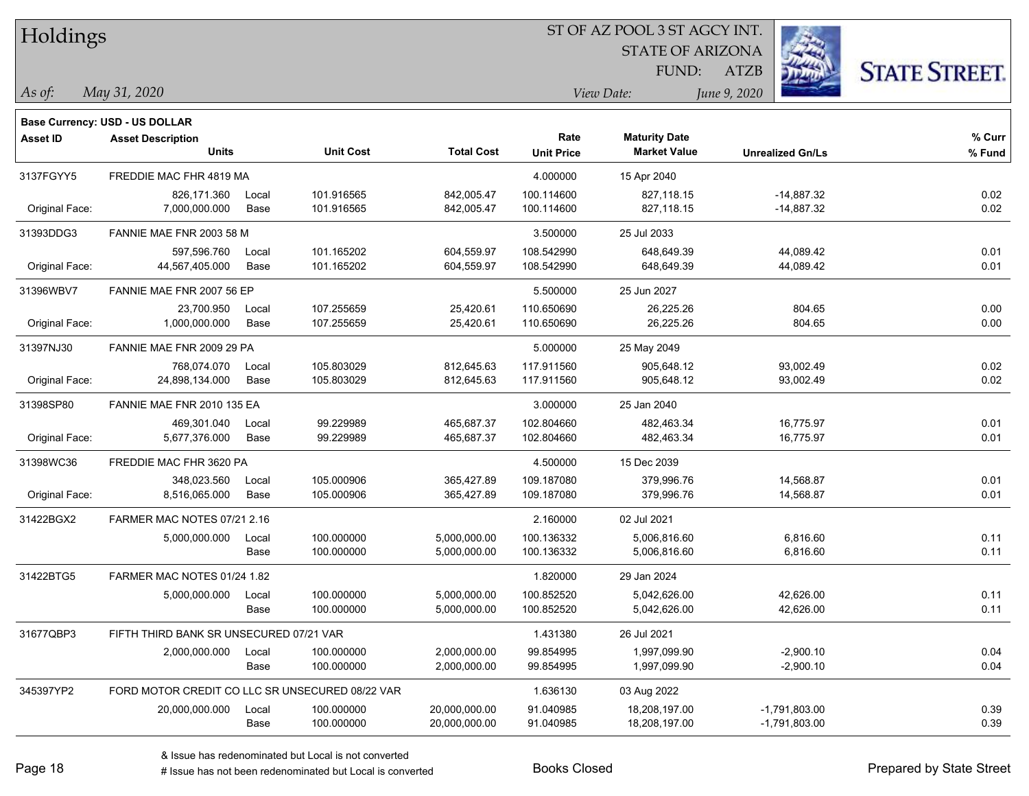| Holdings        |                                                 |       |                  |                   |                   | ST OF AZ POOL 3 ST AGCY INT. |                         |                      |
|-----------------|-------------------------------------------------|-------|------------------|-------------------|-------------------|------------------------------|-------------------------|----------------------|
|                 |                                                 |       |                  |                   |                   | <b>STATE OF ARIZONA</b>      |                         |                      |
|                 |                                                 |       |                  |                   |                   | FUND:                        | <b>ATZB</b>             | <b>STATE STREET.</b> |
| As of:          | May 31, 2020                                    |       |                  |                   |                   | View Date:                   | June 9, 2020            |                      |
|                 | <b>Base Currency: USD - US DOLLAR</b>           |       |                  |                   |                   |                              |                         |                      |
| <b>Asset ID</b> | <b>Asset Description</b>                        |       |                  |                   | Rate              | <b>Maturity Date</b>         |                         | % Curr               |
|                 | <b>Units</b>                                    |       | <b>Unit Cost</b> | <b>Total Cost</b> | <b>Unit Price</b> | <b>Market Value</b>          | <b>Unrealized Gn/Ls</b> | % Fund               |
| 3137FGYY5       | FREDDIE MAC FHR 4819 MA                         |       |                  |                   | 4.000000          | 15 Apr 2040                  |                         |                      |
|                 | 826,171.360                                     | Local | 101.916565       | 842,005.47        | 100.114600        | 827,118.15                   | $-14,887.32$            | 0.02                 |
| Original Face:  | 7,000,000.000                                   | Base  | 101.916565       | 842,005.47        | 100.114600        | 827,118.15                   | -14,887.32              | 0.02                 |
| 31393DDG3       | FANNIE MAE FNR 2003 58 M                        |       |                  |                   | 3.500000          | 25 Jul 2033                  |                         |                      |
|                 | 597,596.760                                     | Local | 101.165202       | 604,559.97        | 108.542990        | 648,649.39                   | 44,089.42               | 0.01                 |
| Original Face:  | 44,567,405.000                                  | Base  | 101.165202       | 604,559.97        | 108.542990        | 648,649.39                   | 44,089.42               | 0.01                 |
| 31396WBV7       | FANNIE MAE FNR 2007 56 EP                       |       |                  |                   | 5.500000          | 25 Jun 2027                  |                         |                      |
|                 | 23,700.950                                      | Local | 107.255659       | 25,420.61         | 110.650690        | 26,225.26                    | 804.65                  | 0.00                 |
| Original Face:  | 1,000,000.000                                   | Base  | 107.255659       | 25,420.61         | 110.650690        | 26,225.26                    | 804.65                  | 0.00                 |
| 31397NJ30       | FANNIE MAE FNR 2009 29 PA                       |       |                  |                   | 5.000000          | 25 May 2049                  |                         |                      |
|                 | 768,074.070                                     | Local | 105.803029       | 812,645.63        | 117.911560        | 905,648.12                   | 93,002.49               | 0.02                 |
| Original Face:  | 24,898,134.000                                  | Base  | 105.803029       | 812,645.63        | 117.911560        | 905,648.12                   | 93,002.49               | 0.02                 |
| 31398SP80       | FANNIE MAE FNR 2010 135 EA                      |       |                  |                   | 3.000000          | 25 Jan 2040                  |                         |                      |
|                 | 469,301.040                                     | Local | 99.229989        | 465,687.37        | 102.804660        | 482,463.34                   | 16,775.97               | 0.01                 |
| Original Face:  | 5,677,376.000                                   | Base  | 99.229989        | 465,687.37        | 102.804660        | 482,463.34                   | 16,775.97               | 0.01                 |
| 31398WC36       | FREDDIE MAC FHR 3620 PA                         |       |                  |                   | 4.500000          | 15 Dec 2039                  |                         |                      |
|                 | 348,023.560                                     | Local | 105.000906       | 365,427.89        | 109.187080        | 379,996.76                   | 14,568.87               | 0.01                 |
| Original Face:  | 8,516,065.000                                   | Base  | 105.000906       | 365,427.89        | 109.187080        | 379,996.76                   | 14,568.87               | 0.01                 |
| 31422BGX2       | FARMER MAC NOTES 07/21 2.16                     |       |                  |                   | 2.160000          | 02 Jul 2021                  |                         |                      |
|                 | 5,000,000.000                                   | Local | 100.000000       | 5,000,000.00      | 100.136332        | 5,006,816.60                 | 6,816.60                | 0.11                 |
|                 |                                                 | Base  | 100.000000       | 5,000,000.00      | 100.136332        | 5,006,816.60                 | 6,816.60                | 0.11                 |
| 31422BTG5       | FARMER MAC NOTES 01/24 1.82                     |       |                  |                   | 1.820000          | 29 Jan 2024                  |                         |                      |
|                 | 5,000,000.000                                   | Local | 100.000000       | 5,000,000.00      | 100.852520        | 5,042,626.00                 | 42,626.00               | 0.11                 |
|                 |                                                 | Base  | 100.000000       | 5,000,000.00      | 100.852520        | 5,042,626.00                 | 42,626.00               | 0.11                 |
| 31677QBP3       | FIFTH THIRD BANK SR UNSECURED 07/21 VAR         |       |                  |                   | 1.431380          | 26 Jul 2021                  |                         |                      |
|                 | 2,000,000.000                                   | Local | 100.000000       | 2,000,000.00      | 99.854995         | 1,997,099.90                 | $-2,900.10$             | 0.04                 |
|                 |                                                 | Base  | 100.000000       | 2,000,000.00      | 99.854995         | 1,997,099.90                 | $-2,900.10$             | 0.04                 |
| 345397YP2       | FORD MOTOR CREDIT CO LLC SR UNSECURED 08/22 VAR |       |                  |                   | 1.636130          | 03 Aug 2022                  |                         |                      |
|                 | 20,000,000.000                                  | Local | 100.000000       | 20,000,000.00     | 91.040985         | 18,208,197.00                | $-1,791,803.00$         | 0.39                 |

 $\overline{\phantom{0}}$ 

 $\overline{\phantom{0}}$ 

 $\overline{\phantom{0}}$ 

 $\overline{\phantom{0}}$ 

 $\overline{\phantom{0}}$ 

Base 100.000000 20,000,000.00 91.040985 18,208,197.00 1,791,803.00 0.39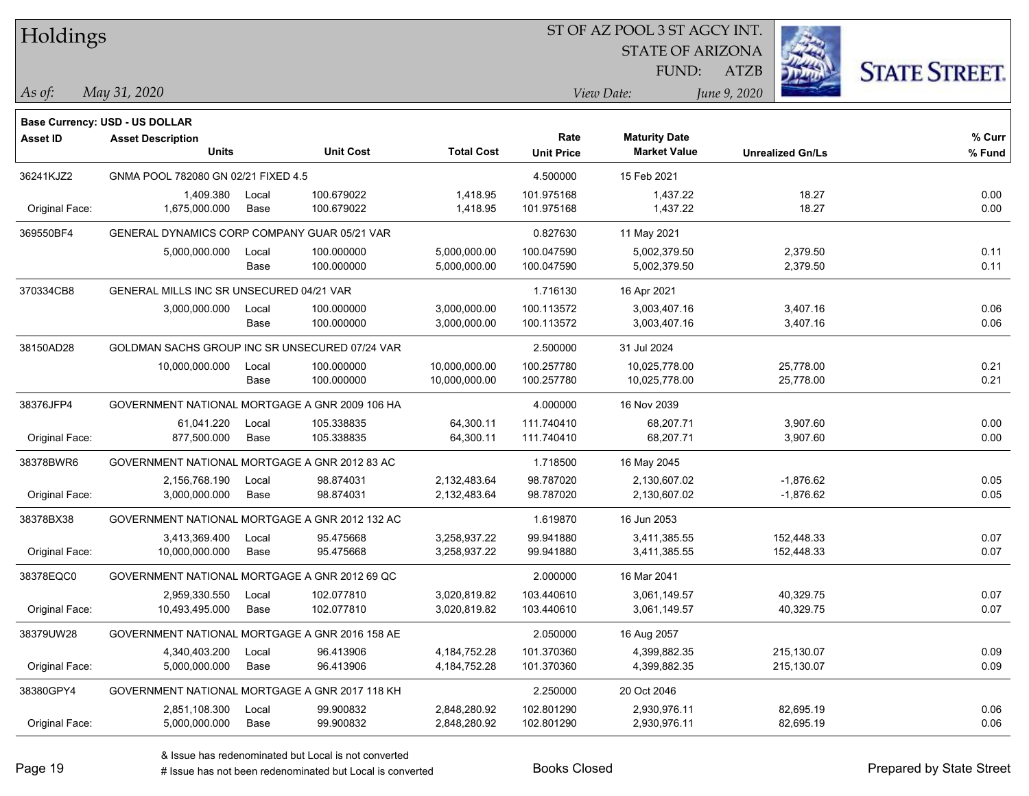| Holdings        |                                                |       |                  |                   |                   | ST OF AZ POOL 3 ST AGCY INT. |                         |                      |
|-----------------|------------------------------------------------|-------|------------------|-------------------|-------------------|------------------------------|-------------------------|----------------------|
|                 |                                                |       |                  |                   |                   | <b>STATE OF ARIZONA</b>      |                         |                      |
|                 |                                                |       |                  |                   |                   | FUND:                        | <b>ATZB</b>             | <b>STATE STREET.</b> |
| As of:          | May 31, 2020                                   |       |                  |                   |                   | View Date:                   | June 9, 2020            |                      |
|                 | Base Currency: USD - US DOLLAR                 |       |                  |                   |                   |                              |                         |                      |
| <b>Asset ID</b> | <b>Asset Description</b>                       |       |                  |                   | Rate              | <b>Maturity Date</b>         |                         | $%$ Curr             |
|                 | Units                                          |       | <b>Unit Cost</b> | <b>Total Cost</b> | <b>Unit Price</b> | <b>Market Value</b>          | <b>Unrealized Gn/Ls</b> | % Fund               |
| 36241KJZ2       | GNMA POOL 782080 GN 02/21 FIXED 4.5            |       |                  |                   | 4.500000          | 15 Feb 2021                  |                         |                      |
|                 | 1,409.380                                      | Local | 100.679022       | 1,418.95          | 101.975168        | 1,437.22                     | 18.27                   | 0.00                 |
| Original Face:  | 1,675,000.000                                  | Base  | 100.679022       | 1,418.95          | 101.975168        | 1,437.22                     | 18.27                   | 0.00                 |
| 369550BF4       | GENERAL DYNAMICS CORP COMPANY GUAR 05/21 VAR   |       |                  |                   | 0.827630          | 11 May 2021                  |                         |                      |
|                 | 5,000,000.000                                  | Local | 100.000000       | 5,000,000.00      | 100.047590        | 5,002,379.50                 | 2,379.50                | 0.11                 |
|                 |                                                | Base  | 100.000000       | 5,000,000.00      | 100.047590        | 5,002,379.50                 | 2,379.50                | 0.11                 |
| 370334CB8       | GENERAL MILLS INC SR UNSECURED 04/21 VAR       |       |                  |                   | 1.716130          | 16 Apr 2021                  |                         |                      |
|                 | 3,000,000.000                                  | Local | 100.000000       | 3,000,000.00      | 100.113572        | 3,003,407.16                 | 3,407.16                | 0.06                 |
|                 |                                                | Base  | 100.000000       | 3,000,000.00      | 100.113572        | 3,003,407.16                 | 3,407.16                | 0.06                 |
| 38150AD28       | GOLDMAN SACHS GROUP INC SR UNSECURED 07/24 VAR |       |                  |                   | 2.500000          | 31 Jul 2024                  |                         |                      |
|                 | 10,000,000.000                                 | Local | 100.000000       | 10,000,000.00     | 100.257780        | 10,025,778.00                | 25,778.00               | 0.21                 |
|                 |                                                | Base  | 100.000000       | 10,000,000.00     | 100.257780        | 10,025,778.00                | 25,778.00               | 0.21                 |
| 38376JFP4       | GOVERNMENT NATIONAL MORTGAGE A GNR 2009 106 HA |       |                  |                   | 4.000000          | 16 Nov 2039                  |                         |                      |
|                 | 61,041.220                                     | Local | 105.338835       | 64,300.11         | 111.740410        | 68,207.71                    | 3,907.60                | 0.00                 |
| Original Face:  | 877,500.000                                    | Base  | 105.338835       | 64,300.11         | 111.740410        | 68,207.71                    | 3,907.60                | 0.00                 |
| 38378BWR6       | GOVERNMENT NATIONAL MORTGAGE A GNR 2012 83 AC  |       |                  |                   | 1.718500          | 16 May 2045                  |                         |                      |
|                 | 2,156,768.190                                  | Local | 98.874031        | 2,132,483.64      | 98.787020         | 2,130,607.02                 | $-1,876.62$             | 0.05                 |
| Original Face:  | 3,000,000.000                                  | Base  | 98.874031        | 2,132,483.64      | 98.787020         | 2,130,607.02                 | $-1,876.62$             | 0.05                 |
| 38378BX38       | GOVERNMENT NATIONAL MORTGAGE A GNR 2012 132 AC |       |                  |                   | 1.619870          | 16 Jun 2053                  |                         |                      |
|                 | 3,413,369.400                                  | Local | 95.475668        | 3,258,937.22      | 99.941880         | 3,411,385.55                 | 152,448.33              | 0.07                 |
| Original Face:  | 10,000,000.000                                 | Base  | 95.475668        | 3,258,937.22      | 99.941880         | 3,411,385.55                 | 152,448.33              | 0.07                 |
| 38378EQC0       | GOVERNMENT NATIONAL MORTGAGE A GNR 2012 69 QC  |       |                  |                   | 2.000000          | 16 Mar 2041                  |                         |                      |
|                 | 2,959,330.550                                  | Local | 102.077810       | 3,020,819.82      | 103.440610        | 3,061,149.57                 | 40,329.75               | 0.07                 |
| Original Face:  | 10,493,495.000                                 | Base  | 102.077810       | 3,020,819.82      | 103.440610        | 3,061,149.57                 | 40,329.75               | 0.07                 |
| 38379UW28       | GOVERNMENT NATIONAL MORTGAGE A GNR 2016 158 AE |       |                  |                   | 2.050000          | 16 Aug 2057                  |                         |                      |
|                 | 4,340,403.200                                  | Local | 96.413906        | 4, 184, 752. 28   | 101.370360        | 4,399,882.35                 | 215,130.07              | 0.09                 |
| Original Face:  | 5,000,000.000                                  | Base  | 96.413906        | 4, 184, 752. 28   | 101.370360        | 4,399,882.35                 | 215,130.07              | 0.09                 |
| 38380GPY4       | GOVERNMENT NATIONAL MORTGAGE A GNR 2017 118 KH |       |                  |                   | 2.250000          | 20 Oct 2046                  |                         |                      |
|                 | 2,851,108.300                                  | Local | 99.900832        | 2,848,280.92      | 102.801290        | 2,930,976.11                 | 82,695.19               | 0.06                 |
| Original Face:  | 5,000,000.000                                  | Base  | 99.900832        | 2,848,280.92      | 102.801290        | 2,930,976.11                 | 82,695.19               | 0.06                 |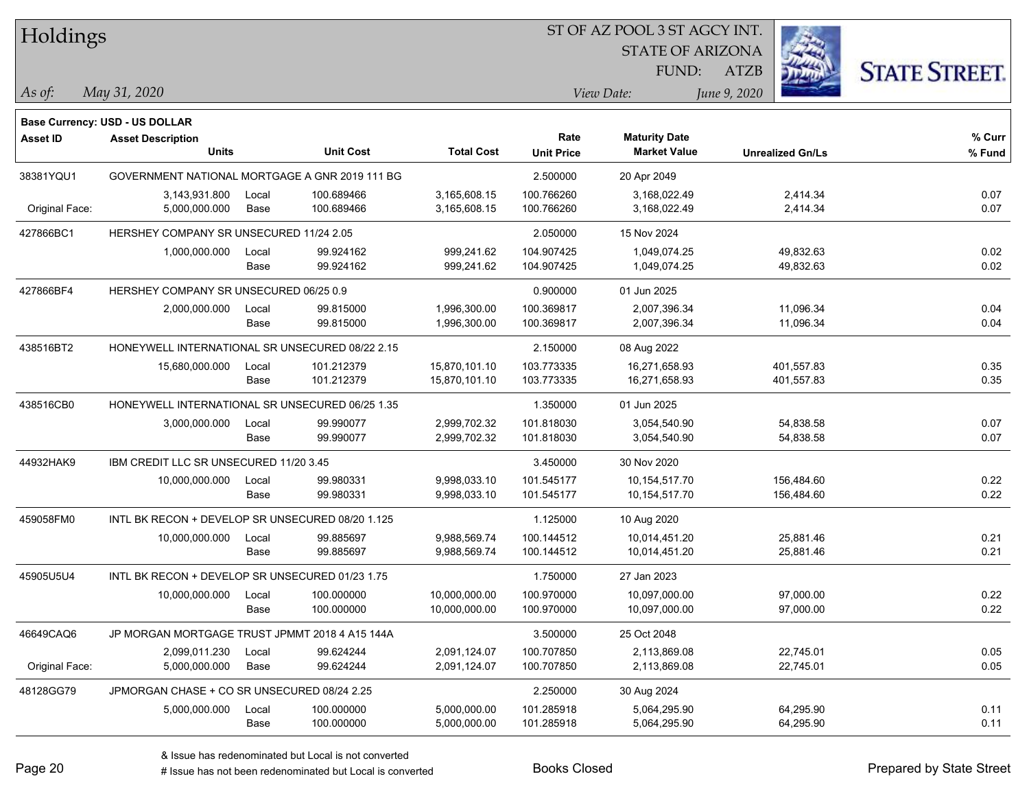| Holdings        |                                                  |               |                          |                              | ST OF AZ POOL 3 ST AGCY INT. |                                             |                         |                      |
|-----------------|--------------------------------------------------|---------------|--------------------------|------------------------------|------------------------------|---------------------------------------------|-------------------------|----------------------|
|                 |                                                  |               |                          |                              |                              | <b>STATE OF ARIZONA</b>                     |                         |                      |
|                 |                                                  |               |                          |                              |                              | FUND:                                       | <b>ATZB</b>             | <b>STATE STREET.</b> |
| $\vert$ As of:  | May 31, 2020                                     |               |                          |                              |                              | View Date:                                  | June 9, 2020            |                      |
|                 |                                                  |               |                          |                              |                              |                                             |                         |                      |
|                 | <b>Base Currency: USD - US DOLLAR</b>            |               |                          |                              |                              |                                             |                         |                      |
| <b>Asset ID</b> | <b>Asset Description</b><br><b>Units</b>         |               | <b>Unit Cost</b>         | <b>Total Cost</b>            | Rate<br><b>Unit Price</b>    | <b>Maturity Date</b><br><b>Market Value</b> | <b>Unrealized Gn/Ls</b> | % Curr<br>% Fund     |
|                 |                                                  |               |                          |                              |                              |                                             |                         |                      |
| 38381YQU1       | GOVERNMENT NATIONAL MORTGAGE A GNR 2019 111 BG   |               |                          |                              | 2.500000                     | 20 Apr 2049                                 |                         |                      |
| Original Face:  | 3,143,931.800<br>5,000,000.000                   | Local<br>Base | 100.689466<br>100.689466 | 3,165,608.15<br>3,165,608.15 | 100.766260<br>100.766260     | 3.168.022.49<br>3,168,022.49                | 2,414.34<br>2,414.34    | 0.07<br>0.07         |
|                 |                                                  |               |                          |                              |                              |                                             |                         |                      |
| 427866BC1       | HERSHEY COMPANY SR UNSECURED 11/24 2.05          |               |                          |                              | 2.050000                     | 15 Nov 2024                                 |                         |                      |
|                 | 1,000,000.000                                    | Local         | 99.924162                | 999,241.62                   | 104.907425                   | 1,049,074.25                                | 49,832.63               | 0.02                 |
|                 |                                                  | Base          | 99.924162                | 999,241.62                   | 104.907425                   | 1,049,074.25                                | 49,832.63               | 0.02                 |
| 427866BF4       | HERSHEY COMPANY SR UNSECURED 06/25 0.9           |               |                          |                              | 0.900000                     | 01 Jun 2025                                 |                         |                      |
|                 | 2,000,000.000                                    | Local         | 99.815000                | 1,996,300.00                 | 100.369817                   | 2,007,396.34                                | 11,096.34               | 0.04                 |
|                 |                                                  | Base          | 99.815000                | 1,996,300.00                 | 100.369817                   | 2,007,396.34                                | 11,096.34               | 0.04                 |
| 438516BT2       | HONEYWELL INTERNATIONAL SR UNSECURED 08/22 2.15  |               |                          |                              | 2.150000                     | 08 Aug 2022                                 |                         |                      |
|                 | 15,680,000.000                                   | Local         | 101.212379               | 15,870,101.10                | 103.773335                   | 16,271,658.93                               | 401,557.83              | 0.35                 |
|                 |                                                  | Base          | 101.212379               | 15,870,101.10                | 103.773335                   | 16,271,658.93                               | 401,557.83              | 0.35                 |
| 438516CB0       | HONEYWELL INTERNATIONAL SR UNSECURED 06/25 1.35  |               |                          |                              | 1.350000                     | 01 Jun 2025                                 |                         |                      |
|                 | 3,000,000.000                                    | Local         | 99.990077                | 2,999,702.32                 | 101.818030                   | 3,054,540.90                                | 54,838.58               | 0.07                 |
|                 |                                                  | Base          | 99.990077                | 2,999,702.32                 | 101.818030                   | 3,054,540.90                                | 54,838.58               | 0.07                 |
| 44932HAK9       | IBM CREDIT LLC SR UNSECURED 11/20 3.45           |               |                          |                              | 3.450000                     | 30 Nov 2020                                 |                         |                      |
|                 | 10,000,000.000                                   | Local         | 99.980331                | 9,998,033.10                 | 101.545177                   | 10,154,517.70                               | 156,484.60              | 0.22                 |
|                 |                                                  | Base          | 99.980331                | 9,998,033.10                 | 101.545177                   | 10,154,517.70                               | 156,484.60              | 0.22                 |
| 459058FM0       | INTL BK RECON + DEVELOP SR UNSECURED 08/20 1.125 |               |                          |                              | 1.125000                     | 10 Aug 2020                                 |                         |                      |
|                 | 10,000,000.000                                   | Local         | 99.885697                | 9,988,569.74                 | 100.144512                   | 10,014,451.20                               | 25,881.46               | 0.21                 |
|                 |                                                  | Base          | 99.885697                | 9,988,569.74                 | 100.144512                   | 10,014,451.20                               | 25,881.46               | 0.21                 |
| 45905U5U4       | INTL BK RECON + DEVELOP SR UNSECURED 01/23 1.75  |               |                          |                              | 1.750000                     | 27 Jan 2023                                 |                         |                      |
|                 | 10,000,000.000                                   | Local         | 100.000000               | 10.000.000.00                | 100.970000                   | 10,097,000.00                               | 97,000.00               | 0.22                 |
|                 |                                                  | Base          | 100.000000               | 10,000,000.00                | 100.970000                   | 10,097,000.00                               | 97,000.00               | 0.22                 |
| 46649CAQ6       | JP MORGAN MORTGAGE TRUST JPMMT 2018 4 A15 144A   |               |                          |                              | 3.500000                     | 25 Oct 2048                                 |                         |                      |
|                 | 2,099,011.230                                    | Local         | 99.624244                | 2,091,124.07                 | 100.707850                   | 2,113,869.08                                | 22,745.01               | 0.05                 |
| Original Face:  | 5,000,000.000                                    | Base          | 99.624244                | 2,091,124.07                 | 100.707850                   | 2,113,869.08                                | 22,745.01               | 0.05                 |
| 48128GG79       | JPMORGAN CHASE + CO SR UNSECURED 08/24 2.25      |               |                          |                              | 2.250000                     | 30 Aug 2024                                 |                         |                      |
|                 | 5,000,000.000                                    | Local         | 100.000000               | 5,000,000.00                 | 101.285918                   | 5,064,295.90                                | 64,295.90               | 0.11                 |
|                 |                                                  | Base          | 100.000000               | 5,000,000.00                 | 101.285918                   | 5,064,295.90                                | 64,295.90               | 0.11                 |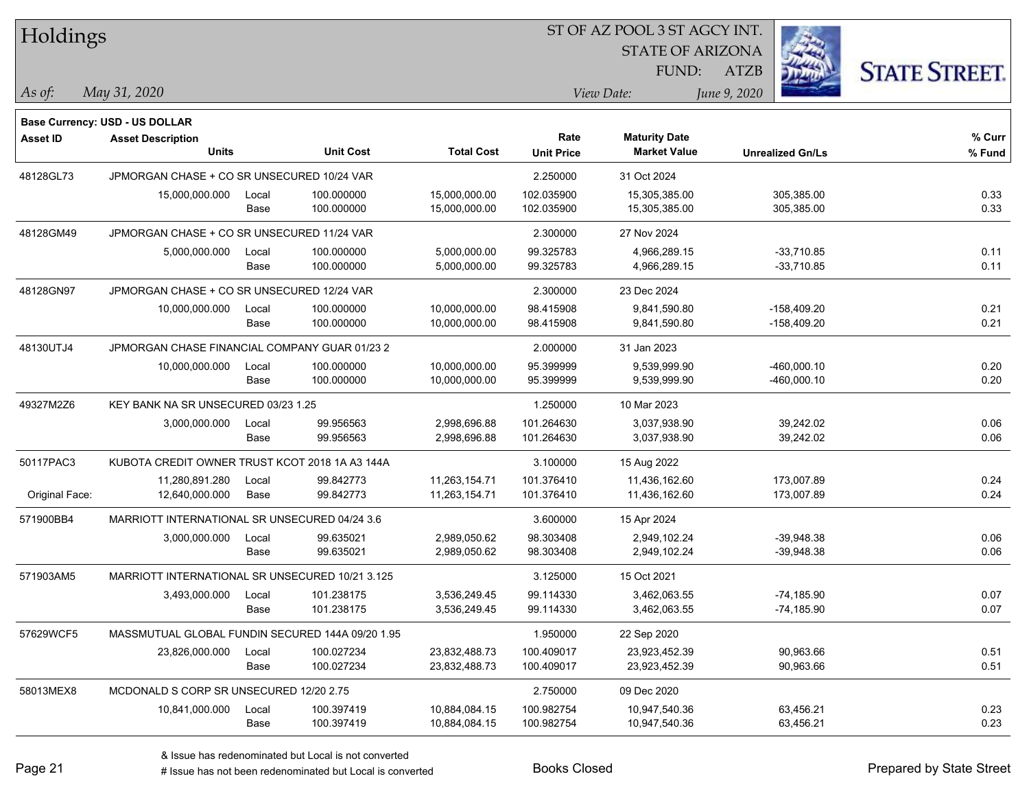| Holdings        |                                                  |       |                  |                   | ST OF AZ POOL 3 ST AGCY INT. |                         |                         |  |                      |  |
|-----------------|--------------------------------------------------|-------|------------------|-------------------|------------------------------|-------------------------|-------------------------|--|----------------------|--|
|                 |                                                  |       |                  |                   |                              | <b>STATE OF ARIZONA</b> |                         |  |                      |  |
|                 |                                                  |       |                  |                   |                              | FUND:                   | <b>ATZB</b>             |  | <b>STATE STREET.</b> |  |
| As of:          | May 31, 2020                                     |       |                  |                   |                              | View Date:              | June 9, 2020            |  |                      |  |
|                 | Base Currency: USD - US DOLLAR                   |       |                  |                   |                              |                         |                         |  |                      |  |
| <b>Asset ID</b> | <b>Asset Description</b>                         |       |                  |                   | Rate                         | <b>Maturity Date</b>    |                         |  | % Curr               |  |
|                 | <b>Units</b>                                     |       | <b>Unit Cost</b> | <b>Total Cost</b> | <b>Unit Price</b>            | <b>Market Value</b>     | <b>Unrealized Gn/Ls</b> |  | % Fund               |  |
| 48128GL73       | JPMORGAN CHASE + CO SR UNSECURED 10/24 VAR       |       |                  |                   | 2.250000                     | 31 Oct 2024             |                         |  |                      |  |
|                 | 15,000,000.000                                   | Local | 100.000000       | 15,000,000.00     | 102.035900                   | 15,305,385.00           | 305,385.00              |  | 0.33                 |  |
|                 |                                                  | Base  | 100.000000       | 15,000,000.00     | 102.035900                   | 15,305,385.00           | 305,385.00              |  | 0.33                 |  |
| 48128GM49       | JPMORGAN CHASE + CO SR UNSECURED 11/24 VAR       |       |                  |                   | 2.300000                     | 27 Nov 2024             |                         |  |                      |  |
|                 | 5,000,000.000                                    | Local | 100.000000       | 5,000,000.00      | 99.325783                    | 4,966,289.15            | $-33,710.85$            |  | 0.11                 |  |
|                 |                                                  | Base  | 100.000000       | 5,000,000.00      | 99.325783                    | 4,966,289.15            | $-33,710.85$            |  | 0.11                 |  |
| 48128GN97       | JPMORGAN CHASE + CO SR UNSECURED 12/24 VAR       |       |                  |                   | 2.300000                     | 23 Dec 2024             |                         |  |                      |  |
|                 | 10,000,000.000                                   | Local | 100.000000       | 10,000,000.00     | 98.415908                    | 9,841,590.80            | $-158,409.20$           |  | 0.21                 |  |
|                 |                                                  | Base  | 100.000000       | 10,000,000.00     | 98.415908                    | 9,841,590.80            | $-158,409.20$           |  | 0.21                 |  |
| 48130UTJ4       | JPMORGAN CHASE FINANCIAL COMPANY GUAR 01/23 2    |       |                  |                   | 2.000000                     | 31 Jan 2023             |                         |  |                      |  |
|                 | 10,000,000.000                                   | Local | 100.000000       | 10,000,000.00     | 95.399999                    | 9,539,999.90            | -460,000.10             |  | 0.20                 |  |
|                 |                                                  | Base  | 100.000000       | 10,000,000.00     | 95.399999                    | 9,539,999.90            | -460,000.10             |  | 0.20                 |  |
| 49327M2Z6       | KEY BANK NA SR UNSECURED 03/23 1.25              |       |                  |                   | 1.250000                     | 10 Mar 2023             |                         |  |                      |  |
|                 | 3,000,000.000                                    | Local | 99.956563        | 2,998,696.88      | 101.264630                   | 3,037,938.90            | 39,242.02               |  | 0.06                 |  |
|                 |                                                  | Base  | 99.956563        | 2,998,696.88      | 101.264630                   | 3,037,938.90            | 39,242.02               |  | 0.06                 |  |
| 50117PAC3       | KUBOTA CREDIT OWNER TRUST KCOT 2018 1A A3 144A   |       |                  |                   | 3.100000                     | 15 Aug 2022             |                         |  |                      |  |
|                 | 11,280,891.280                                   | Local | 99.842773        | 11,263,154.71     | 101.376410                   | 11,436,162.60           | 173,007.89              |  | 0.24                 |  |
| Original Face:  | 12,640,000.000                                   | Base  | 99.842773        | 11,263,154.71     | 101.376410                   | 11,436,162.60           | 173,007.89              |  | 0.24                 |  |
| 571900BB4       | MARRIOTT INTERNATIONAL SR UNSECURED 04/24 3.6    |       |                  |                   | 3.600000                     | 15 Apr 2024             |                         |  |                      |  |
|                 | 3,000,000.000                                    | Local | 99.635021        | 2,989,050.62      | 98.303408                    | 2,949,102.24            | $-39,948.38$            |  | 0.06                 |  |
|                 |                                                  | Base  | 99.635021        | 2,989,050.62      | 98.303408                    | 2,949,102.24            | $-39,948.38$            |  | 0.06                 |  |
| 571903AM5       | MARRIOTT INTERNATIONAL SR UNSECURED 10/21 3.125  |       |                  |                   | 3.125000                     | 15 Oct 2021             |                         |  |                      |  |
|                 | 3,493,000.000                                    | Local | 101.238175       | 3,536,249.45      | 99.114330                    | 3,462,063.55            | $-74,185.90$            |  | 0.07                 |  |
|                 |                                                  | Base  | 101.238175       | 3,536,249.45      | 99.114330                    | 3,462,063.55            | $-74,185.90$            |  | 0.07                 |  |
| 57629WCF5       | MASSMUTUAL GLOBAL FUNDIN SECURED 144A 09/20 1.95 |       |                  |                   | 1.950000                     | 22 Sep 2020             |                         |  |                      |  |
|                 | 23,826,000.000                                   | Local | 100.027234       | 23,832,488.73     | 100.409017                   | 23,923,452.39           | 90,963.66               |  | 0.51                 |  |
|                 |                                                  | Base  | 100.027234       | 23,832,488.73     | 100.409017                   | 23,923,452.39           | 90,963.66               |  | 0.51                 |  |
| 58013MEX8       | MCDONALD S CORP SR UNSECURED 12/20 2.75          |       |                  |                   | 2.750000                     | 09 Dec 2020             |                         |  |                      |  |
|                 | 10,841,000.000                                   | Local | 100.397419       | 10,884,084.15     | 100.982754                   | 10,947,540.36           | 63,456.21               |  | 0.23                 |  |
|                 |                                                  | Base  | 100.397419       | 10,884,084.15     | 100.982754                   | 10,947,540.36           | 63,456.21               |  | 0.23                 |  |

# Issue has not been redenominated but Local is converted Books Closed Prepared by State Street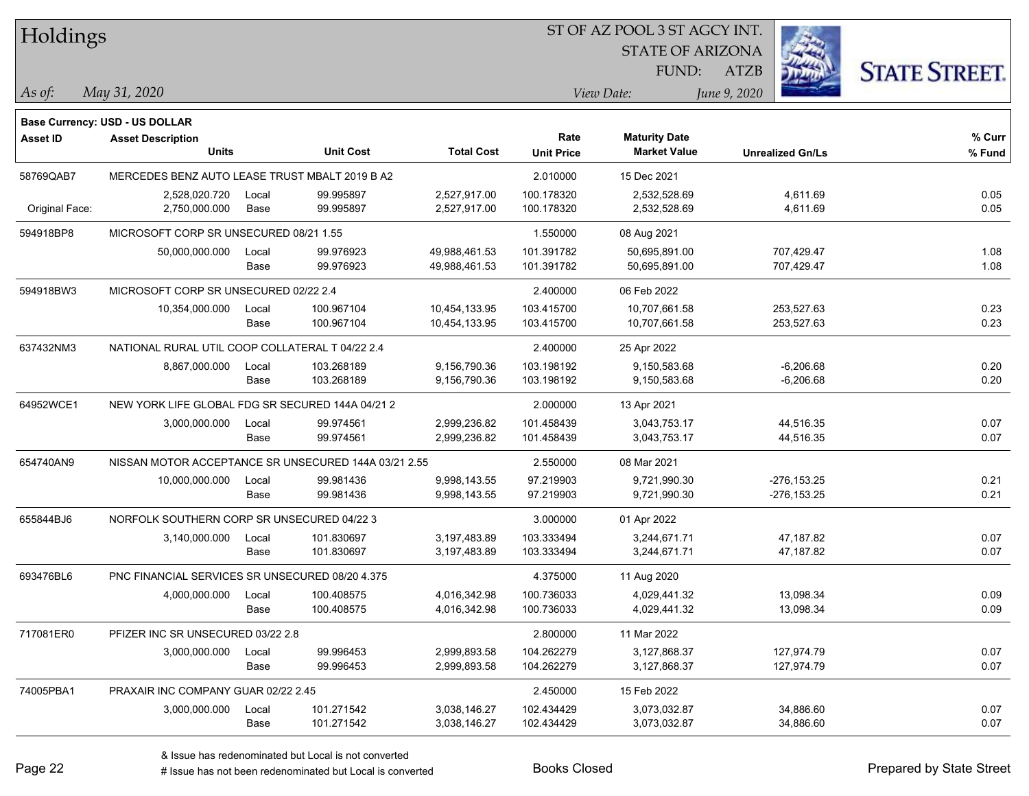| Holdings        |                                                      |       |                  |                   |                   | ST OF AZ POOL 3 ST AGCY INT. |                         |                      |
|-----------------|------------------------------------------------------|-------|------------------|-------------------|-------------------|------------------------------|-------------------------|----------------------|
|                 |                                                      |       |                  |                   |                   | <b>STATE OF ARIZONA</b>      |                         |                      |
|                 |                                                      |       |                  |                   |                   | FUND:                        | <b>ATZB</b>             | <b>STATE STREET.</b> |
| As of:          | May 31, 2020                                         |       |                  |                   |                   | View Date:                   | June 9, 2020            |                      |
|                 | <b>Base Currency: USD - US DOLLAR</b>                |       |                  |                   |                   |                              |                         |                      |
| <b>Asset ID</b> | <b>Asset Description</b>                             |       |                  |                   | Rate              | <b>Maturity Date</b>         |                         | % Curr               |
|                 | <b>Units</b>                                         |       | <b>Unit Cost</b> | <b>Total Cost</b> | <b>Unit Price</b> | <b>Market Value</b>          | <b>Unrealized Gn/Ls</b> | % Fund               |
| 58769QAB7       | MERCEDES BENZ AUTO LEASE TRUST MBALT 2019 B A2       |       |                  |                   | 2.010000          | 15 Dec 2021                  |                         |                      |
|                 | 2,528,020.720                                        | Local | 99.995897        | 2,527,917.00      | 100.178320        | 2,532,528.69                 | 4,611.69                | 0.05                 |
| Original Face:  | 2,750,000.000                                        | Base  | 99.995897        | 2,527,917.00      | 100.178320        | 2,532,528.69                 | 4,611.69                | 0.05                 |
| 594918BP8       | MICROSOFT CORP SR UNSECURED 08/21 1.55               |       |                  |                   | 1.550000          | 08 Aug 2021                  |                         |                      |
|                 | 50,000,000.000                                       | Local | 99.976923        | 49,988,461.53     | 101.391782        | 50,695,891.00                | 707,429.47              | 1.08                 |
|                 |                                                      | Base  | 99.976923        | 49,988,461.53     | 101.391782        | 50,695,891.00                | 707,429.47              | 1.08                 |
| 594918BW3       | MICROSOFT CORP SR UNSECURED 02/22 2.4                |       |                  |                   | 2.400000          | 06 Feb 2022                  |                         |                      |
|                 | 10,354,000.000                                       | Local | 100.967104       | 10,454,133.95     | 103.415700        | 10,707,661.58                | 253,527.63              | 0.23                 |
|                 |                                                      | Base  | 100.967104       | 10,454,133.95     | 103.415700        | 10,707,661.58                | 253,527.63              | 0.23                 |
| 637432NM3       | NATIONAL RURAL UTIL COOP COLLATERAL T 04/22 2.4      |       |                  |                   | 2.400000          | 25 Apr 2022                  |                         |                      |
|                 | 8,867,000.000                                        | Local | 103.268189       | 9,156,790.36      | 103.198192        | 9,150,583.68                 | $-6,206.68$             | 0.20                 |
|                 |                                                      | Base  | 103.268189       | 9,156,790.36      | 103.198192        | 9,150,583.68                 | $-6,206.68$             | 0.20                 |
| 64952WCE1       | NEW YORK LIFE GLOBAL FDG SR SECURED 144A 04/21 2     |       |                  |                   | 2.000000          | 13 Apr 2021                  |                         |                      |
|                 | 3,000,000.000                                        | Local | 99.974561        | 2,999,236.82      | 101.458439        | 3,043,753.17                 | 44,516.35               | 0.07                 |
|                 |                                                      | Base  | 99.974561        | 2,999,236.82      | 101.458439        | 3,043,753.17                 | 44,516.35               | 0.07                 |
| 654740AN9       | NISSAN MOTOR ACCEPTANCE SR UNSECURED 144A 03/21 2.55 |       |                  |                   | 2.550000          | 08 Mar 2021                  |                         |                      |
|                 | 10,000,000.000                                       | Local | 99.981436        | 9,998,143.55      | 97.219903         | 9,721,990.30                 | $-276, 153.25$          | 0.21                 |
|                 |                                                      | Base  | 99.981436        | 9,998,143.55      | 97.219903         | 9,721,990.30                 | $-276, 153.25$          | 0.21                 |
| 655844BJ6       | NORFOLK SOUTHERN CORP SR UNSECURED 04/22 3           |       |                  |                   | 3.000000          | 01 Apr 2022                  |                         |                      |
|                 | 3,140,000.000                                        | Local | 101.830697       | 3,197,483.89      | 103.333494        | 3,244,671.71                 | 47,187.82               | 0.07                 |
|                 |                                                      | Base  | 101.830697       | 3,197,483.89      | 103.333494        | 3,244,671.71                 | 47,187.82               | 0.07                 |
| 693476BL6       | PNC FINANCIAL SERVICES SR UNSECURED 08/20 4.375      |       |                  |                   | 4.375000          | 11 Aug 2020                  |                         |                      |
|                 | 4,000,000.000                                        | Local | 100.408575       | 4,016,342.98      | 100.736033        | 4,029,441.32                 | 13,098.34               | 0.09                 |
|                 |                                                      | Base  | 100.408575       | 4,016,342.98      | 100.736033        | 4,029,441.32                 | 13,098.34               | 0.09                 |
| 717081ER0       | PFIZER INC SR UNSECURED 03/22 2.8                    |       |                  |                   | 2.800000          | 11 Mar 2022                  |                         |                      |
|                 | 3,000,000.000                                        | Local | 99.996453        | 2,999,893.58      | 104.262279        | 3,127,868.37                 | 127,974.79              | 0.07                 |
|                 |                                                      | Base  | 99.996453        | 2,999,893.58      | 104.262279        | 3,127,868.37                 | 127,974.79              | 0.07                 |
| 74005PBA1       | PRAXAIR INC COMPANY GUAR 02/22 2.45                  |       |                  |                   | 2.450000          | 15 Feb 2022                  |                         |                      |
|                 | 3,000,000.000                                        | Local | 101.271542       | 3,038,146.27      | 102.434429        | 3,073,032.87                 | 34,886.60               | 0.07                 |
|                 |                                                      | Base  | 101.271542       | 3,038,146.27      | 102.434429        | 3,073,032.87                 | 34,886.60               | 0.07                 |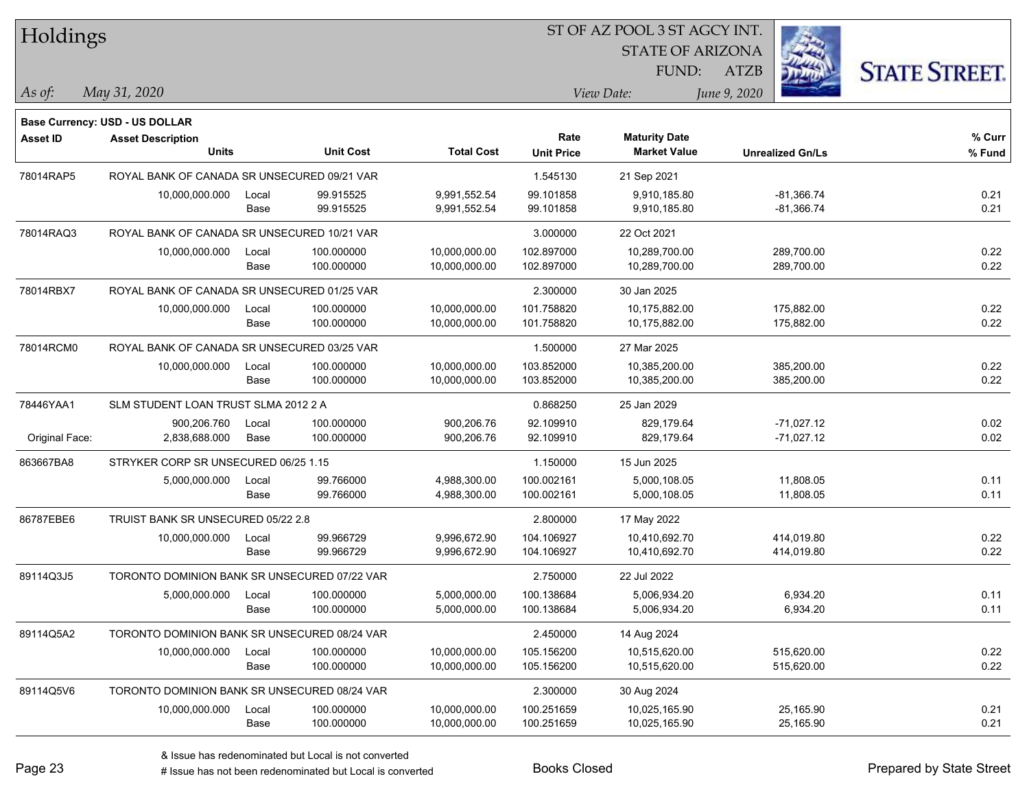| Holdings        |                                              |       |                  |                   | ST OF AZ POOL 3 ST AGCY INT. |                         |                         |                      |  |  |  |
|-----------------|----------------------------------------------|-------|------------------|-------------------|------------------------------|-------------------------|-------------------------|----------------------|--|--|--|
|                 |                                              |       |                  |                   |                              | <b>STATE OF ARIZONA</b> |                         |                      |  |  |  |
|                 |                                              |       |                  |                   |                              | FUND:                   | <b>ATZB</b>             | <b>STATE STREET.</b> |  |  |  |
| $ $ As of:      | May 31, 2020                                 |       |                  |                   |                              | View Date:              | June 9, 2020            |                      |  |  |  |
|                 | <b>Base Currency: USD - US DOLLAR</b>        |       |                  |                   |                              |                         |                         |                      |  |  |  |
| <b>Asset ID</b> | <b>Asset Description</b>                     |       |                  |                   | Rate                         | <b>Maturity Date</b>    |                         | % Curr               |  |  |  |
|                 | <b>Units</b>                                 |       | <b>Unit Cost</b> | <b>Total Cost</b> | <b>Unit Price</b>            | <b>Market Value</b>     | <b>Unrealized Gn/Ls</b> | % Fund               |  |  |  |
| 78014RAP5       | ROYAL BANK OF CANADA SR UNSECURED 09/21 VAR  |       |                  |                   | 1.545130                     | 21 Sep 2021             |                         |                      |  |  |  |
|                 | 10,000,000.000                               | Local | 99.915525        | 9,991,552.54      | 99.101858                    | 9,910,185.80            | $-81,366.74$            | 0.21                 |  |  |  |
|                 |                                              | Base  | 99.915525        | 9,991,552.54      | 99.101858                    | 9,910,185.80            | $-81,366.74$            | 0.21                 |  |  |  |
| 78014RAQ3       | ROYAL BANK OF CANADA SR UNSECURED 10/21 VAR  |       |                  |                   | 3.000000                     | 22 Oct 2021             |                         |                      |  |  |  |
|                 | 10,000,000.000                               | Local | 100.000000       | 10,000,000.00     | 102.897000                   | 10,289,700.00           | 289,700.00              | 0.22                 |  |  |  |
|                 |                                              | Base  | 100.000000       | 10,000,000.00     | 102.897000                   | 10,289,700.00           | 289,700.00              | 0.22                 |  |  |  |
| 78014RBX7       | ROYAL BANK OF CANADA SR UNSECURED 01/25 VAR  |       |                  |                   | 2.300000                     | 30 Jan 2025             |                         |                      |  |  |  |
|                 | 10,000,000.000                               | Local | 100.000000       | 10,000,000.00     | 101.758820                   | 10,175,882.00           | 175,882.00              | 0.22                 |  |  |  |
|                 |                                              | Base  | 100.000000       | 10,000,000.00     | 101.758820                   | 10,175,882.00           | 175,882.00              | 0.22                 |  |  |  |
| 78014RCM0       | ROYAL BANK OF CANADA SR UNSECURED 03/25 VAR  |       |                  |                   | 1.500000                     | 27 Mar 2025             |                         |                      |  |  |  |
|                 | 10,000,000.000                               | Local | 100.000000       | 10,000,000.00     | 103.852000                   | 10,385,200.00           | 385,200.00              | 0.22                 |  |  |  |
|                 |                                              | Base  | 100.000000       | 10,000,000.00     | 103.852000                   | 10,385,200.00           | 385,200.00              | 0.22                 |  |  |  |
| 78446YAA1       | SLM STUDENT LOAN TRUST SLMA 2012 2 A         |       |                  |                   | 0.868250                     | 25 Jan 2029             |                         |                      |  |  |  |
|                 | 900,206.760                                  | Local | 100.000000       | 900,206.76        | 92.109910                    | 829,179.64              | $-71,027.12$            | 0.02                 |  |  |  |
| Original Face:  | 2,838,688.000                                | Base  | 100.000000       | 900,206.76        | 92.109910                    | 829,179.64              | $-71,027.12$            | 0.02                 |  |  |  |
| 863667BA8       | STRYKER CORP SR UNSECURED 06/25 1.15         |       |                  |                   | 1.150000                     | 15 Jun 2025             |                         |                      |  |  |  |
|                 | 5,000,000.000                                | Local | 99.766000        | 4,988,300.00      | 100.002161                   | 5,000,108.05            | 11,808.05               | 0.11                 |  |  |  |
|                 |                                              | Base  | 99.766000        | 4,988,300.00      | 100.002161                   | 5,000,108.05            | 11,808.05               | 0.11                 |  |  |  |
| 86787EBE6       | TRUIST BANK SR UNSECURED 05/22 2.8           |       |                  |                   | 2.800000                     | 17 May 2022             |                         |                      |  |  |  |
|                 | 10,000,000.000                               | Local | 99.966729        | 9,996,672.90      | 104.106927                   | 10,410,692.70           | 414,019.80              | 0.22                 |  |  |  |
|                 |                                              | Base  | 99.966729        | 9,996,672.90      | 104.106927                   | 10,410,692.70           | 414,019.80              | 0.22                 |  |  |  |
| 89114Q3J5       | TORONTO DOMINION BANK SR UNSECURED 07/22 VAR |       |                  |                   | 2.750000                     | 22 Jul 2022             |                         |                      |  |  |  |
|                 | 5,000,000.000                                | Local | 100.000000       | 5,000,000.00      | 100.138684                   | 5,006,934.20            | 6,934.20                | 0.11                 |  |  |  |
|                 |                                              | Base  | 100.000000       | 5,000,000.00      | 100.138684                   | 5,006,934.20            | 6,934.20                | 0.11                 |  |  |  |
| 89114Q5A2       | TORONTO DOMINION BANK SR UNSECURED 08/24 VAR |       |                  |                   | 2.450000                     | 14 Aug 2024             |                         |                      |  |  |  |
|                 | 10,000,000.000                               | Local | 100.000000       | 10,000,000.00     | 105.156200                   | 10,515,620.00           | 515,620.00              | 0.22                 |  |  |  |
|                 |                                              | Base  | 100.000000       | 10,000,000.00     | 105.156200                   | 10,515,620.00           | 515,620.00              | 0.22                 |  |  |  |
| 89114Q5V6       | TORONTO DOMINION BANK SR UNSECURED 08/24 VAR |       |                  |                   | 2.300000                     | 30 Aug 2024             |                         |                      |  |  |  |
|                 | 10,000,000.000                               | Local | 100.000000       | 10,000,000.00     | 100.251659                   | 10,025,165.90           | 25,165.90               | 0.21                 |  |  |  |
|                 |                                              | Base  | 100.000000       | 10,000,000.00     | 100.251659                   | 10,025,165.90           | 25,165.90               | 0.21                 |  |  |  |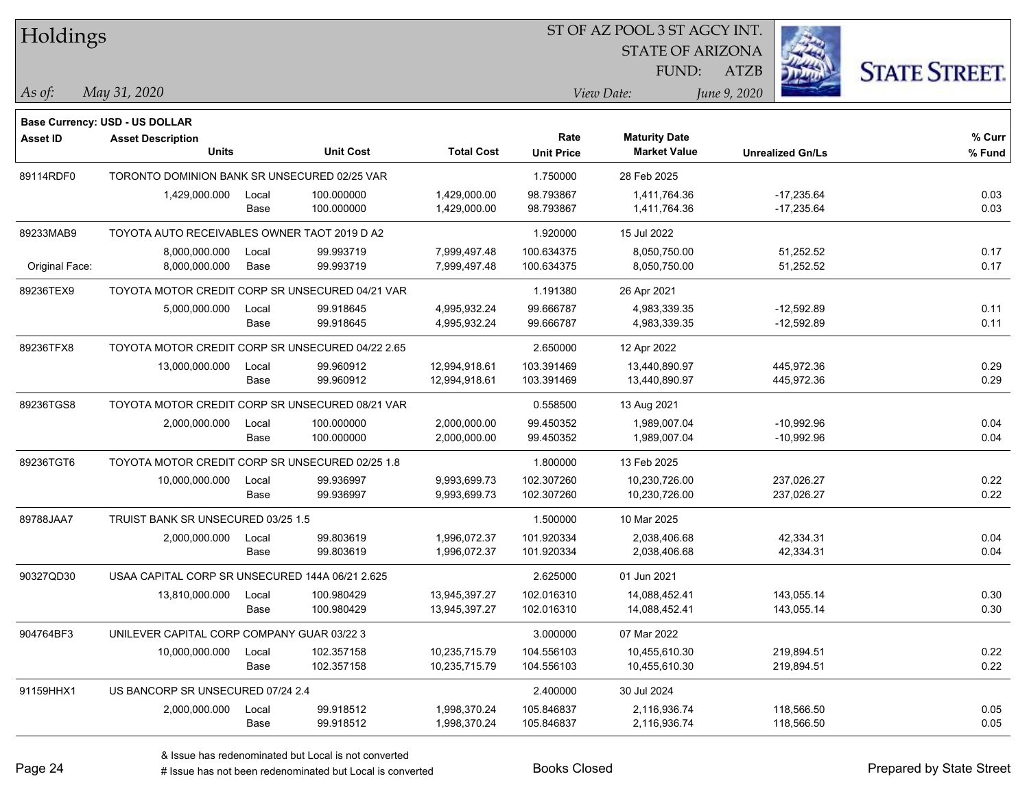| Holdings        |                                                  |       |                  |                   |                   | ST OF AZ POOL 3 ST AGCY INT. |                         |                      |
|-----------------|--------------------------------------------------|-------|------------------|-------------------|-------------------|------------------------------|-------------------------|----------------------|
|                 |                                                  |       |                  |                   |                   | <b>STATE OF ARIZONA</b>      |                         |                      |
|                 |                                                  |       |                  |                   |                   | FUND:                        | <b>ATZB</b>             | <b>STATE STREET.</b> |
| As of:          | May 31, 2020                                     |       |                  |                   |                   | View Date:                   | June 9, 2020            |                      |
|                 |                                                  |       |                  |                   |                   |                              |                         |                      |
|                 | <b>Base Currency: USD - US DOLLAR</b>            |       |                  |                   | Rate              | <b>Maturity Date</b>         |                         | % Curr               |
| <b>Asset ID</b> | <b>Asset Description</b><br><b>Units</b>         |       | <b>Unit Cost</b> | <b>Total Cost</b> | <b>Unit Price</b> | <b>Market Value</b>          | <b>Unrealized Gn/Ls</b> | % Fund               |
| 89114RDF0       | TORONTO DOMINION BANK SR UNSECURED 02/25 VAR     |       |                  |                   | 1.750000          | 28 Feb 2025                  |                         |                      |
|                 | 1,429,000.000                                    | Local | 100.000000       | 1,429,000.00      | 98.793867         | 1,411,764.36                 | $-17,235.64$            | 0.03                 |
|                 |                                                  | Base  | 100.000000       | 1,429,000.00      | 98.793867         | 1,411,764.36                 | $-17,235.64$            | 0.03                 |
| 89233MAB9       | TOYOTA AUTO RECEIVABLES OWNER TAOT 2019 D A2     |       |                  |                   | 1.920000          | 15 Jul 2022                  |                         |                      |
|                 | 8,000,000.000                                    | Local | 99.993719        | 7,999,497.48      | 100.634375        | 8,050,750.00                 | 51,252.52               | 0.17                 |
| Original Face:  | 8,000,000.000                                    | Base  | 99.993719        | 7,999,497.48      | 100.634375        | 8,050,750.00                 | 51,252.52               | 0.17                 |
| 89236TEX9       | TOYOTA MOTOR CREDIT CORP SR UNSECURED 04/21 VAR  |       |                  |                   | 1.191380          | 26 Apr 2021                  |                         |                      |
|                 | 5,000,000.000                                    | Local | 99.918645        | 4,995,932.24      | 99.666787         | 4,983,339.35                 | $-12,592.89$            | 0.11                 |
|                 |                                                  | Base  | 99.918645        | 4,995,932.24      | 99.666787         | 4,983,339.35                 | $-12,592.89$            | 0.11                 |
| 89236TFX8       | TOYOTA MOTOR CREDIT CORP SR UNSECURED 04/22 2.65 |       |                  |                   | 2.650000          | 12 Apr 2022                  |                         |                      |
|                 | 13,000,000.000                                   | Local | 99.960912        | 12,994,918.61     | 103.391469        | 13,440,890.97                | 445,972.36              | 0.29                 |
|                 |                                                  | Base  | 99.960912        | 12,994,918.61     | 103.391469        | 13,440,890.97                | 445,972.36              | 0.29                 |
| 89236TGS8       | TOYOTA MOTOR CREDIT CORP SR UNSECURED 08/21 VAR  |       |                  |                   | 0.558500          | 13 Aug 2021                  |                         |                      |
|                 | 2,000,000.000                                    | Local | 100.000000       | 2,000,000.00      | 99.450352         | 1,989,007.04                 | $-10,992.96$            | 0.04                 |
|                 |                                                  | Base  | 100.000000       | 2,000,000.00      | 99.450352         | 1,989,007.04                 | $-10,992.96$            | 0.04                 |
| 89236TGT6       | TOYOTA MOTOR CREDIT CORP SR UNSECURED 02/25 1.8  |       |                  |                   | 1.800000          | 13 Feb 2025                  |                         |                      |
|                 | 10,000,000.000                                   | Local | 99.936997        | 9,993,699.73      | 102.307260        | 10,230,726.00                | 237,026.27              | 0.22                 |
|                 |                                                  | Base  | 99.936997        | 9,993,699.73      | 102.307260        | 10,230,726.00                | 237,026.27              | 0.22                 |
| 89788JAA7       | TRUIST BANK SR UNSECURED 03/25 1.5               |       |                  |                   | 1.500000          | 10 Mar 2025                  |                         |                      |
|                 | 2,000,000.000                                    | Local | 99.803619        | 1,996,072.37      | 101.920334        | 2,038,406.68                 | 42,334.31               | 0.04                 |
|                 |                                                  | Base  | 99.803619        | 1,996,072.37      | 101.920334        | 2,038,406.68                 | 42,334.31               | 0.04                 |
| 90327QD30       | USAA CAPITAL CORP SR UNSECURED 144A 06/21 2.625  |       |                  |                   | 2.625000          | 01 Jun 2021                  |                         |                      |
|                 | 13,810,000.000                                   | Local | 100.980429       | 13,945,397.27     | 102.016310        | 14,088,452.41                | 143,055.14              | 0.30                 |
|                 |                                                  | Base  | 100.980429       | 13,945,397.27     | 102.016310        | 14,088,452.41                | 143,055.14              | 0.30                 |
| 904764BF3       | UNILEVER CAPITAL CORP COMPANY GUAR 03/22 3       |       |                  |                   | 3.000000          | 07 Mar 2022                  |                         |                      |
|                 | 10,000,000.000                                   | Local | 102.357158       | 10,235,715.79     | 104.556103        | 10,455,610.30                | 219,894.51              | 0.22                 |
|                 |                                                  | Base  | 102.357158       | 10,235,715.79     | 104.556103        | 10,455,610.30                | 219,894.51              | 0.22                 |
| 91159HHX1       | US BANCORP SR UNSECURED 07/24 2.4                |       |                  |                   | 2.400000          | 30 Jul 2024                  |                         |                      |
|                 | 2,000,000.000                                    | Local | 99.918512        | 1,998,370.24      | 105.846837        | 2,116,936.74                 | 118,566.50              | 0.05                 |
|                 |                                                  | Base  | 99.918512        | 1,998,370.24      | 105.846837        | 2,116,936.74                 | 118,566.50              | 0.05                 |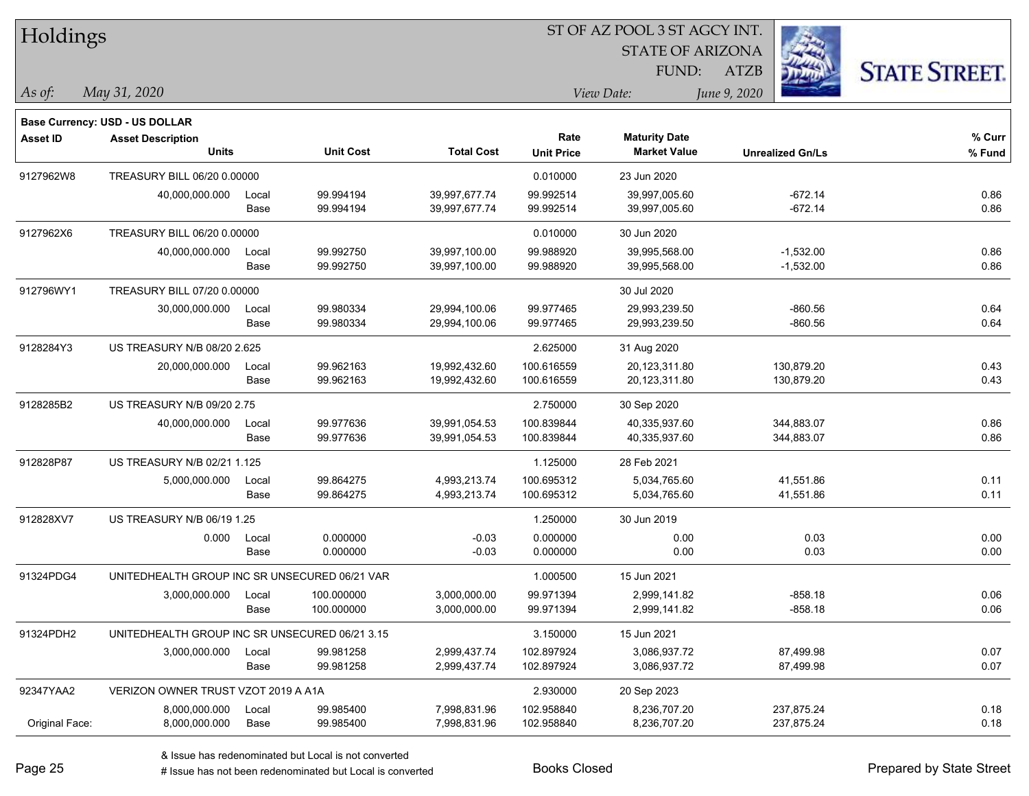| Holdings        |                                                |       |                  |                   |                   | ST OF AZ POOL 3 ST AGCY INT. |              |                         |                      |
|-----------------|------------------------------------------------|-------|------------------|-------------------|-------------------|------------------------------|--------------|-------------------------|----------------------|
|                 |                                                |       |                  |                   |                   | <b>STATE OF ARIZONA</b>      |              |                         |                      |
|                 |                                                |       |                  |                   |                   | FUND:                        | <b>ATZB</b>  |                         | <b>STATE STREET.</b> |
| As of:          | May 31, 2020                                   |       |                  |                   |                   | View Date:                   | June 9, 2020 |                         |                      |
|                 | <b>Base Currency: USD - US DOLLAR</b>          |       |                  |                   |                   |                              |              |                         |                      |
| <b>Asset ID</b> | <b>Asset Description</b>                       |       |                  |                   | Rate              | <b>Maturity Date</b>         |              |                         | % Curr               |
|                 | <b>Units</b>                                   |       | <b>Unit Cost</b> | <b>Total Cost</b> | <b>Unit Price</b> | <b>Market Value</b>          |              | <b>Unrealized Gn/Ls</b> | % Fund               |
| 9127962W8       | TREASURY BILL 06/20 0.00000                    |       |                  |                   | 0.010000          | 23 Jun 2020                  |              |                         |                      |
|                 | 40,000,000.000                                 | Local | 99.994194        | 39,997,677.74     | 99.992514         | 39,997,005.60                |              | $-672.14$               | 0.86                 |
|                 |                                                | Base  | 99.994194        | 39,997,677.74     | 99.992514         | 39,997,005.60                |              | $-672.14$               | 0.86                 |
| 9127962X6       | TREASURY BILL 06/20 0.00000                    |       |                  |                   | 0.010000          | 30 Jun 2020                  |              |                         |                      |
|                 | 40,000,000.000                                 | Local | 99.992750        | 39,997,100.00     | 99.988920         | 39,995,568.00                |              | $-1,532.00$             | 0.86                 |
|                 |                                                | Base  | 99.992750        | 39,997,100.00     | 99.988920         | 39,995,568.00                |              | $-1,532.00$             | 0.86                 |
| 912796WY1       | TREASURY BILL 07/20 0.00000                    |       |                  |                   |                   | 30 Jul 2020                  |              |                         |                      |
|                 | 30,000,000.000                                 | Local | 99.980334        | 29,994,100.06     | 99.977465         | 29,993,239.50                |              | $-860.56$               | 0.64                 |
|                 |                                                | Base  | 99.980334        | 29,994,100.06     | 99.977465         | 29,993,239.50                |              | $-860.56$               | 0.64                 |
| 9128284Y3       | US TREASURY N/B 08/20 2.625                    |       |                  |                   | 2.625000          | 31 Aug 2020                  |              |                         |                      |
|                 | 20,000,000.000                                 | Local | 99.962163        | 19,992,432.60     | 100.616559        | 20,123,311.80                |              | 130,879.20              | 0.43                 |
|                 |                                                | Base  | 99.962163        | 19,992,432.60     | 100.616559        | 20,123,311.80                |              | 130,879.20              | 0.43                 |
| 9128285B2       | US TREASURY N/B 09/20 2.75                     |       |                  |                   | 2.750000          | 30 Sep 2020                  |              |                         |                      |
|                 | 40,000,000.000                                 | Local | 99.977636        | 39,991,054.53     | 100.839844        | 40,335,937.60                |              | 344,883.07              | 0.86                 |
|                 |                                                | Base  | 99.977636        | 39,991,054.53     | 100.839844        | 40,335,937.60                |              | 344,883.07              | 0.86                 |
| 912828P87       | US TREASURY N/B 02/21 1.125                    |       |                  |                   | 1.125000          | 28 Feb 2021                  |              |                         |                      |
|                 | 5,000,000.000                                  | Local | 99.864275        | 4,993,213.74      | 100.695312        | 5,034,765.60                 |              | 41,551.86               | 0.11                 |
|                 |                                                | Base  | 99.864275        | 4,993,213.74      | 100.695312        | 5,034,765.60                 |              | 41,551.86               | 0.11                 |
| 912828XV7       | US TREASURY N/B 06/19 1.25                     |       |                  |                   | 1.250000          | 30 Jun 2019                  |              |                         |                      |
|                 | 0.000                                          | Local | 0.000000         | $-0.03$           | 0.000000          | 0.00                         |              | 0.03                    | 0.00                 |
|                 |                                                | Base  | 0.000000         | $-0.03$           | 0.000000          | 0.00                         |              | 0.03                    | 0.00                 |
| 91324PDG4       | UNITEDHEALTH GROUP INC SR UNSECURED 06/21 VAR  |       |                  |                   | 1.000500          | 15 Jun 2021                  |              |                         |                      |
|                 | 3,000,000.000                                  | Local | 100.000000       | 3,000,000.00      | 99.971394         | 2,999,141.82                 |              | -858.18                 | 0.06                 |
|                 |                                                | Base  | 100.000000       | 3,000,000.00      | 99.971394         | 2,999,141.82                 |              | $-858.18$               | 0.06                 |
| 91324PDH2       | UNITEDHEALTH GROUP INC SR UNSECURED 06/21 3.15 |       |                  |                   | 3.150000          | 15 Jun 2021                  |              |                         |                      |
|                 | 3,000,000.000                                  | Local | 99.981258        | 2,999,437.74      | 102.897924        | 3,086,937.72                 |              | 87,499.98               | 0.07                 |
|                 |                                                | Base  | 99.981258        | 2,999,437.74      | 102.897924        | 3,086,937.72                 |              | 87,499.98               | 0.07                 |
| 92347YAA2       | VERIZON OWNER TRUST VZOT 2019 A A1A            |       |                  |                   | 2.930000          | 20 Sep 2023                  |              |                         |                      |
|                 | 8,000,000.000                                  | Local | 99.985400        | 7,998,831.96      | 102.958840        | 8,236,707.20                 |              | 237,875.24              | 0.18                 |
| Original Face:  | 8,000,000.000                                  | Base  | 99.985400        | 7,998,831.96      | 102.958840        | 8,236,707.20                 |              | 237,875.24              | 0.18                 |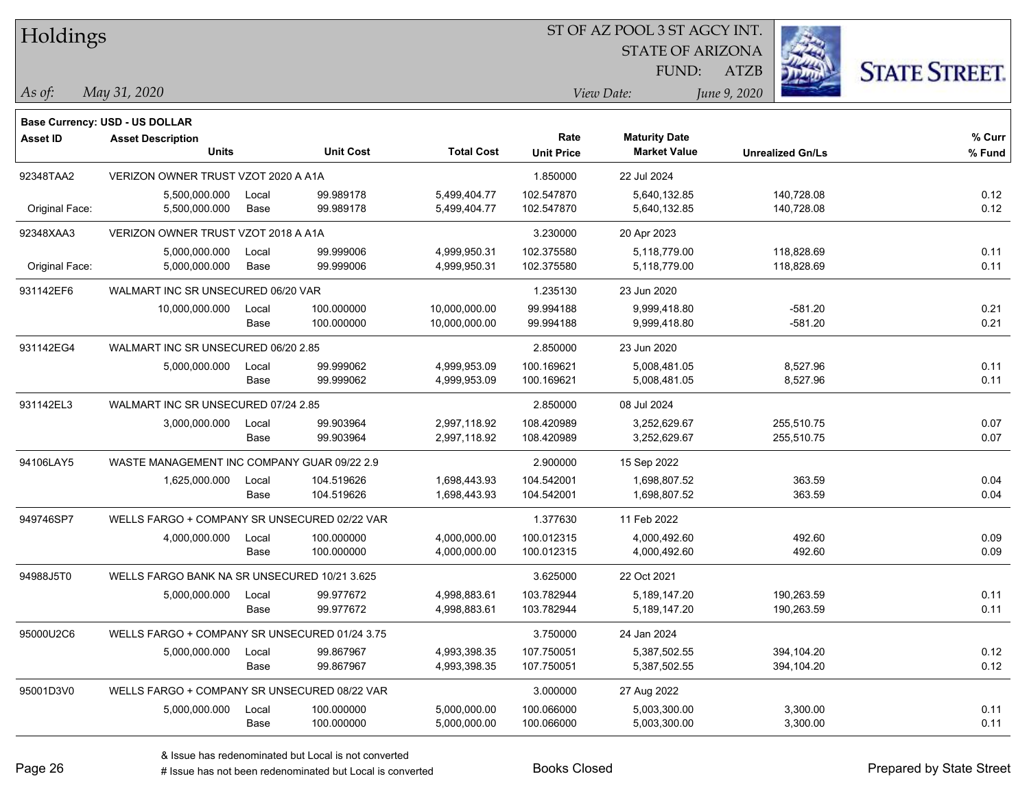| Holdings        |                                               |       |                  |                   |                   | ST OF AZ POOL 3 ST AGCY INT. |              |                         |                      |
|-----------------|-----------------------------------------------|-------|------------------|-------------------|-------------------|------------------------------|--------------|-------------------------|----------------------|
|                 |                                               |       |                  |                   |                   | <b>STATE OF ARIZONA</b>      |              |                         |                      |
|                 |                                               |       |                  |                   |                   | FUND:                        | <b>ATZB</b>  |                         | <b>STATE STREET.</b> |
| As of:          | May 31, 2020                                  |       |                  |                   |                   | View Date:                   | June 9, 2020 |                         |                      |
|                 | Base Currency: USD - US DOLLAR                |       |                  |                   |                   |                              |              |                         |                      |
| <b>Asset ID</b> | <b>Asset Description</b>                      |       |                  |                   | Rate              | <b>Maturity Date</b>         |              |                         | % Curr               |
|                 | <b>Units</b>                                  |       | <b>Unit Cost</b> | <b>Total Cost</b> | <b>Unit Price</b> | <b>Market Value</b>          |              | <b>Unrealized Gn/Ls</b> | % Fund               |
| 92348TAA2       | VERIZON OWNER TRUST VZOT 2020 A A1A           |       |                  |                   | 1.850000          | 22 Jul 2024                  |              |                         |                      |
|                 | 5,500,000.000                                 | Local | 99.989178        | 5,499,404.77      | 102.547870        | 5,640,132.85                 |              | 140,728.08              | 0.12                 |
| Original Face:  | 5,500,000.000                                 | Base  | 99.989178        | 5,499,404.77      | 102.547870        | 5,640,132.85                 |              | 140,728.08              | 0.12                 |
| 92348XAA3       | VERIZON OWNER TRUST VZOT 2018 A A1A           |       |                  |                   | 3.230000          | 20 Apr 2023                  |              |                         |                      |
|                 | 5,000,000.000                                 | Local | 99.999006        | 4,999,950.31      | 102.375580        | 5,118,779.00                 |              | 118,828.69              | 0.11                 |
| Original Face:  | 5,000,000.000                                 | Base  | 99.999006        | 4,999,950.31      | 102.375580        | 5,118,779.00                 |              | 118,828.69              | 0.11                 |
| 931142EF6       | WALMART INC SR UNSECURED 06/20 VAR            |       |                  |                   | 1.235130          | 23 Jun 2020                  |              |                         |                      |
|                 | 10,000,000.000                                | Local | 100.000000       | 10,000,000.00     | 99.994188         | 9,999,418.80                 |              | $-581.20$               | 0.21                 |
|                 |                                               | Base  | 100.000000       | 10,000,000.00     | 99.994188         | 9,999,418.80                 |              | $-581.20$               | 0.21                 |
| 931142EG4       | WALMART INC SR UNSECURED 06/20 2.85           |       |                  |                   | 2.850000          | 23 Jun 2020                  |              |                         |                      |
|                 | 5,000,000.000                                 | Local | 99.999062        | 4,999,953.09      | 100.169621        | 5,008,481.05                 |              | 8,527.96                | 0.11                 |
|                 |                                               | Base  | 99.999062        | 4,999,953.09      | 100.169621        | 5,008,481.05                 |              | 8,527.96                | 0.11                 |
| 931142EL3       | WALMART INC SR UNSECURED 07/24 2.85           |       |                  |                   | 2.850000          | 08 Jul 2024                  |              |                         |                      |
|                 | 3,000,000.000                                 | Local | 99.903964        | 2,997,118.92      | 108.420989        | 3,252,629.67                 |              | 255,510.75              | 0.07                 |
|                 |                                               | Base  | 99.903964        | 2,997,118.92      | 108.420989        | 3,252,629.67                 |              | 255,510.75              | 0.07                 |
| 94106LAY5       | WASTE MANAGEMENT INC COMPANY GUAR 09/22 2.9   |       |                  |                   | 2.900000          | 15 Sep 2022                  |              |                         |                      |
|                 | 1,625,000.000                                 | Local | 104.519626       | 1,698,443.93      | 104.542001        | 1,698,807.52                 |              | 363.59                  | 0.04                 |
|                 |                                               | Base  | 104.519626       | 1,698,443.93      | 104.542001        | 1,698,807.52                 |              | 363.59                  | 0.04                 |
| 949746SP7       | WELLS FARGO + COMPANY SR UNSECURED 02/22 VAR  |       |                  |                   | 1.377630          | 11 Feb 2022                  |              |                         |                      |
|                 | 4,000,000.000                                 | Local | 100.000000       | 4,000,000.00      | 100.012315        | 4,000,492.60                 |              | 492.60                  | 0.09                 |
|                 |                                               | Base  | 100.000000       | 4,000,000.00      | 100.012315        | 4,000,492.60                 |              | 492.60                  | 0.09                 |
| 94988J5T0       | WELLS FARGO BANK NA SR UNSECURED 10/21 3.625  |       |                  |                   | 3.625000          | 22 Oct 2021                  |              |                         |                      |
|                 | 5,000,000.000                                 | Local | 99.977672        | 4,998,883.61      | 103.782944        | 5,189,147.20                 |              | 190,263.59              | 0.11                 |
|                 |                                               | Base  | 99.977672        | 4,998,883.61      | 103.782944        | 5,189,147.20                 |              | 190,263.59              | 0.11                 |
| 95000U2C6       | WELLS FARGO + COMPANY SR UNSECURED 01/24 3.75 |       |                  |                   | 3.750000          | 24 Jan 2024                  |              |                         |                      |
|                 | 5,000,000.000                                 | Local | 99.867967        | 4,993,398.35      | 107.750051        | 5,387,502.55                 |              | 394,104.20              | 0.12                 |
|                 |                                               | Base  | 99.867967        | 4,993,398.35      | 107.750051        | 5,387,502.55                 |              | 394,104.20              | 0.12                 |
| 95001D3V0       | WELLS FARGO + COMPANY SR UNSECURED 08/22 VAR  |       |                  |                   | 3.000000          | 27 Aug 2022                  |              |                         |                      |
|                 | 5,000,000.000                                 | Local | 100.000000       | 5,000,000.00      | 100.066000        | 5,003,300.00                 |              | 3,300.00                | 0.11                 |
|                 |                                               | Base  | 100.000000       | 5,000,000.00      | 100.066000        | 5,003,300.00                 |              | 3,300.00                | 0.11                 |

 $\overline{\phantom{0}}$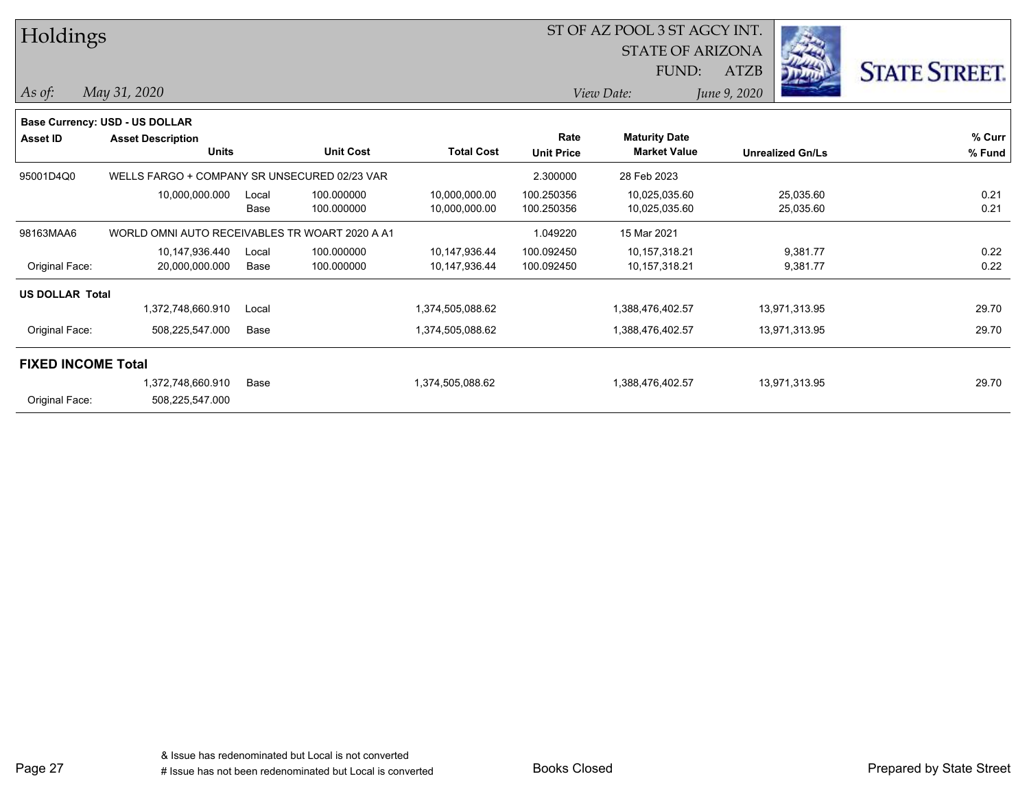| Holdings                  |                                                |               |                          |                                | ST OF AZ POOL 3 ST AGCY INT.<br><b>STATE OF ARIZONA</b> | - -                                         |                                            |                      |
|---------------------------|------------------------------------------------|---------------|--------------------------|--------------------------------|---------------------------------------------------------|---------------------------------------------|--------------------------------------------|----------------------|
| $As$ of:                  | May 31, 2020                                   |               |                          |                                |                                                         | FUND:<br>View Date:                         | <b>READ</b><br><b>ATZB</b><br>June 9, 2020 | <b>STATE STREET.</b> |
|                           | Base Currency: USD - US DOLLAR                 |               |                          |                                |                                                         |                                             |                                            |                      |
| <b>Asset ID</b>           | <b>Asset Description</b><br><b>Units</b>       |               | <b>Unit Cost</b>         | <b>Total Cost</b>              | Rate<br><b>Unit Price</b>                               | <b>Maturity Date</b><br><b>Market Value</b> | <b>Unrealized Gn/Ls</b>                    | % Curr<br>% Fund     |
| 95001D4Q0                 | WELLS FARGO + COMPANY SR UNSECURED 02/23 VAR   |               |                          |                                | 2.300000                                                | 28 Feb 2023                                 |                                            |                      |
|                           | 10,000,000.000                                 | Local<br>Base | 100.000000<br>100.000000 | 10,000,000.00<br>10,000,000.00 | 100.250356<br>100.250356                                | 10,025,035.60<br>10,025,035.60              | 25,035.60<br>25,035.60                     | 0.21<br>0.21         |
| 98163MAA6                 | WORLD OMNI AUTO RECEIVABLES TR WOART 2020 A A1 |               |                          |                                | 1.049220                                                | 15 Mar 2021                                 |                                            |                      |
| Original Face:            | 10,147,936.440<br>20,000,000.000               | Local<br>Base | 100.000000<br>100.000000 | 10,147,936.44<br>10,147,936.44 | 100.092450<br>100.092450                                | 10,157,318.21<br>10,157,318.21              | 9,381.77<br>9,381.77                       | 0.22<br>0.22         |
| <b>US DOLLAR Total</b>    |                                                |               |                          |                                |                                                         |                                             |                                            |                      |
|                           | 1,372,748,660.910                              | Local         |                          | 1,374,505,088.62               |                                                         | 1,388,476,402.57                            | 13,971,313.95                              | 29.70                |
| Original Face:            | 508,225,547.000                                | Base          |                          | 1,374,505,088.62               |                                                         | 1,388,476,402.57                            | 13,971,313.95                              | 29.70                |
| <b>FIXED INCOME Total</b> |                                                |               |                          |                                |                                                         |                                             |                                            |                      |
| Original Face:            | 1,372,748,660.910<br>508,225,547.000           | Base          |                          | 1,374,505,088.62               |                                                         | 1,388,476,402.57                            | 13,971,313.95                              | 29.70                |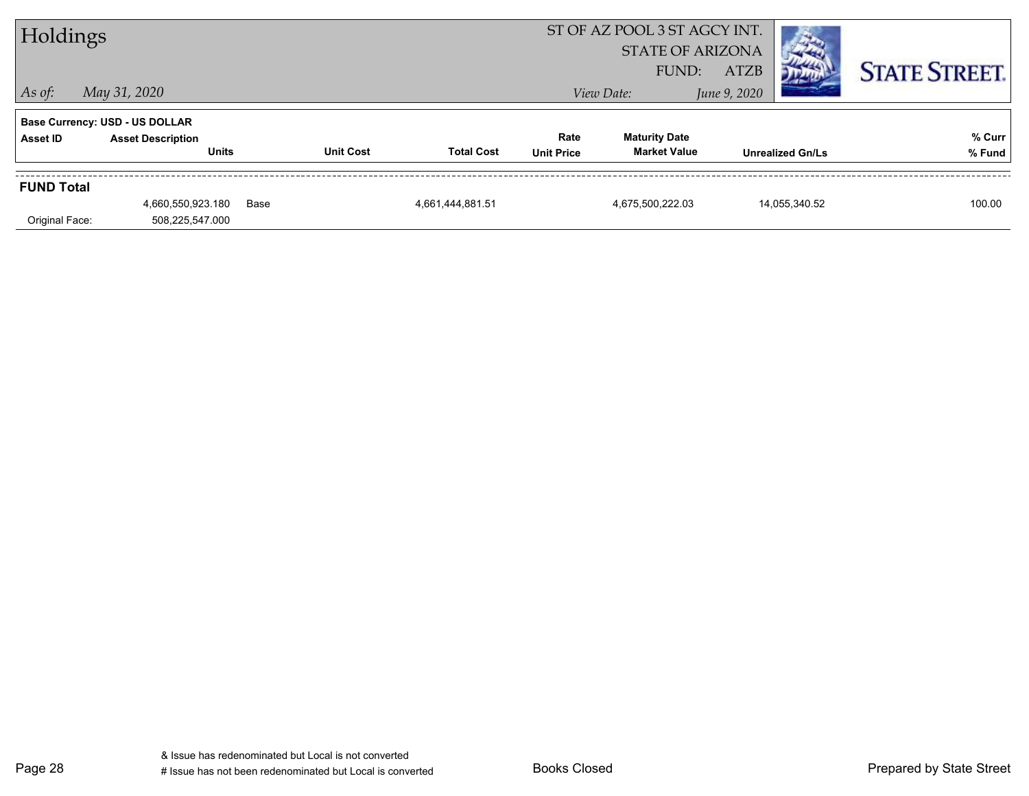| Holdings          |                                          |      |                  |                   |                           | ST OF AZ POOL 3 ST AGCY INT.<br><b>STATE OF ARIZONA</b><br>FUND: | <b>ATZB</b>  |                         | <b>STATE STREET.</b> |
|-------------------|------------------------------------------|------|------------------|-------------------|---------------------------|------------------------------------------------------------------|--------------|-------------------------|----------------------|
| $ $ As of:        | May 31, 2020                             |      |                  |                   |                           | View Date:                                                       | June 9, 2020 |                         |                      |
|                   | <b>Base Currency: USD - US DOLLAR</b>    |      |                  |                   |                           |                                                                  |              |                         |                      |
| Asset ID          | <b>Asset Description</b><br><b>Units</b> |      | <b>Unit Cost</b> | <b>Total Cost</b> | Rate<br><b>Unit Price</b> | <b>Maturity Date</b><br><b>Market Value</b>                      |              | <b>Unrealized Gn/Ls</b> | % Curr<br>% Fund     |
| <b>FUND Total</b> |                                          |      |                  |                   |                           |                                                                  |              |                         |                      |
|                   | 4,660,550,923.180                        | Base |                  | 4,661,444,881.51  |                           | 4,675,500,222.03                                                 |              | 14,055,340.52           | 100.00               |
| Original Face:    | 508,225,547.000                          |      |                  |                   |                           |                                                                  |              |                         |                      |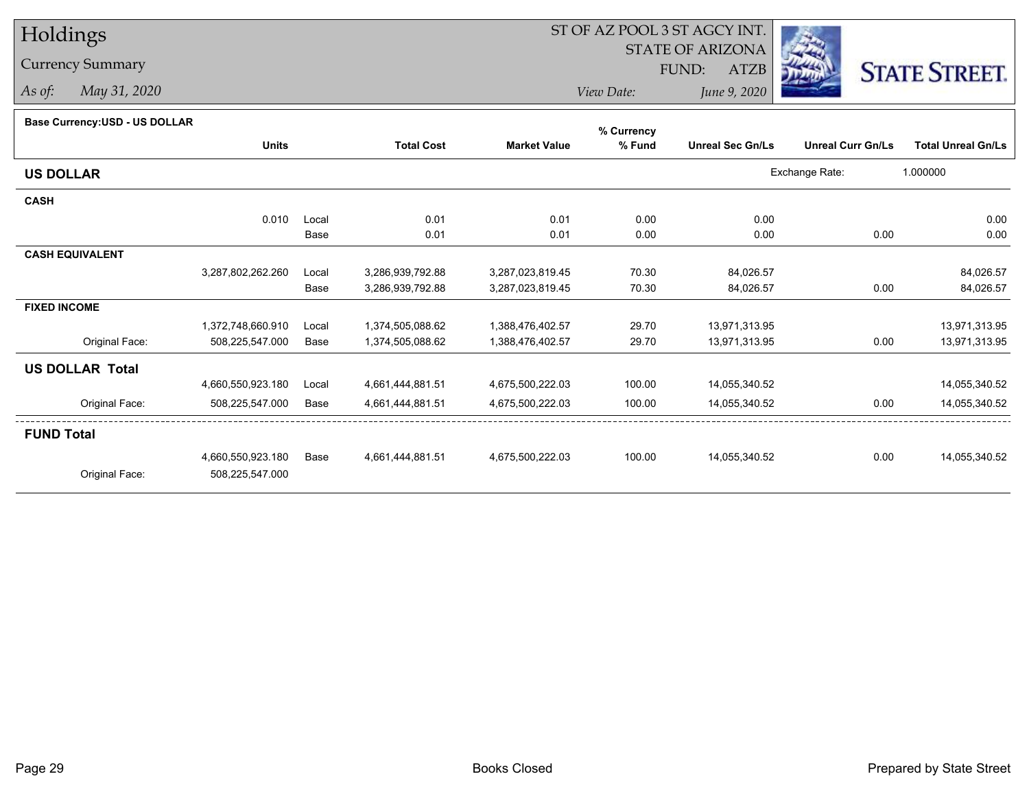## Holdings

Currency Summary

*As of: May 31, 2020*

## ST OF AZ POOL 3 ST AGCY INT.

 STATE OF ARIZONAFUND:

ATZB



*View Date:June 9, 2020*

| <b>Base Currency: USD - US DOLLAR</b> |  |
|---------------------------------------|--|

|                        |                   |       |                   |                     | % Currency |                         |                          |                           |
|------------------------|-------------------|-------|-------------------|---------------------|------------|-------------------------|--------------------------|---------------------------|
|                        | <b>Units</b>      |       | <b>Total Cost</b> | <b>Market Value</b> | % Fund     | <b>Unreal Sec Gn/Ls</b> | <b>Unreal Curr Gn/Ls</b> | <b>Total Unreal Gn/Ls</b> |
| <b>US DOLLAR</b>       |                   |       |                   |                     |            |                         | Exchange Rate:           | 1.000000                  |
| <b>CASH</b>            |                   |       |                   |                     |            |                         |                          |                           |
|                        | 0.010             | Local | 0.01              | 0.01                | 0.00       | 0.00                    |                          | 0.00                      |
|                        |                   | Base  | 0.01              | 0.01                | 0.00       | 0.00                    | 0.00                     | 0.00                      |
| <b>CASH EQUIVALENT</b> |                   |       |                   |                     |            |                         |                          |                           |
|                        | 3,287,802,262.260 | Local | 3,286,939,792.88  | 3,287,023,819.45    | 70.30      | 84,026.57               |                          | 84,026.57                 |
|                        |                   | Base  | 3,286,939,792.88  | 3,287,023,819.45    | 70.30      | 84,026.57               | 0.00                     | 84,026.57                 |
| <b>FIXED INCOME</b>    |                   |       |                   |                     |            |                         |                          |                           |
|                        | 1,372,748,660.910 | Local | 1,374,505,088.62  | 1,388,476,402.57    | 29.70      | 13,971,313.95           |                          | 13,971,313.95             |
| Original Face:         | 508,225,547.000   | Base  | 1,374,505,088.62  | 1,388,476,402.57    | 29.70      | 13,971,313.95           | 0.00                     | 13,971,313.95             |
| <b>US DOLLAR Total</b> |                   |       |                   |                     |            |                         |                          |                           |
|                        | 4,660,550,923.180 | Local | 4,661,444,881.51  | 4,675,500,222.03    | 100.00     | 14,055,340.52           |                          | 14,055,340.52             |
| Original Face:         | 508,225,547.000   | Base  | 4,661,444,881.51  | 4,675,500,222.03    | 100.00     | 14,055,340.52           | 0.00                     | 14,055,340.52             |
| <b>FUND Total</b>      |                   |       |                   |                     |            |                         |                          |                           |
|                        | 4,660,550,923.180 | Base  | 4,661,444,881.51  | 4,675,500,222.03    | 100.00     | 14,055,340.52           | 0.00                     | 14,055,340.52             |
| Original Face:         | 508,225,547.000   |       |                   |                     |            |                         |                          |                           |
|                        |                   |       |                   |                     |            |                         |                          |                           |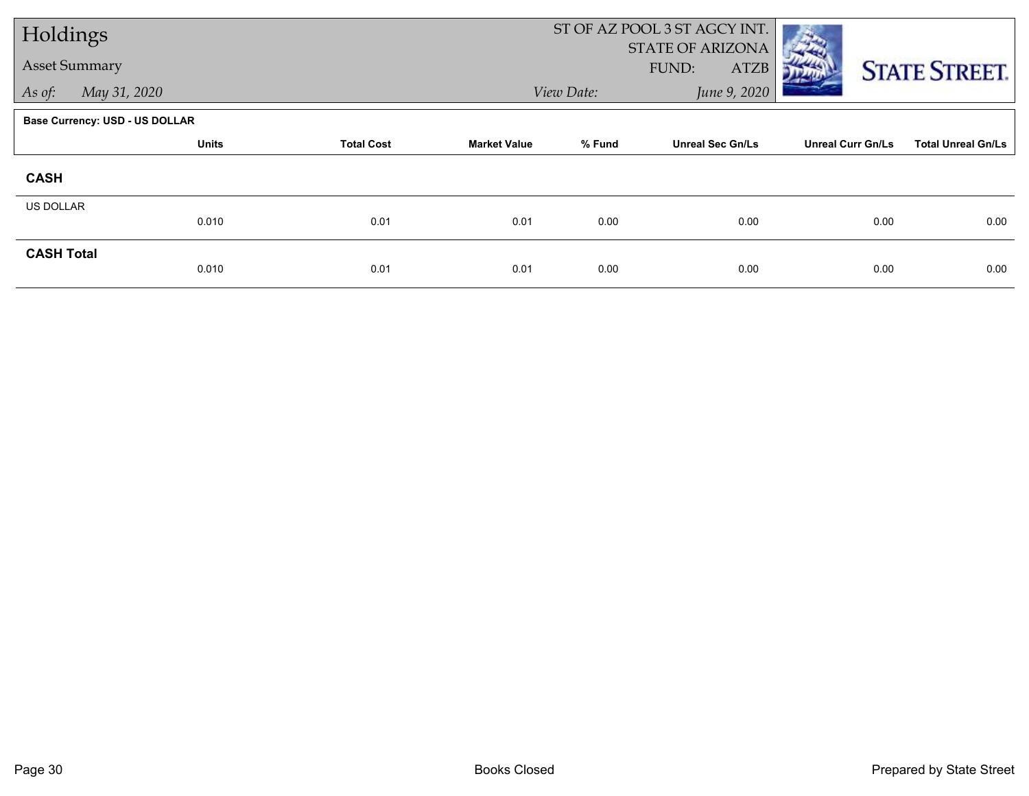| Holdings          |                                       |                   |                     |            | ST OF AZ POOL 3 ST AGCY INT.             |                          |                           |
|-------------------|---------------------------------------|-------------------|---------------------|------------|------------------------------------------|--------------------------|---------------------------|
|                   | <b>Asset Summary</b>                  |                   |                     |            | <b>STATE OF ARIZONA</b><br>FUND:<br>ATZB |                          | <b>STATE STREET.</b>      |
| As of:            | May 31, 2020                          |                   |                     | View Date: | June 9, 2020                             |                          |                           |
|                   | <b>Base Currency: USD - US DOLLAR</b> |                   |                     |            |                                          |                          |                           |
|                   | <b>Units</b>                          | <b>Total Cost</b> | <b>Market Value</b> | % Fund     | <b>Unreal Sec Gn/Ls</b>                  | <b>Unreal Curr Gn/Ls</b> | <b>Total Unreal Gn/Ls</b> |
| <b>CASH</b>       |                                       |                   |                     |            |                                          |                          |                           |
| US DOLLAR         |                                       |                   |                     |            |                                          |                          |                           |
|                   | 0.010                                 | 0.01              | 0.01                | 0.00       | 0.00                                     | 0.00                     | 0.00                      |
| <b>CASH Total</b> | 0.010                                 | 0.01              | 0.01                | 0.00       | 0.00                                     | 0.00                     | 0.00                      |
|                   |                                       |                   |                     |            |                                          |                          |                           |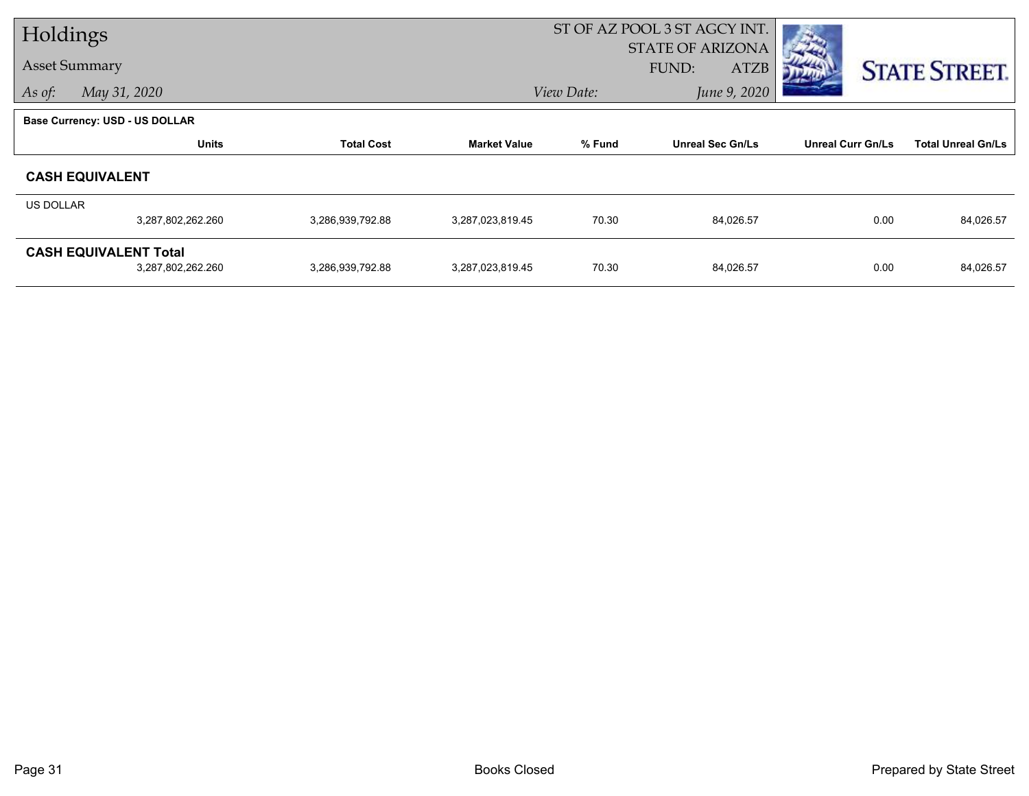| Holdings  |                                                   |                   |                     | ST OF AZ POOL 3 ST AGCY INT. |                                                 |                          |                           |
|-----------|---------------------------------------------------|-------------------|---------------------|------------------------------|-------------------------------------------------|--------------------------|---------------------------|
|           | <b>Asset Summary</b>                              |                   |                     |                              | <b>STATE OF ARIZONA</b><br>FUND:<br><b>ATZB</b> |                          | <b>STATE STREET.</b>      |
| As of:    | May 31, 2020                                      |                   |                     | View Date:                   | June 9, 2020                                    |                          |                           |
|           | <b>Base Currency: USD - US DOLLAR</b>             |                   |                     |                              |                                                 |                          |                           |
|           | <b>Units</b>                                      | <b>Total Cost</b> | <b>Market Value</b> | % Fund                       | <b>Unreal Sec Gn/Ls</b>                         | <b>Unreal Curr Gn/Ls</b> | <b>Total Unreal Gn/Ls</b> |
|           | <b>CASH EQUIVALENT</b>                            |                   |                     |                              |                                                 |                          |                           |
| US DOLLAR |                                                   |                   |                     |                              |                                                 |                          |                           |
|           | 3,287,802,262.260                                 | 3,286,939,792.88  | 3,287,023,819.45    | 70.30                        | 84,026.57                                       | 0.00                     | 84,026.57                 |
|           | <b>CASH EQUIVALENT Total</b><br>3,287,802,262.260 | 3,286,939,792.88  | 3,287,023,819.45    | 70.30                        | 84,026.57                                       | 0.00                     | 84,026.57                 |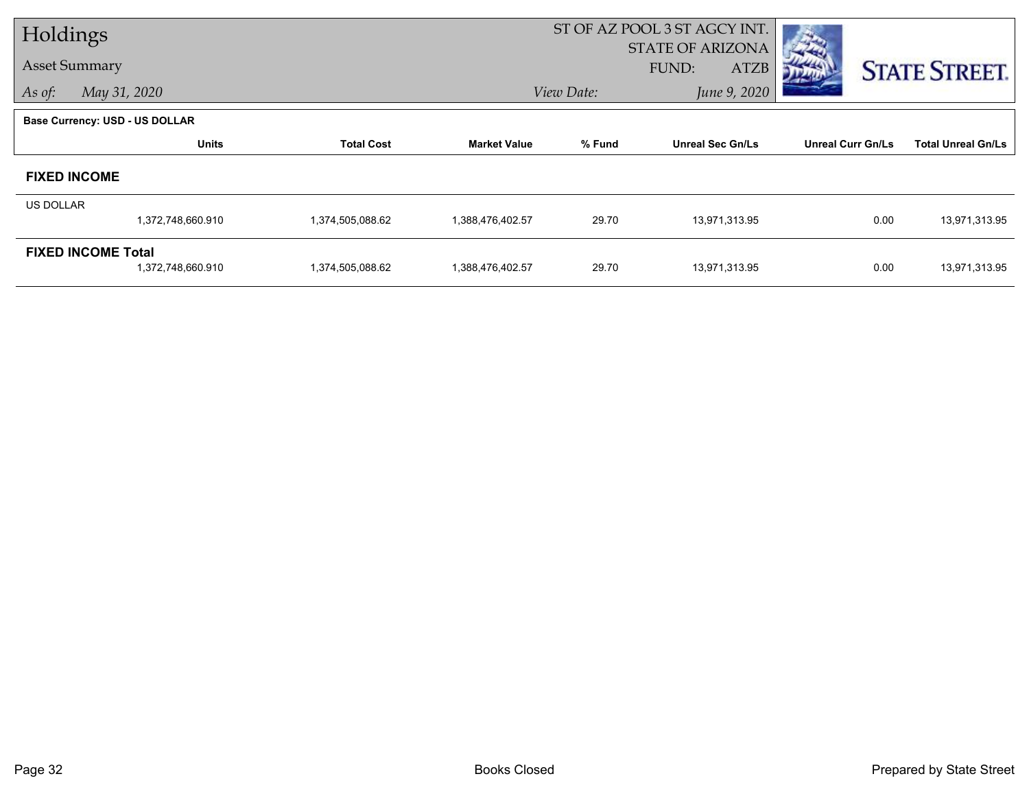| Holdings  |                                                |                   |                     | ST OF AZ POOL 3 ST AGCY INT. |                                                 |                          |                           |
|-----------|------------------------------------------------|-------------------|---------------------|------------------------------|-------------------------------------------------|--------------------------|---------------------------|
|           | <b>Asset Summary</b>                           |                   |                     |                              | <b>STATE OF ARIZONA</b><br>FUND:<br><b>ATZB</b> |                          | <b>STATE STREET.</b>      |
| As of:    | May 31, 2020                                   |                   |                     | View Date:                   | June 9, 2020                                    |                          |                           |
|           | <b>Base Currency: USD - US DOLLAR</b>          |                   |                     |                              |                                                 |                          |                           |
|           | <b>Units</b>                                   | <b>Total Cost</b> | <b>Market Value</b> | % Fund                       | <b>Unreal Sec Gn/Ls</b>                         | <b>Unreal Curr Gn/Ls</b> | <b>Total Unreal Gn/Ls</b> |
|           | <b>FIXED INCOME</b>                            |                   |                     |                              |                                                 |                          |                           |
| US DOLLAR |                                                |                   |                     |                              |                                                 |                          |                           |
|           | 1,372,748,660.910                              | 1,374,505,088.62  | 1,388,476,402.57    | 29.70                        | 13,971,313.95                                   | 0.00                     | 13,971,313.95             |
|           | <b>FIXED INCOME Total</b><br>1,372,748,660.910 | 1,374,505,088.62  | 1,388,476,402.57    | 29.70                        | 13,971,313.95                                   | 0.00                     | 13,971,313.95             |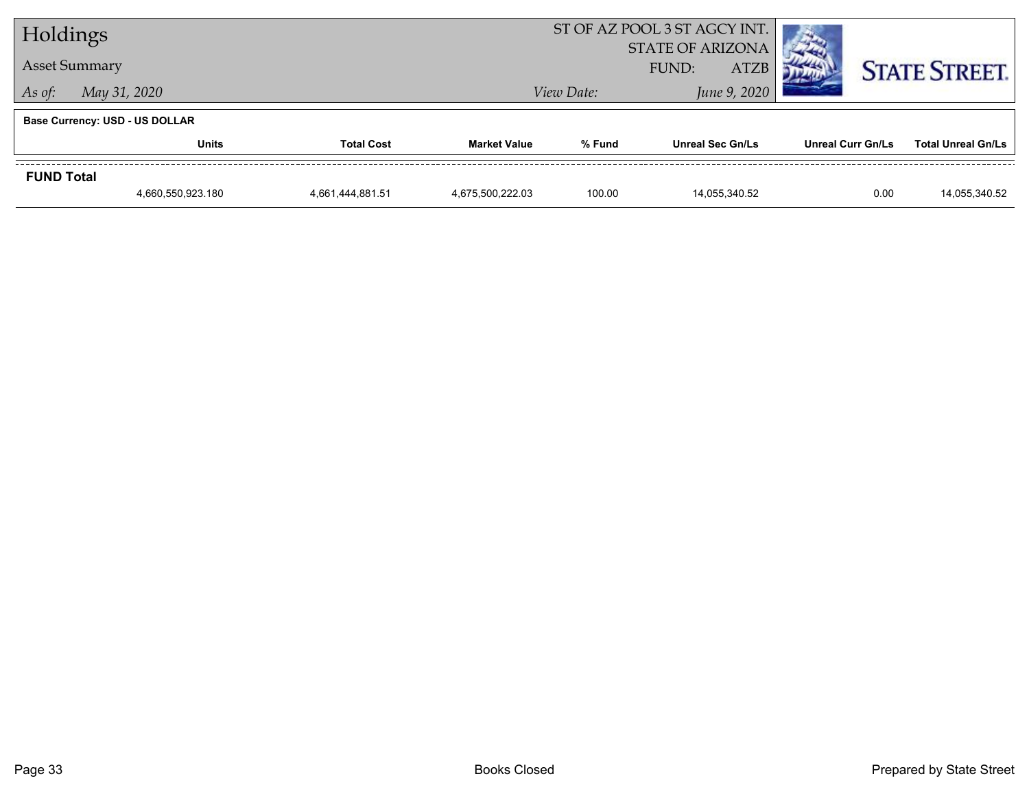|                                       | Holdings                   |                  |                  | ST OF AZ POOL 3 ST AGCY INT. |                         |                          |                           |
|---------------------------------------|----------------------------|------------------|------------------|------------------------------|-------------------------|--------------------------|---------------------------|
| <b>Asset Summary</b>                  |                            |                  |                  | <b>STATE OF ARIZONA</b>      |                         | <b>STATE STREET.</b>     |                           |
| May 31, 2020<br>As of:                |                            |                  |                  | View Date:                   | June 9, 2020            |                          |                           |
| <b>Base Currency: USD - US DOLLAR</b> |                            |                  |                  |                              |                         |                          |                           |
|                                       | <b>Total Cost</b><br>Units |                  |                  | % Fund                       | <b>Unreal Sec Gn/Ls</b> | <b>Unreal Curr Gn/Ls</b> | <b>Total Unreal Gn/Ls</b> |
| <b>FUND Total</b>                     |                            |                  |                  |                              |                         |                          |                           |
|                                       | 4,660,550,923.180          | 4,661,444,881.51 | 4,675,500,222.03 | 100.00                       | 14.055.340.52           | 0.00                     | 14,055,340.52             |